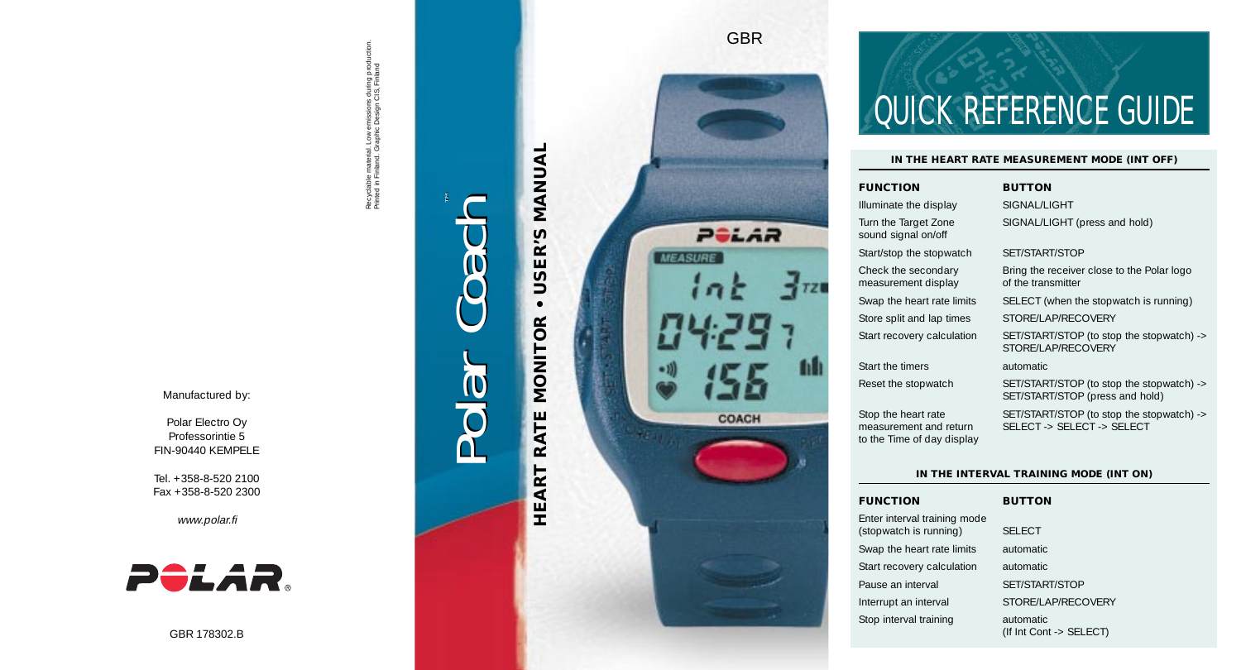Recyclable material. Low emissions during production.<br>Printed in Finland. Graphic Design CIS, Finland Recyclable material. Low emissions during production. Printed in Finland. Graphic Design CIS, Finland

# ™Polar Coach Coach Polar

# USER'S MANUAL **HEART RATE MONITOR • USER'S MANUAL**  $\bullet$ **HEART RATE MONITOR**



## QUICK REFERENCE GUIDE

#### **IN THE HEART RATE MEASUREMENT MODE (INT OFF)**

(If Int Cont -> SELECT)

| <b>FUNCTION</b>                                                             | <b>BUTTON</b>                                                                |  |  |  |
|-----------------------------------------------------------------------------|------------------------------------------------------------------------------|--|--|--|
| Illuminate the display                                                      | SIGNAL /LIGHT                                                                |  |  |  |
| Turn the Target Zone<br>sound signal on/off                                 | SIGNAL/LIGHT (press and hold)                                                |  |  |  |
| Start/stop the stopwatch                                                    | SFT/START/STOP                                                               |  |  |  |
| Check the secondary<br>measurement display                                  | Bring the receiver close to the Polar logo<br>of the transmitter             |  |  |  |
| Swap the heart rate limits                                                  | SELECT (when the stopwatch is running)                                       |  |  |  |
| Store split and lap times                                                   | STORE/LAP/RECOVERY                                                           |  |  |  |
| Start recovery calculation                                                  | SET/START/STOP (to stop the stopwatch) -><br>STORF/LAP/RFCOVERY              |  |  |  |
| Start the timers                                                            | automatic                                                                    |  |  |  |
| Reset the stopwatch                                                         | SET/START/STOP (to stop the stopwatch) -><br>SET/START/STOP (press and hold) |  |  |  |
| Stop the heart rate<br>measurement and return<br>to the Time of day display | SET/START/STOP (to stop the stopwatch) -><br>SFI FCT -> SFI FCT -> SFI FCT   |  |  |  |
|                                                                             |                                                                              |  |  |  |
| IN THE INTERVAL TRAINING MODE (INT ON)                                      |                                                                              |  |  |  |
| <b>FUNCTION</b>                                                             | <b>BUTTON</b>                                                                |  |  |  |
| Enter interval training mode<br>(stopwatch is running)                      | <b>SELECT</b>                                                                |  |  |  |
| Swap the heart rate limits                                                  | automatic                                                                    |  |  |  |
| Start recovery calculation                                                  | automatic                                                                    |  |  |  |
| Pause an interval                                                           | SET/START/STOP                                                               |  |  |  |
| Interrupt an interval                                                       | STORE/LAP/RECOVERY                                                           |  |  |  |
| Stop interval training                                                      | automatic                                                                    |  |  |  |

Manufactured by:

Polar Electro Oy Professorintie 5 FIN-90440 KEMPELE

Tel. +358-8-520 2100 Fax +358-8-520 2300

www.polar.fi



GBR 178302.B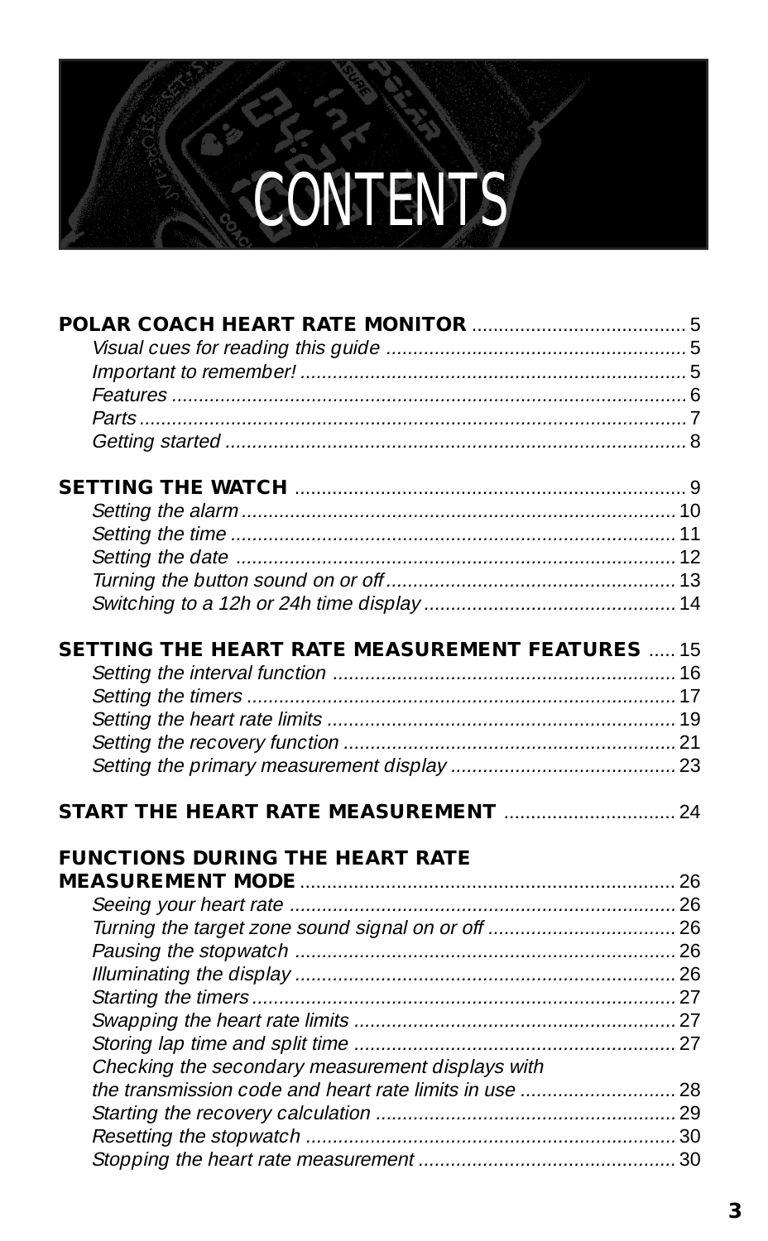### **CONTENTS**

| <b>SETTING THE HEART RATE MEASUREMENT FEATURES</b> 15                                            |  |
|--------------------------------------------------------------------------------------------------|--|
|                                                                                                  |  |
|                                                                                                  |  |
|                                                                                                  |  |
|                                                                                                  |  |
|                                                                                                  |  |
| <b>START THE HEART RATE MEASUREMENT manual component of the START THE HEART RATE MEASUREMENT</b> |  |
| <b>FUNCTIONS DURING THE HEART RATE</b>                                                           |  |
|                                                                                                  |  |
|                                                                                                  |  |
|                                                                                                  |  |
|                                                                                                  |  |
|                                                                                                  |  |
|                                                                                                  |  |
|                                                                                                  |  |
| Checking the secondary measurement displays with                                                 |  |
|                                                                                                  |  |
|                                                                                                  |  |
|                                                                                                  |  |
|                                                                                                  |  |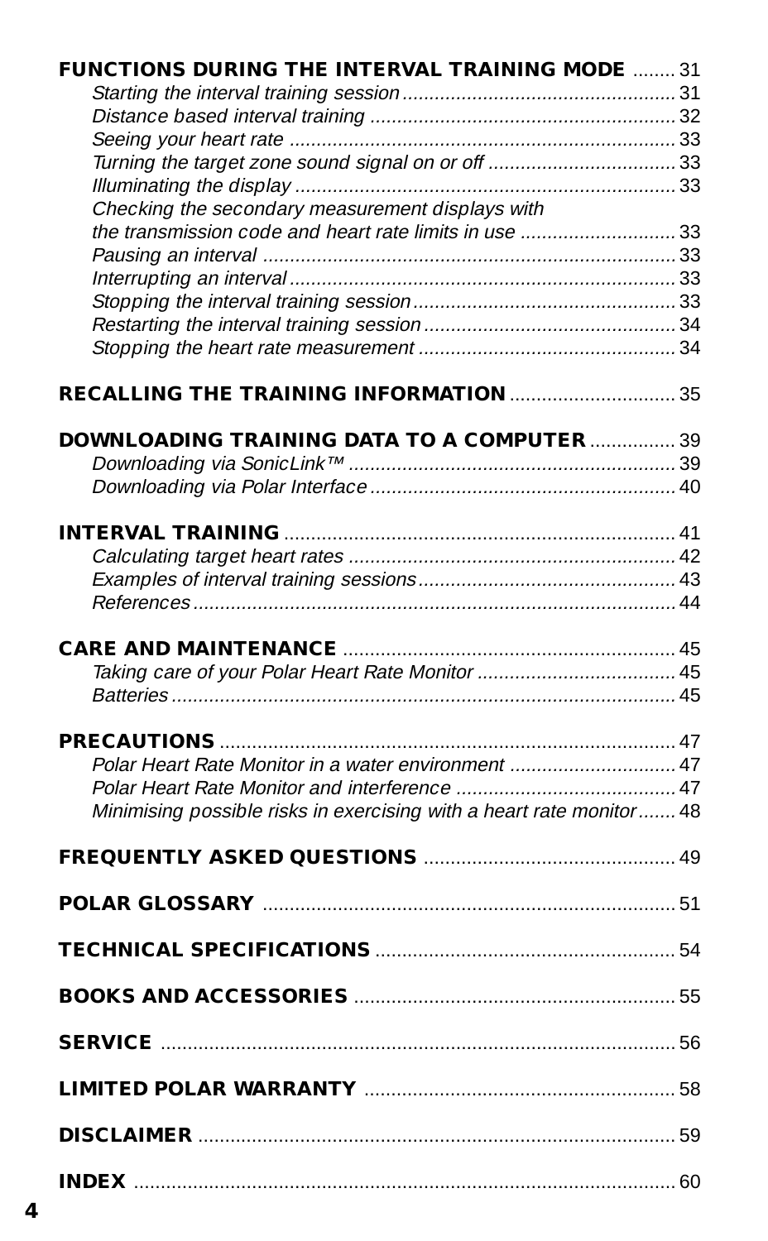| FUNCTIONS DURING THE INTERVAL TRAINING MODE  31                      |  |
|----------------------------------------------------------------------|--|
|                                                                      |  |
|                                                                      |  |
|                                                                      |  |
|                                                                      |  |
|                                                                      |  |
| Checking the secondary measurement displays with                     |  |
|                                                                      |  |
|                                                                      |  |
|                                                                      |  |
|                                                                      |  |
|                                                                      |  |
|                                                                      |  |
|                                                                      |  |
|                                                                      |  |
| <b>DOWNLOADING TRAINING DATA TO A COMPUTER  39</b>                   |  |
|                                                                      |  |
|                                                                      |  |
|                                                                      |  |
|                                                                      |  |
|                                                                      |  |
|                                                                      |  |
|                                                                      |  |
|                                                                      |  |
|                                                                      |  |
|                                                                      |  |
|                                                                      |  |
| Polar Heart Rate Monitor in a water environment  47                  |  |
|                                                                      |  |
| Minimising possible risks in exercising with a heart rate monitor 48 |  |
|                                                                      |  |
|                                                                      |  |
|                                                                      |  |
|                                                                      |  |
| TECHNICAL SPECIFICATIONS <b>CONSTRUSTION</b>                         |  |
|                                                                      |  |
|                                                                      |  |
|                                                                      |  |
|                                                                      |  |
|                                                                      |  |
|                                                                      |  |
|                                                                      |  |
|                                                                      |  |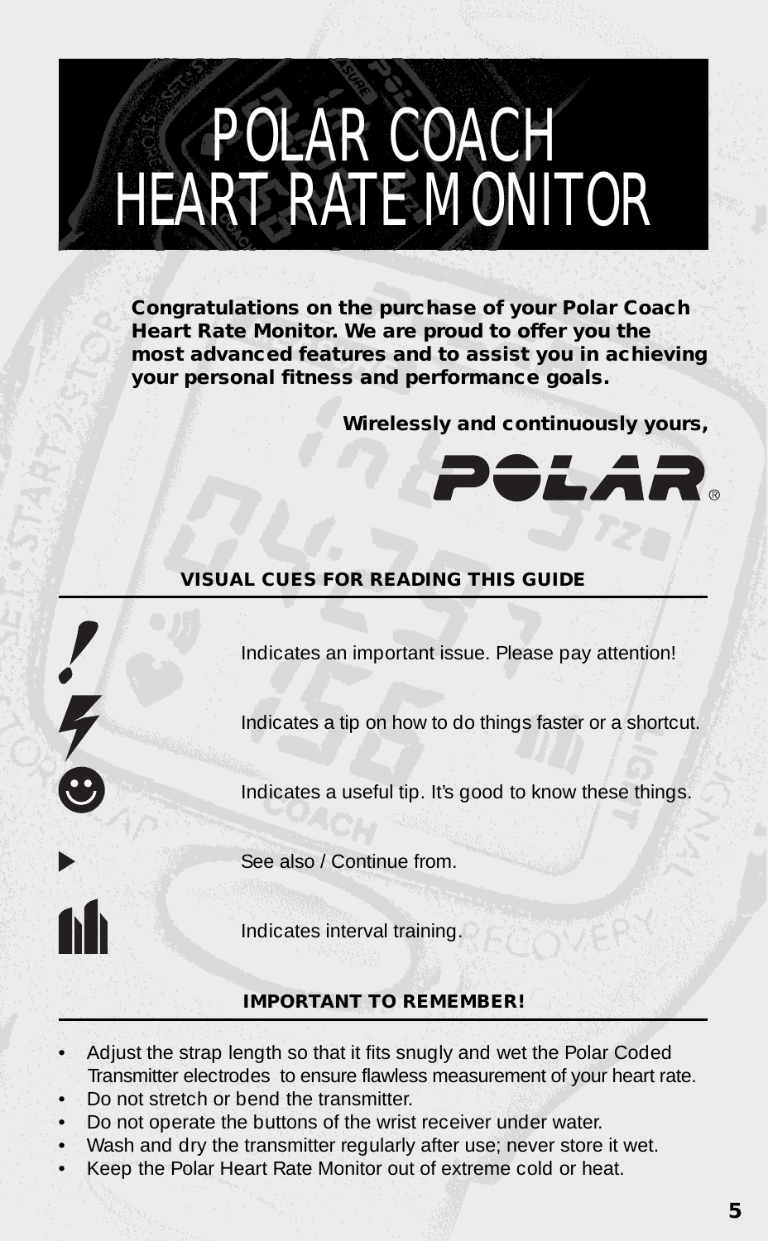### POLAR COACH HEART RATE MONITOR

**Congratulations on the purchase of your Polar Coach Heart Rate Monitor. We are proud to offer you the most advanced features and to assist you in achieving your personal fitness and performance goals.**

**Wirelessly and continuously yours,**



#### **VISUAL CUES FOR READING THIS GUIDE**

Indicates an important issue. Please pay attention!

Indicates a tip on how to do things faster or a shortcut.

Indicates a useful tip. It's good to know these things.

See also / Continue from.

Indicates interval training.

#### **IMPORTANT TO REMEMBER!**

- Adjust the strap length so that it fits snugly and wet the Polar Coded Transmitter electrodes to ensure flawless measurement of your heart rate.
- Do not stretch or bend the transmitter.

 $170$ 

- Do not operate the buttons of the wrist receiver under water.
- Wash and dry the transmitter regularly after use; never store it wet.
- Keep the Polar Heart Rate Monitor out of extreme cold or heat.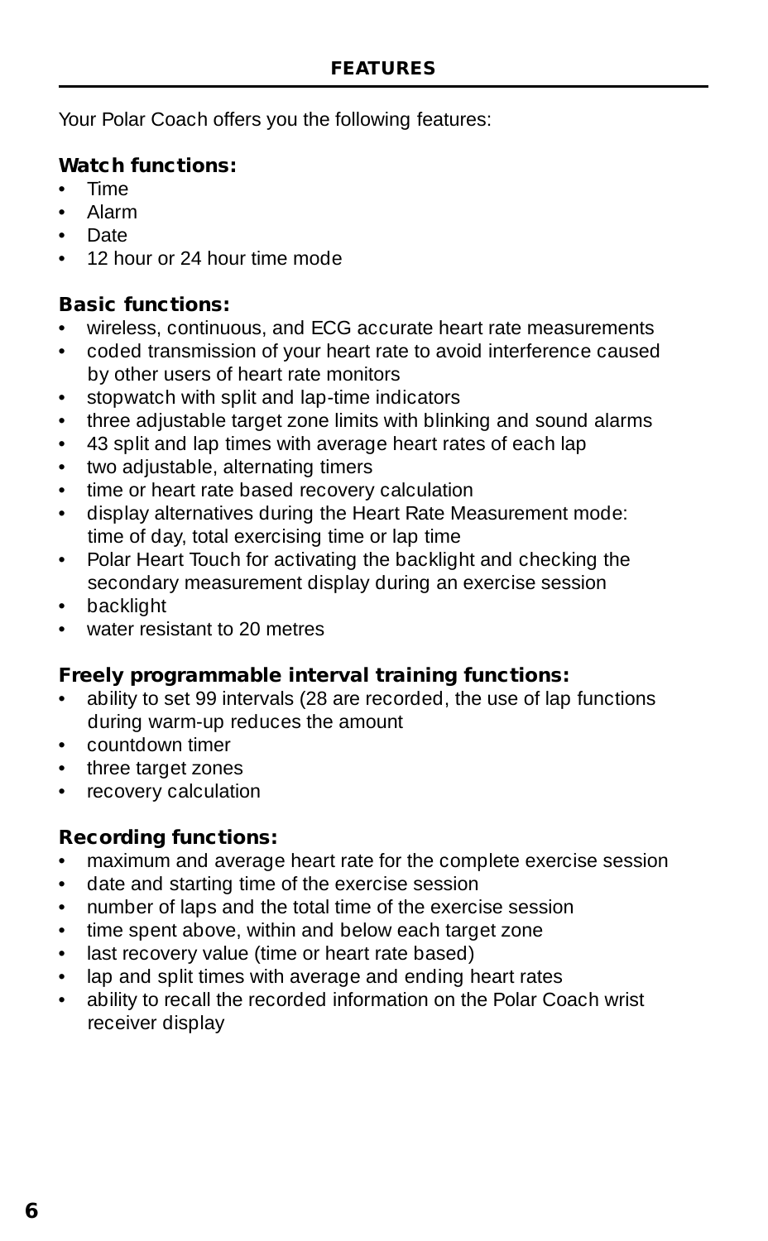Your Polar Coach offers you the following features:

#### **Watch functions:**

- Time
- Alarm
- Date
- 12 hour or 24 hour time mode

#### **Basic functions:**

- wireless, continuous, and ECG accurate heart rate measurements
- coded transmission of your heart rate to avoid interference caused by other users of heart rate monitors
- stopwatch with split and lap-time indicators
- three adjustable target zone limits with blinking and sound alarms
- 43 split and lap times with average heart rates of each lap
- two adjustable, alternating timers
- time or heart rate based recovery calculation
- display alternatives during the Heart Rate Measurement mode: time of day, total exercising time or lap time
- Polar Heart Touch for activating the backlight and checking the secondary measurement display during an exercise session
- backlight
- water resistant to 20 metres

#### **Freely programmable interval training functions:**

- ability to set 99 intervals (28 are recorded, the use of lap functions during warm-up reduces the amount
- countdown timer
- three target zones
- recovery calculation

#### **Recording functions:**

- maximum and average heart rate for the complete exercise session
- date and starting time of the exercise session
- number of laps and the total time of the exercise session
- time spent above, within and below each target zone
- last recovery value (time or heart rate based)
- lap and split times with average and ending heart rates
- ability to recall the recorded information on the Polar Coach wrist receiver display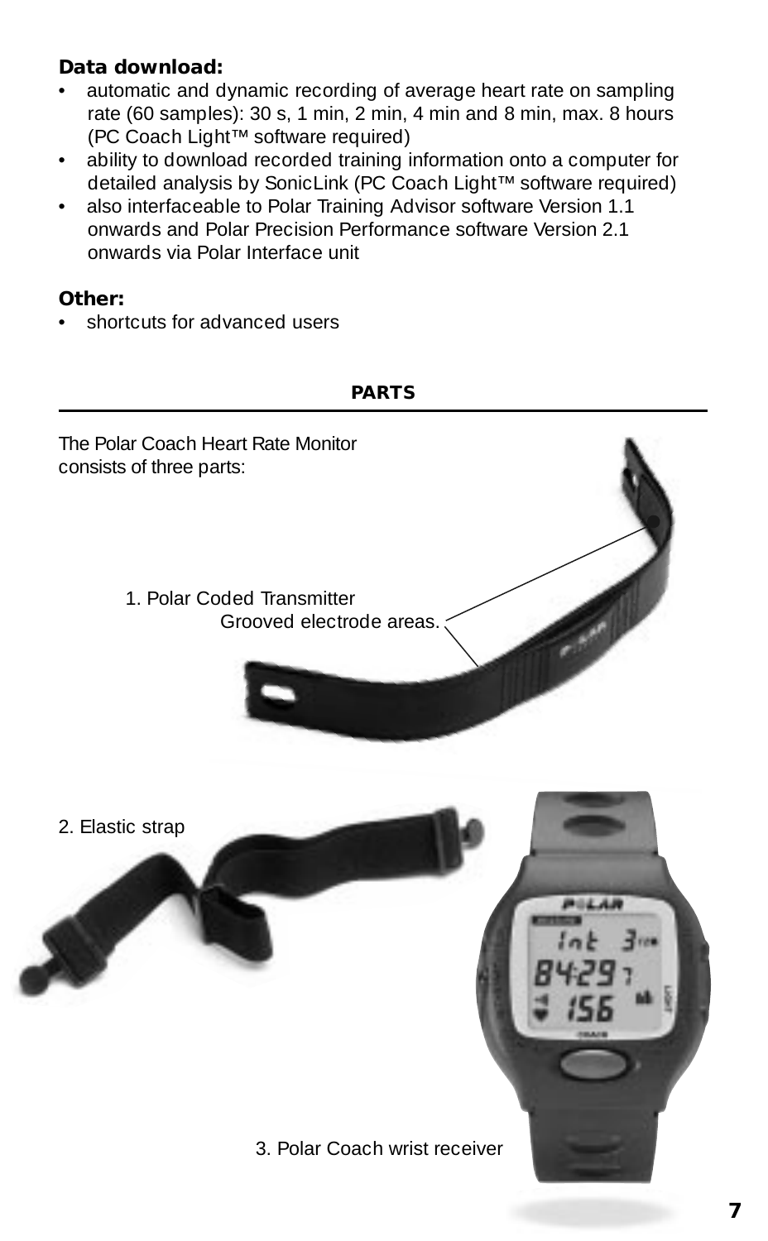#### **Data download:**

- automatic and dynamic recording of average heart rate on sampling rate (60 samples): 30 s, 1 min, 2 min, 4 min and 8 min, max. 8 hours (PC Coach Light™ software required)
- ability to download recorded training information onto a computer for detailed analysis by SonicLink (PC Coach Light™ software required)
- also interfaceable to Polar Training Advisor software Version 1.1 onwards and Polar Precision Performance software Version 2.1 onwards via Polar Interface unit

#### **Other:**

• shortcuts for advanced users

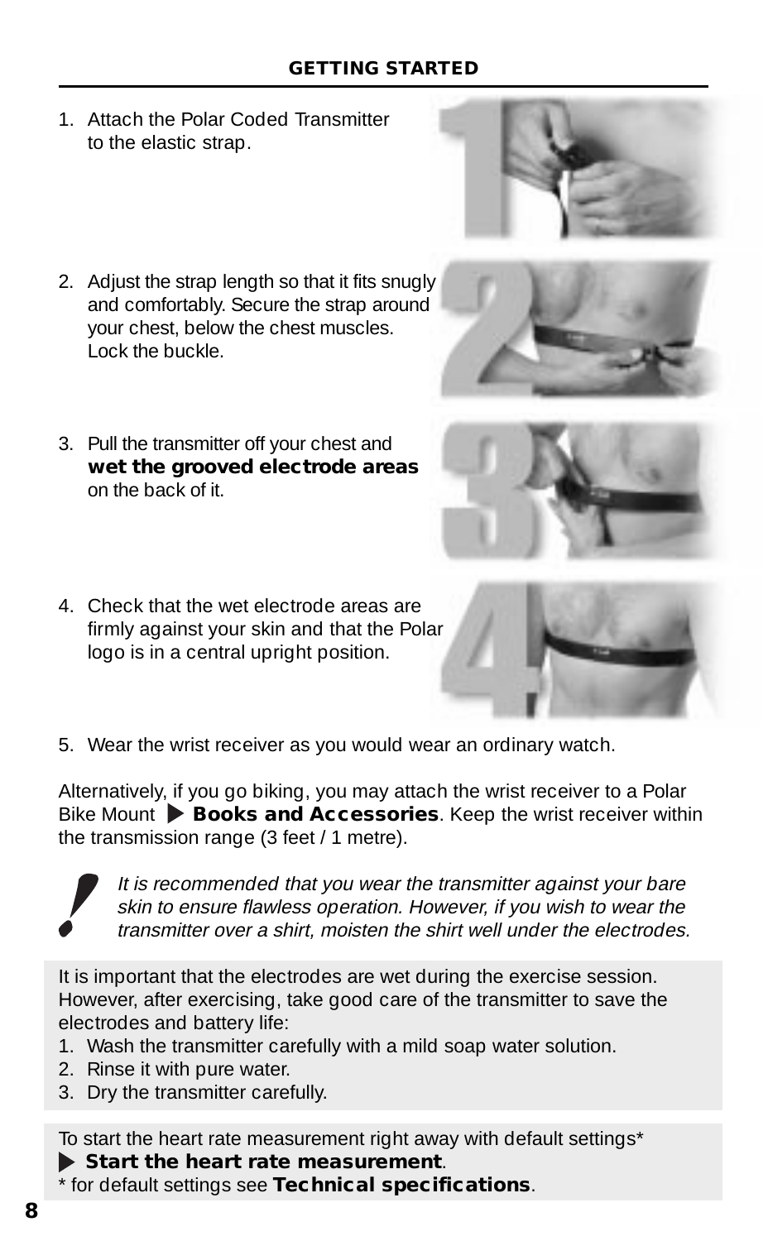#### **GETTING STARTED**

1. Attach the Polar Coded Transmitter to the elastic strap.



- 2. Adjust the strap length so that it fits snugly and comfortably. Secure the strap around your chest, below the chest muscles.  $\overline{\mathsf{L}}$  ock the buckle.
- 3. Pull the transmitter off your chest and **wet the grooved electrode areas** on the back of it.



4. Check that the wet electrode areas are firmly against your skin and that the Polar logo is in a central upright position.



5. Wear the wrist receiver as you would wear an ordinary watch.

Alternatively, if you go biking, you may attach the wrist receiver to a Polar Bike Mount **Books and Accessories**. Keep the wrist receiver within the transmission range (3 feet / 1 metre).



It is recommended that you wear the transmitter against your bare skin to ensure flawless operation. However, if you wish to wear the transmitter over a shirt, moisten the shirt well under the electrodes.

It is important that the electrodes are wet during the exercise session. However, after exercising, take good care of the transmitter to save the electrodes and battery life:

- 1. Wash the transmitter carefully with a mild soap water solution.
- 2. Rinse it with pure water.
- 3. Dry the transmitter carefully.

To start the heart rate measurement right away with default settings\*

**Start the heart rate measurement**.

\* for default settings see **Technical specifications**.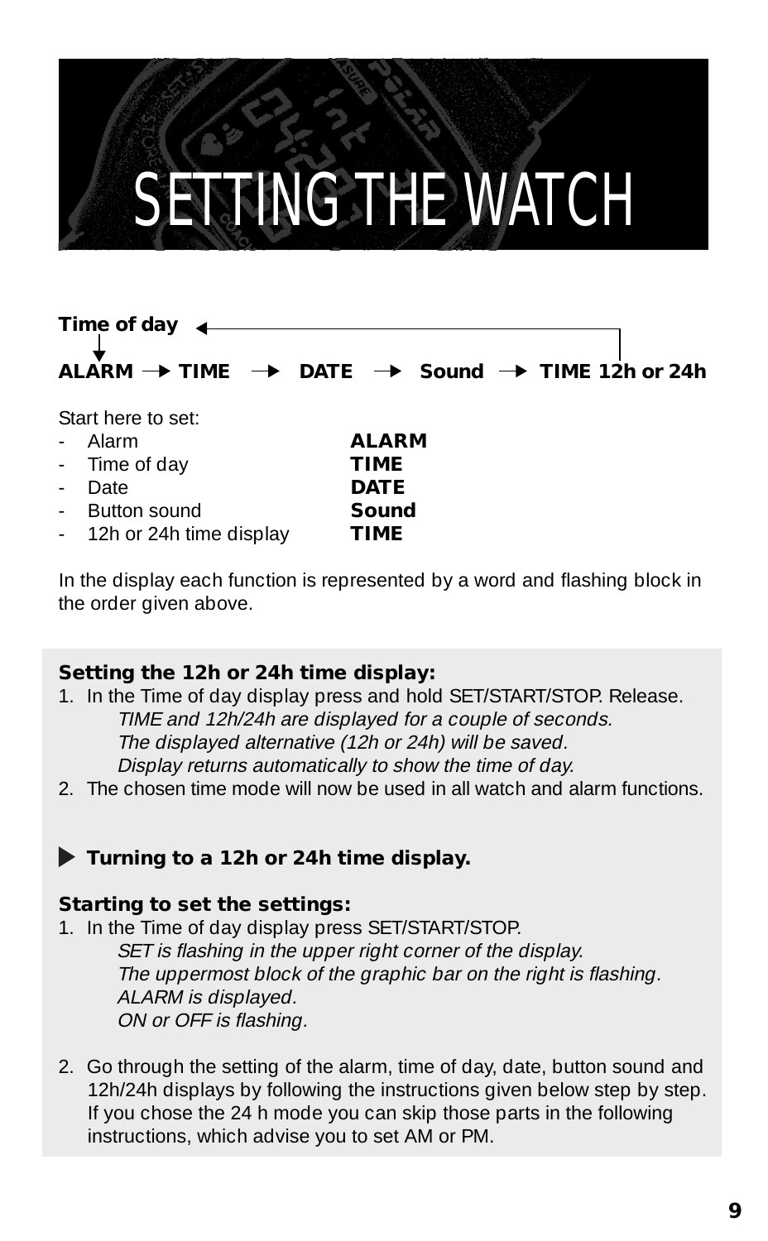### SETTING THE WATCH

#### **Time of day ALARM**  $\rightarrow$  **TIME**  $\rightarrow$  **DATE**  $\rightarrow$  **Sound**  $\rightarrow$  **TIME 12h or 24h**

Start here to set:

- Alarm **ALARM**
- Time of day **TIME**
- Date **DATE**
- Button sound **Sound**
- 12h or 24h time display **TIME**

In the display each function is represented by a word and flashing block in the order given above.

#### **Setting the 12h or 24h time display:**

- 1. In the Time of day display press and hold SET/START/STOP. Release. TIME and 12h/24h are displayed for a couple of seconds. The displayed alternative (12h or 24h) will be saved. Display returns automatically to show the time of day.
- 2. The chosen time mode will now be used in all watch and alarm functions.

#### **Turning to a 12h or 24h time display.**

#### **Starting to set the settings:**

- 1. In the Time of day display press SET/START/STOP. SET is flashing in the upper right corner of the display. The uppermost block of the graphic bar on the right is flashing. ALARM is displayed. ON or OFF is flashing.
- 2. Go through the setting of the alarm, time of day, date, button sound and 12h/24h displays by following the instructions given below step by step. If you chose the 24 h mode you can skip those parts in the following instructions, which advise you to set AM or PM.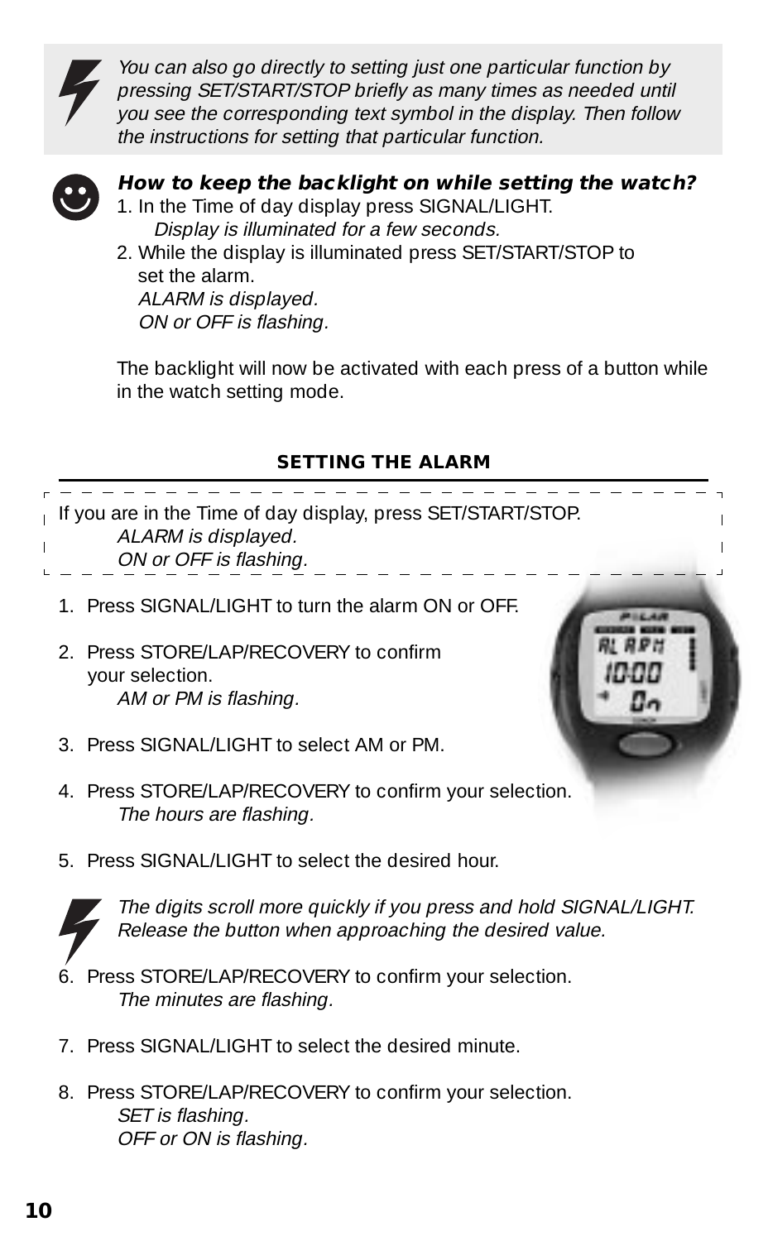

You can also go directly to setting just one particular function by pressing SET/START/STOP briefly as many times as needed until you see the corresponding text symbol in the display. Then follow the instructions for setting that particular function.



#### **How to keep the backlight on while setting the watch?**

- 1. In the Time of day display press SIGNAL/LIGHT. Display is illuminated for a few seconds.
- 2. While the display is illuminated press SET/START/STOP to set the alarm. ALARM is displayed. ON or OFF is flashing.

The backlight will now be activated with each press of a button while in the watch setting mode.

#### **SETTING THE ALARM**



5. Press SIGNAL/LIGHT to select the desired hour.



The digits scroll more quickly if you press and hold SIGNAL/LIGHT. Release the button when approaching the desired value.

- 6. Press STORE/LAP/RECOVERY to confirm your selection. The minutes are flashing.
- 7. Press SIGNAL/LIGHT to select the desired minute.
- 8. Press STORE/LAP/RECOVERY to confirm your selection. SET is flashing. OFF or ON is flashing.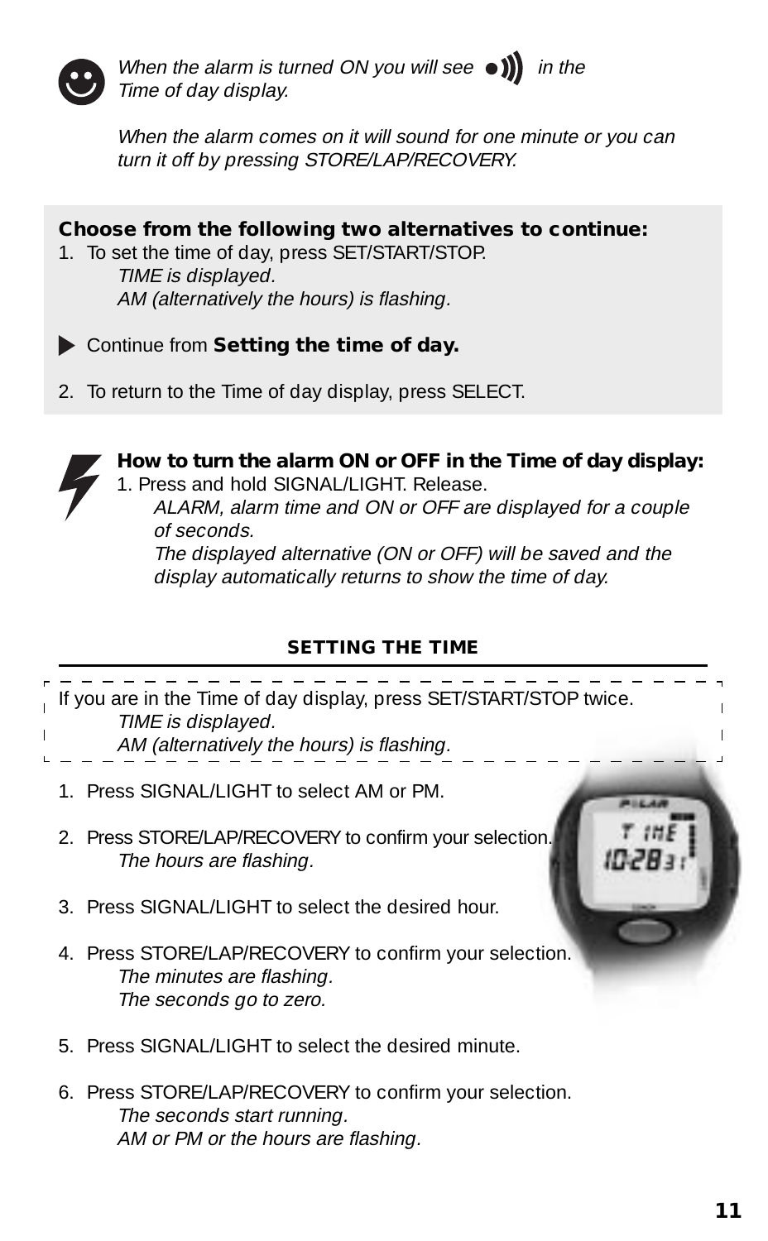

When the alarm is turned ON you will see  $\bullet$   $\bullet$   $\bullet$  in the Time of day display.

When the alarm comes on it will sound for one minute or you can turn it off by pressing STORE/LAP/RECOVERY.



6. Press STORE/LAP/RECOVERY to confirm your selection. The seconds start running. AM or PM or the hours are flashing.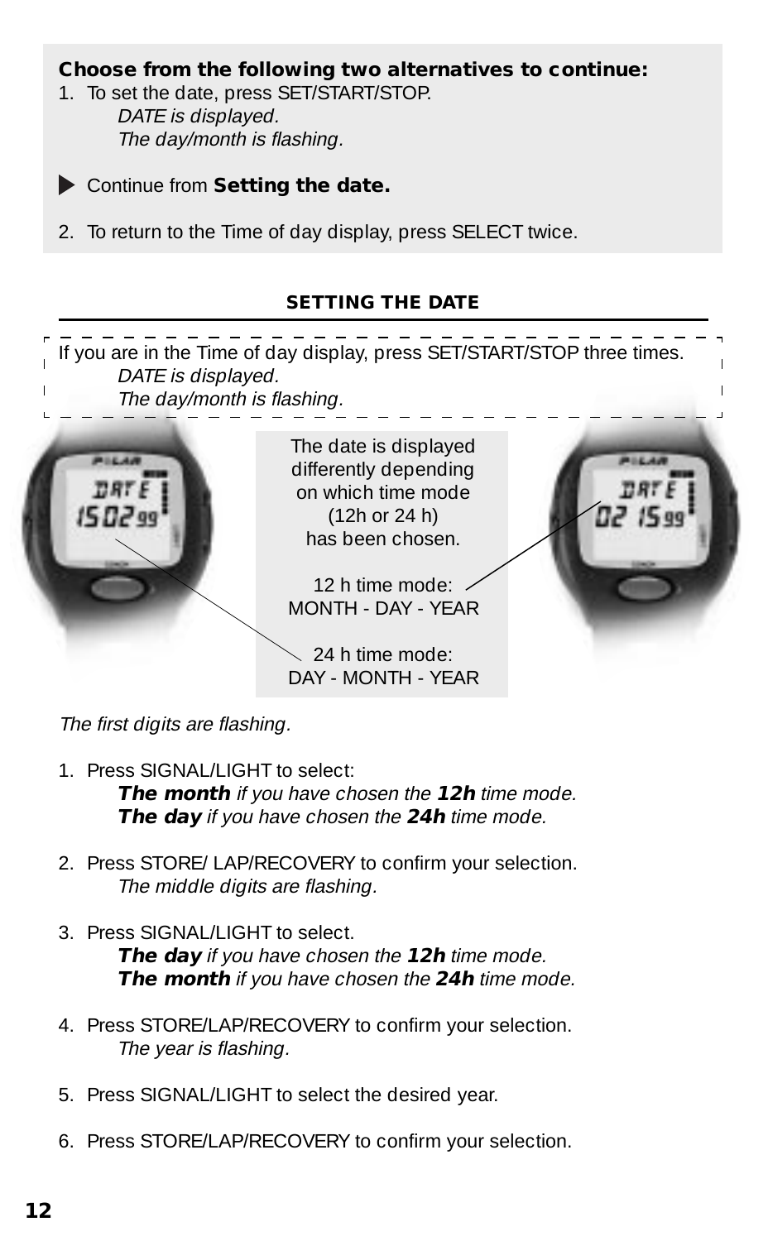#### **Choose from the following two alternatives to continue:**

- 1. To set the date, press SET/START/STOP. DATE is displayed. The day/month is flashing.
- 

Continue from **Setting the date.**

2. To return to the Time of day display, press SELECT twice.

#### **SETTING THE DATE**



The first digits are flashing.

1. Press SIGNAL/LIGHT to select:

**The month** if you have chosen the **12h** time mode. **The day** if you have chosen the **24h** time mode.

- 2. Press STORE/ LAP/RECOVERY to confirm your selection. The middle digits are flashing.
- 3. Press SIGNAL/LIGHT to select. **The day** if you have chosen the **12h** time mode. **The month** if you have chosen the **24h** time mode.
- 4. Press STORE/LAP/RECOVERY to confirm your selection. The year is flashing.
- 5. Press SIGNAL/LIGHT to select the desired year.
- 6. Press STORE/LAP/RECOVERY to confirm your selection.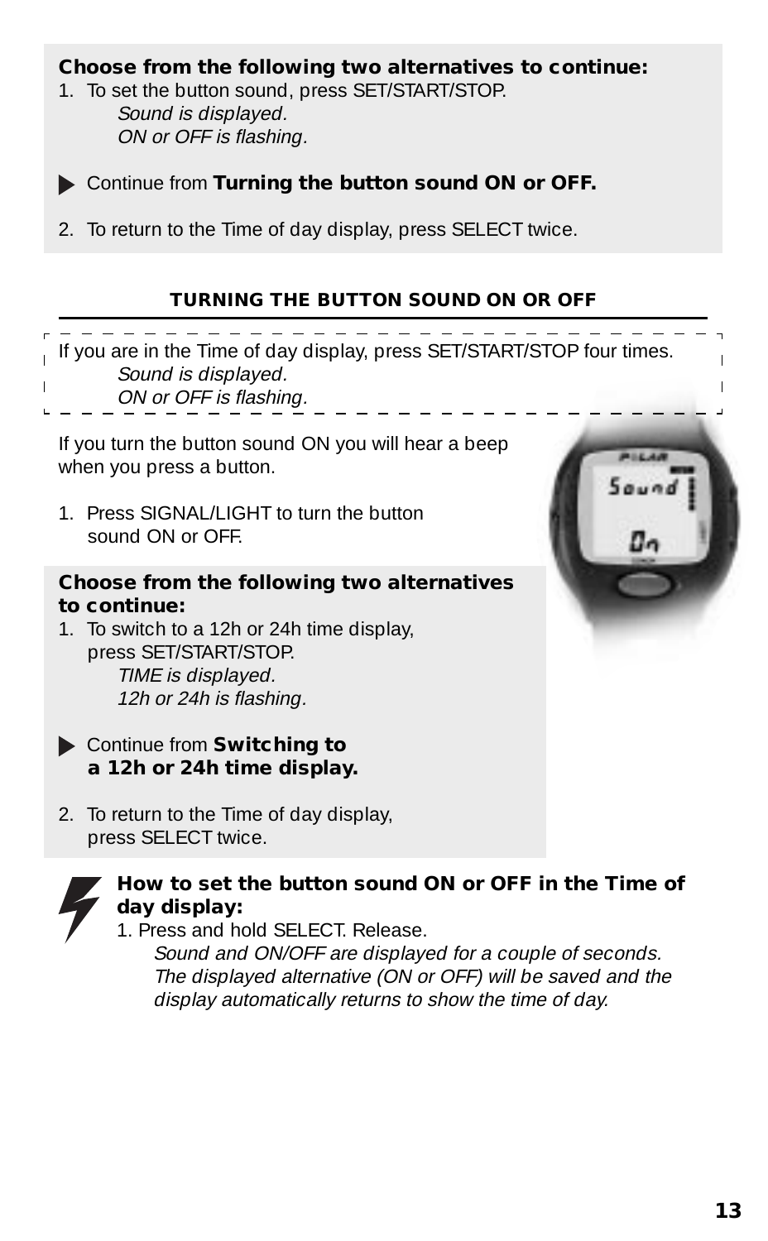#### **Choose from the following two alternatives to continue:**

- 1. To set the button sound, press SET/START/STOP. Sound is displayed. ON or OFF is flashing.
- 

Continue from **Turning the button sound ON or OFF.**

2. To return to the Time of day display, press SELECT twice.

#### **TURNING THE BUTTON SOUND ON OR OFF**

If you are in the Time of day display, press SET/START/STOP four times. Sound is displayed.

- ON or OFF is flashing.
- 

If you turn the button sound ON you will hear a beep when you press a button.

1. Press SIGNAL/LIGHT to turn the button sound ON or OFF.

#### **Choose from the following two alternatives to continue:**

1. To switch to a 12h or 24h time display, press SET/START/STOP. TIME is displayed. 12h or 24h is flashing.

- Continue from **Switching to a 12h or 24h time display.**
- 2. To return to the Time of day display, press SELECT twice.



#### **How to set the button sound ON or OFF in the Time of day display:**

1. Press and hold SELECT. Release.

Sound and ON/OFF are displayed for a couple of seconds. The displayed alternative (ON or OFF) will be saved and the display automatically returns to show the time of day.

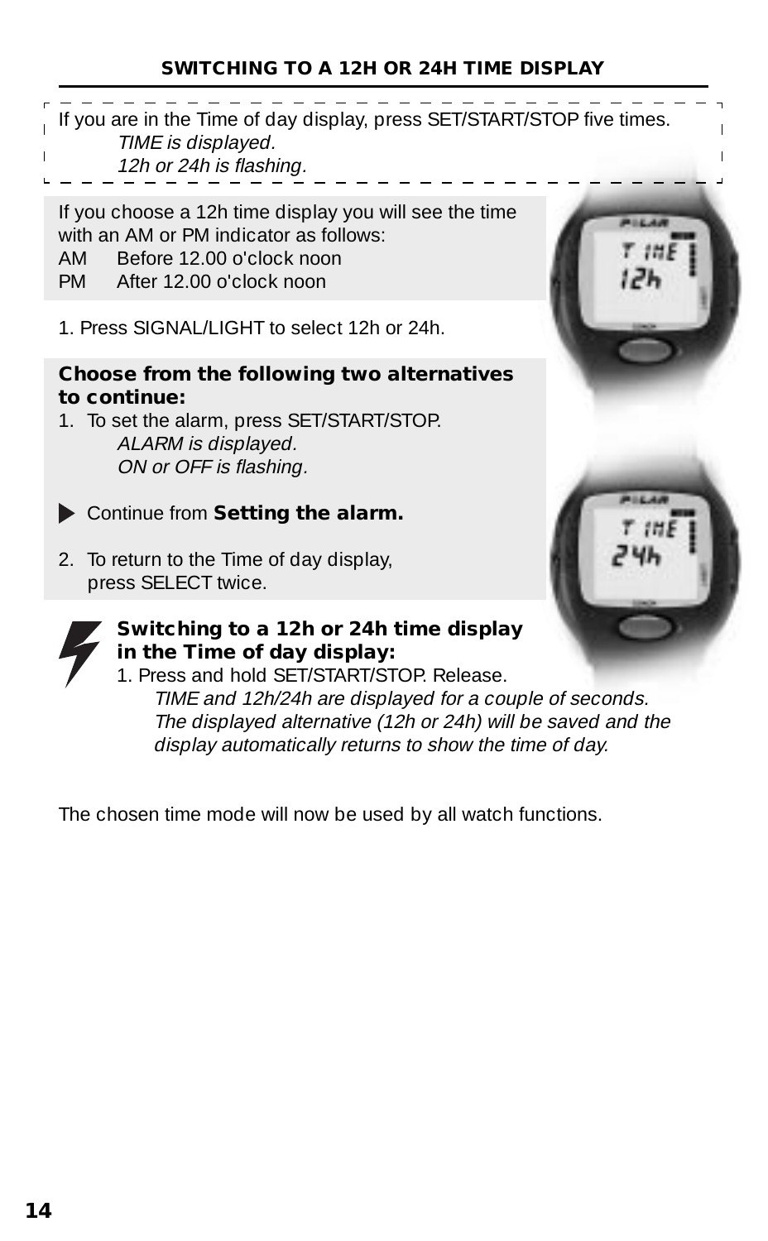#### **SWITCHING TO A 12H OR 24H TIME DISPLAY**

- If you are in the Time of day display, press SET/START/STOP five times. TIME is displayed.
- 12h or 24h is flashing.

If you choose a 12h time display you will see the time with an AM or PM indicator as follows: AM Before 12.00 o'clock noon PM After 12.00 o'clock noon

1. Press SIGNAL/LIGHT to select 12h or 24h.

#### **Choose from the following two alternatives to continue:**

- 1. To set the alarm, press SET/START/STOP. ALARM is displayed. ON or OFF is flashing.
- Continue from **Setting the alarm.**
- 2. To return to the Time of day display, press SELECT twice.



#### **Switching to a 12h or 24h time display in the Time of day display:**

1. Press and hold SET/START/STOP. Release. TIME and 12h/24h are displayed for a couple of seconds. The displayed alternative (12h or 24h) will be saved and the display automatically returns to show the time of day.

The chosen time mode will now be used by all watch functions.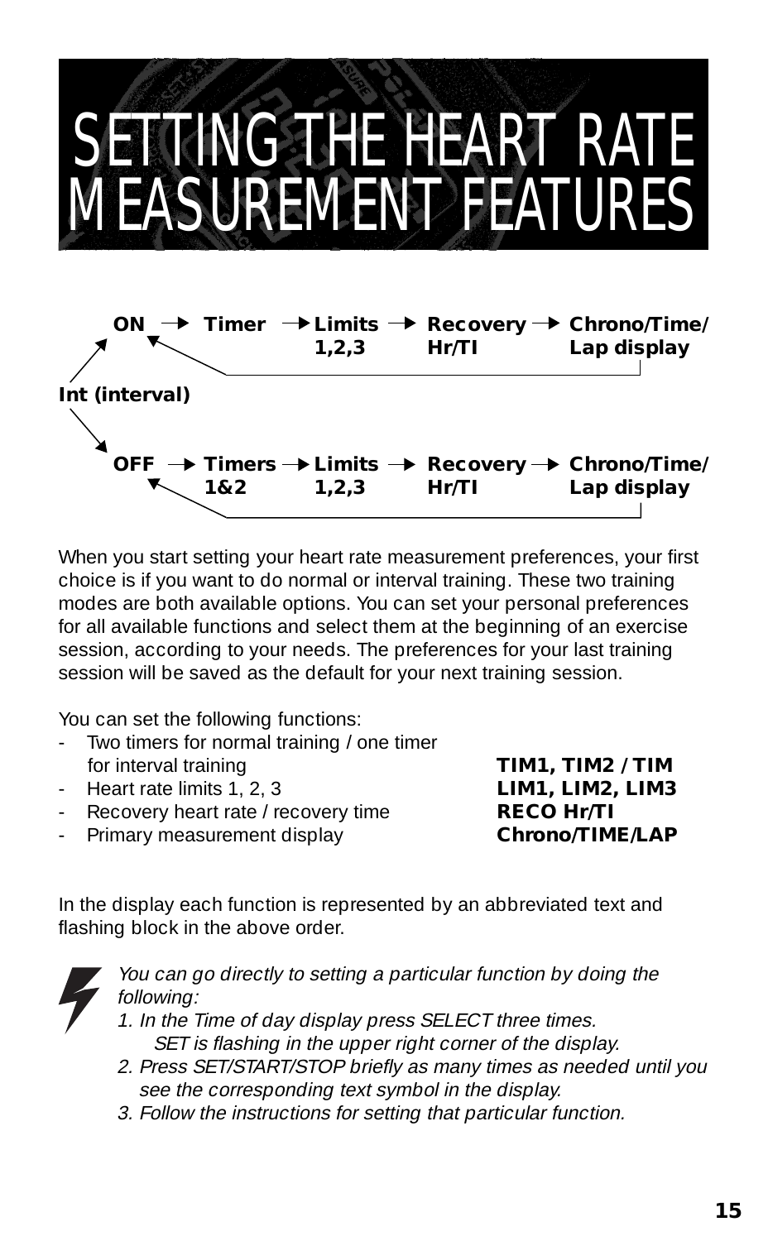### SETTING THE HEART RATE MEASUREMENT FEATURES



When you start setting your heart rate measurement preferences, your first choice is if you want to do normal or interval training. These two training modes are both available options. You can set your personal preferences for all available functions and select them at the beginning of an exercise session, according to your needs. The preferences for your last training session will be saved as the default for your next training session.

You can set the following functions:

- Two timers for normal training / one timer<br>for interval training
- Heart rate limits 1, 2, 3 **LIM1, LIM2, LIM3**
- Recovery heart rate / recovery time **RECO Hr/TI**
- Primary measurement display **Chrono/TIME/LAP**

for interval training **TIM1, TIM2 / TIM**

In the display each function is represented by an abbreviated text and flashing block in the above order.



- You can go directly to setting a particular function by doing the following:
- 1. In the Time of day display press SELECT three times. SET is flashing in the upper right corner of the display.
- 2. Press SET/START/STOP briefly as many times as needed until you see the corresponding text symbol in the display.
- 3. Follow the instructions for setting that particular function.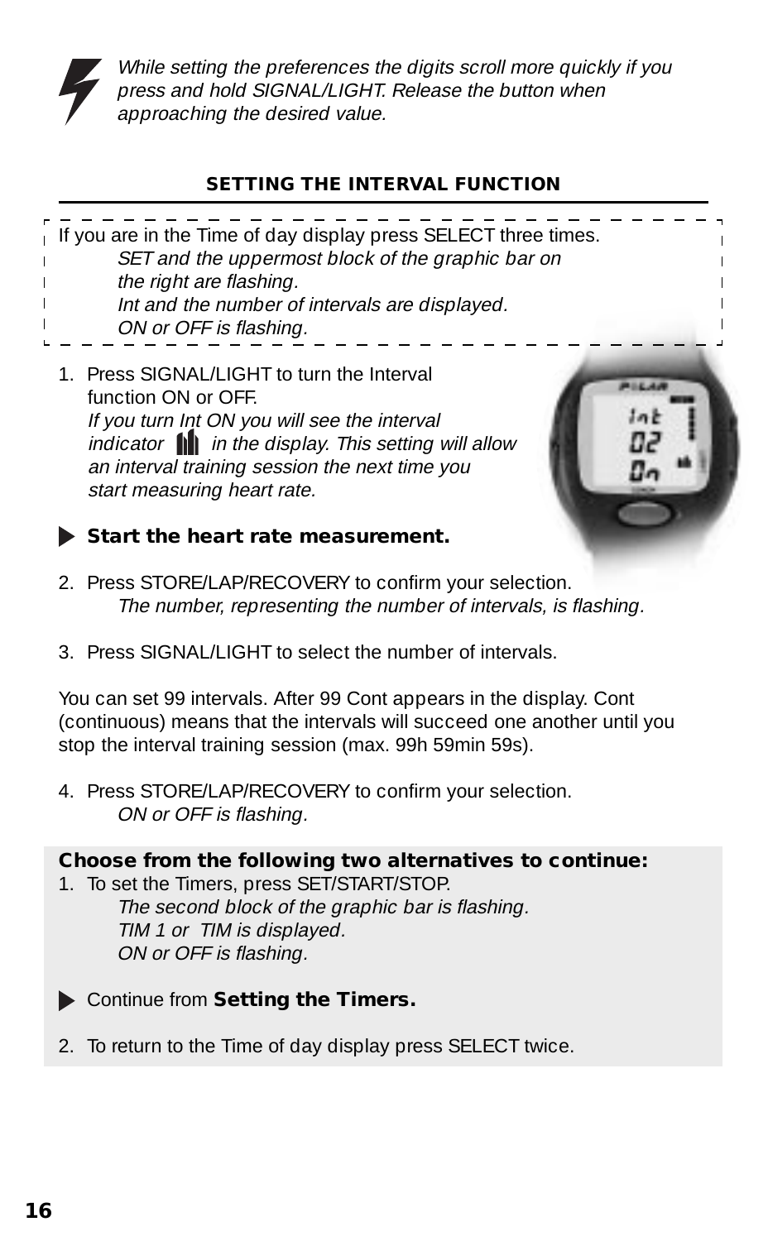

While setting the preferences the digits scroll more quickly if you press and hold SIGNAL/LIGHT. Release the button when approaching the desired value.

#### **SETTING THE INTERVAL FUNCTION**

| If you are in the Time of day display press SELECT three times.<br>SET and the uppermost block of the graphic bar on<br>the right are flashing.<br>Int and the number of intervals are displayed.<br>ON or OFF is flashing. |  |
|-----------------------------------------------------------------------------------------------------------------------------------------------------------------------------------------------------------------------------|--|
| 1. Press SIGNAL/LIGHT to turn the Interval<br>function ON or OFF.<br>If you turn Int ON you will see the interval<br>indicator $\mathbf{h}$ in the display. This setting will allow                                         |  |

indicator **in** in the display. This setting will allow an interval training session the next time you start measuring heart rate.



#### **Start the heart rate measurement.**

- 2. Press STORE/LAP/RECOVERY to confirm your selection. The number, representing the number of intervals, is flashing.
- 3. Press SIGNAL/LIGHT to select the number of intervals.

You can set 99 intervals. After 99 Cont appears in the display. Cont (continuous) means that the intervals will succeed one another until you stop the interval training session (max. 99h 59min 59s).

4. Press STORE/LAP/RECOVERY to confirm your selection. ON or OFF is flashing.

#### **Choose from the following two alternatives to continue:**

1. To set the Timers, press SET/START/STOP. The second block of the graphic bar is flashing. TIM 1 or TIM is displayed. ON or OFF is flashing.

- Continue from **Setting the Timers.**
- 2. To return to the Time of day display press SELECT twice.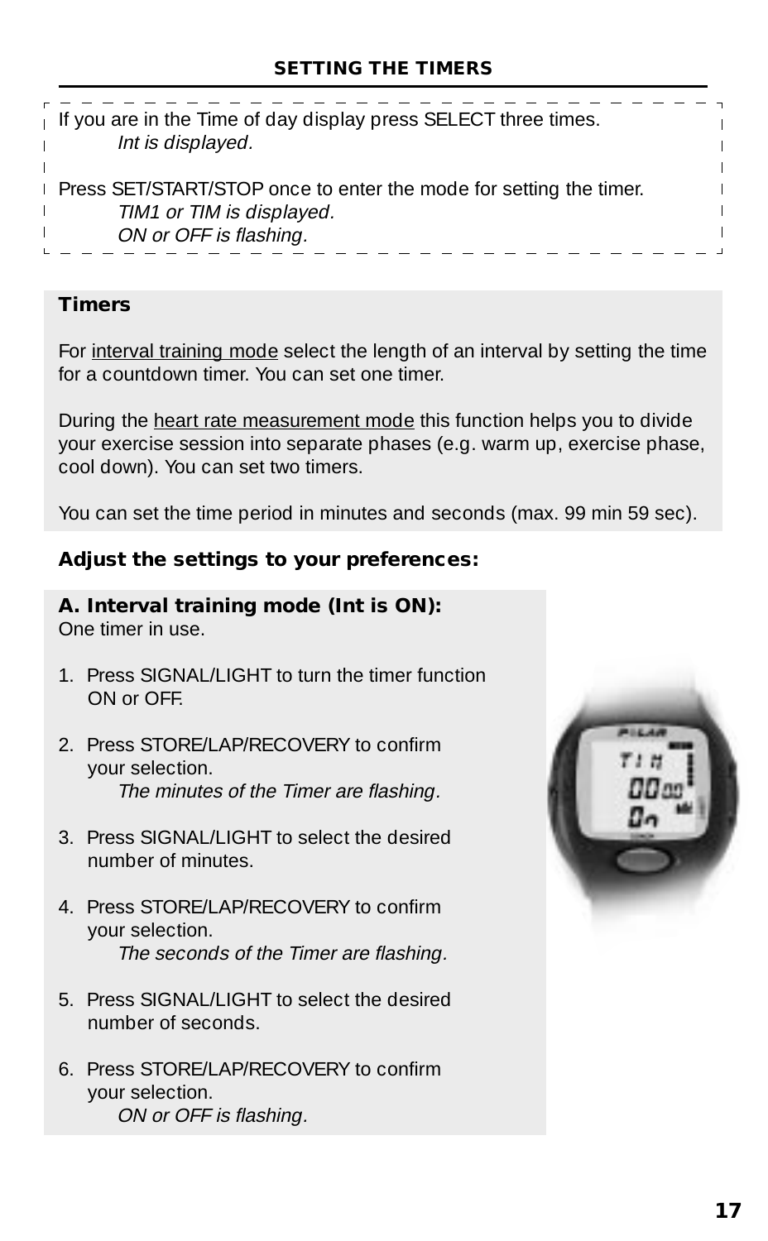| <b>Press SET/START/STOP once to enter the mode for setting the timer.</b><br>TIM1 or TIM is displayed. | If you are in the Time of day display press SELECT three times.<br>Int is displayed. |  |
|--------------------------------------------------------------------------------------------------------|--------------------------------------------------------------------------------------|--|
|                                                                                                        | ON or OFF is flashing.                                                               |  |

#### **Timers**

For interval training mode select the length of an interval by setting the time for a countdown timer. You can set one timer.

During the heart rate measurement mode this function helps you to divide your exercise session into separate phases (e.g. warm up, exercise phase, cool down). You can set two timers.

You can set the time period in minutes and seconds (max. 99 min 59 sec).

#### **Adjust the settings to your preferences:**

#### **A. Interval training mode (Int is ON):**

One timer in use.

- 1. Press SIGNAL/LIGHT to turn the timer function ON or OFF.
- 2. Press STORE/LAP/RECOVERY to confirm your selection. The minutes of the Timer are flashing.
- 3. Press SIGNAL/LIGHT to select the desired number of minutes.
- 4. Press STORE/LAP/RECOVERY to confirm your selection. The seconds of the Timer are flashing.
- 5. Press SIGNAL/LIGHT to select the desired number of seconds.
- 6. Press STORE/LAP/RECOVERY to confirm your selection. ON or OFF is flashing.

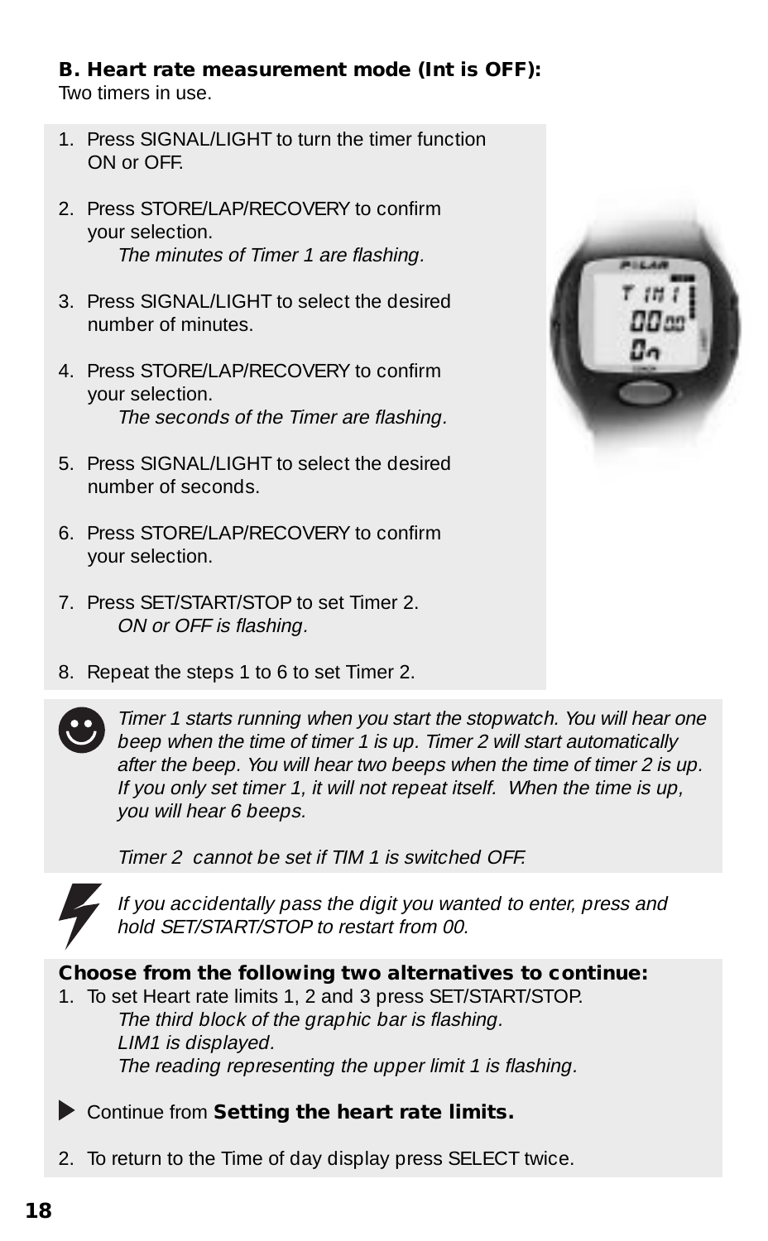#### **B. Heart rate measurement mode (Int is OFF):**

Two timers in use.

- 1. Press SIGNAL/LIGHT to turn the timer function ON or OFF.
- 2. Press STORE/LAP/RECOVERY to confirm your selection. The minutes of Timer 1 are flashing.
- 3. Press SIGNAL/LIGHT to select the desired number of minutes.
- 4. Press STORE/LAP/RECOVERY to confirm your selection. The seconds of the Timer are flashing.
- 5. Press SIGNAL/LIGHT to select the desired number of seconds.
- 6. Press STORE/LAP/RECOVERY to confirm your selection.
- 7. Press SET/START/STOP to set Timer 2. ON or OFF is flashing.
- 8. Repeat the steps 1 to 6 to set Timer 2.





Timer 1 starts running when you start the stopwatch. You will hear one beep when the time of timer 1 is up. Timer 2 will start automatically after the beep. You will hear two beeps when the time of timer 2 is up. If you only set timer 1, it will not repeat itself. When the time is up, you will hear 6 beeps.

Timer 2 cannot be set if TIM 1 is switched OFF.



If you accidentally pass the digit you wanted to enter, press and hold SET/START/STOP to restart from 00.

#### **Choose from the following two alternatives to continue:**

- 1. To set Heart rate limits 1, 2 and 3 press SET/START/STOP. The third block of the graphic bar is flashing. LIM1 is displayed. The reading representing the upper limit 1 is flashing.
- Continue from **Setting the heart rate limits.**
- 2. To return to the Time of day display press SELECT twice.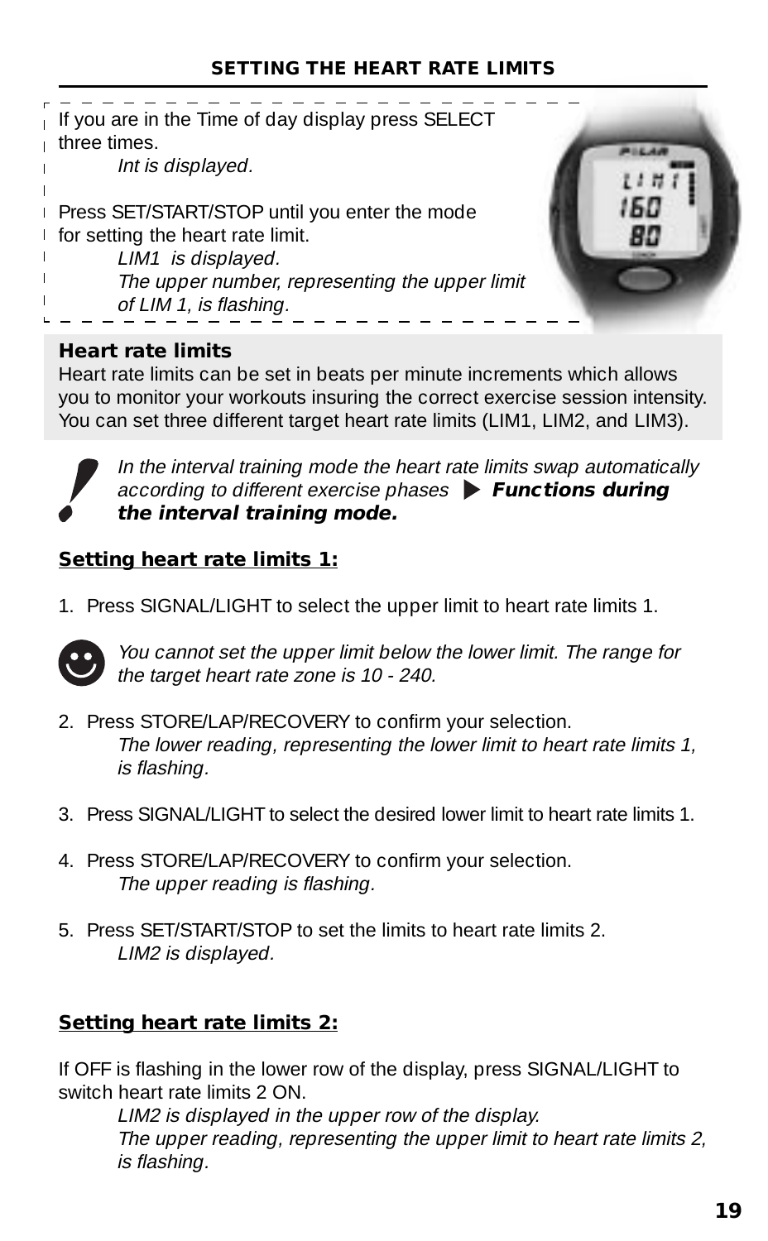#### **SETTING THE HEART RATE LIMITS**



#### **Heart rate limits**

Heart rate limits can be set in beats per minute increments which allows you to monitor your workouts insuring the correct exercise session intensity. You can set three different target heart rate limits (LIM1, LIM2, and LIM3).



In the interval training mode the heart rate limits swap automatically according to different exercise phases **Functions during the interval training mode.**

#### **Setting heart rate limits 1:**

1. Press SIGNAL/LIGHT to select the upper limit to heart rate limits 1.



You cannot set the upper limit below the lower limit. The range for the target heart rate zone is 10 - 240.

- 2. Press STORE/LAP/RECOVERY to confirm your selection. The lower reading, representing the lower limit to heart rate limits 1, is flashing.
- 3. Press SIGNAL/LIGHT to select the desired lower limit to heart rate limits 1.
- 4. Press STORE/LAP/RECOVERY to confirm your selection. The upper reading is flashing.
- 5. Press SET/START/STOP to set the limits to heart rate limits 2. LIM2 is displayed.

#### **Setting heart rate limits 2:**

If OFF is flashing in the lower row of the display, press SIGNAL/LIGHT to switch heart rate limits 2 ON.

LIM2 is displayed in the upper row of the display. The upper reading, representing the upper limit to heart rate limits 2, is flashing.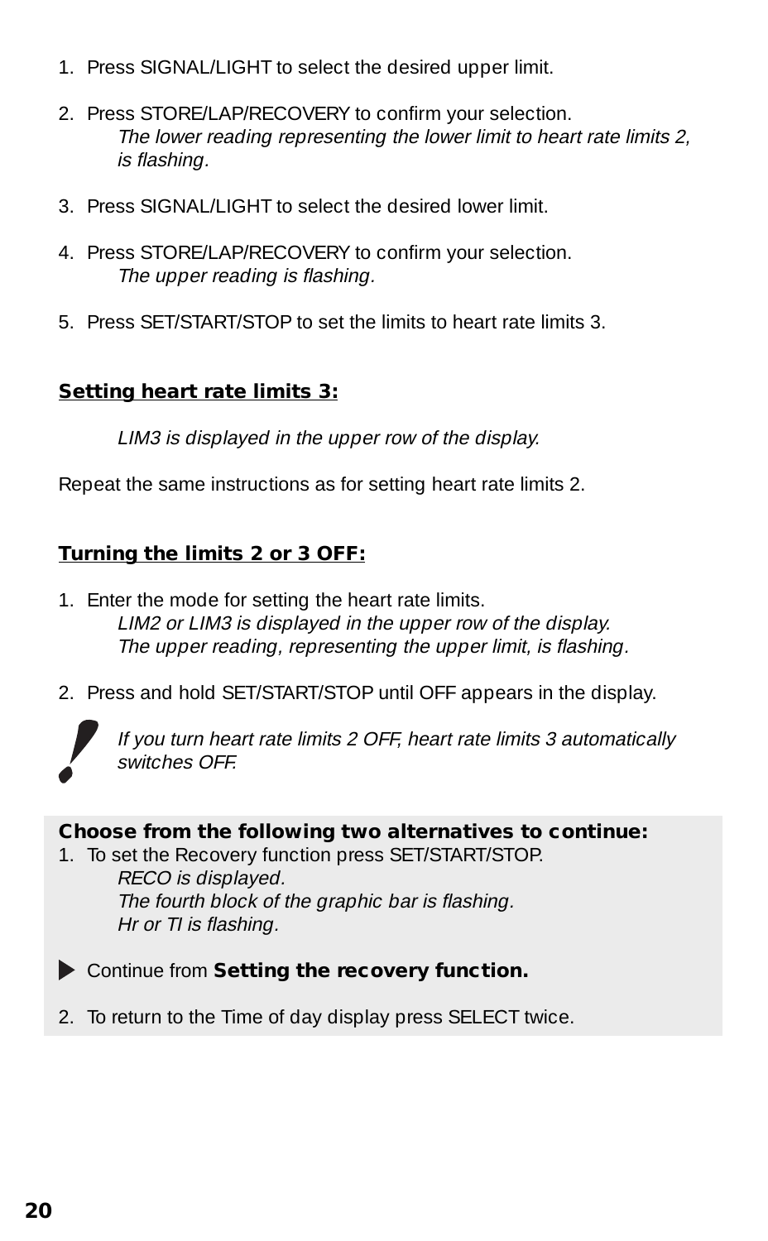- 1. Press SIGNAL/LIGHT to select the desired upper limit.
- 2. Press STORE/LAP/RECOVERY to confirm your selection. The lower reading representing the lower limit to heart rate limits 2, is flashing.
- 3. Press SIGNAL/LIGHT to select the desired lower limit.
- 4. Press STORE/LAP/RECOVERY to confirm your selection. The upper reading is flashing.
- 5. Press SET/START/STOP to set the limits to heart rate limits 3.

#### **Setting heart rate limits 3:**

LIM3 is displayed in the upper row of the display.

Repeat the same instructions as for setting heart rate limits 2.

#### **Turning the limits 2 or 3 OFF:**

- 1. Enter the mode for setting the heart rate limits. LIM2 or LIM3 is displayed in the upper row of the display. The upper reading, representing the upper limit, is flashing.
- 2. Press and hold SET/START/STOP until OFF appears in the display.



If you turn heart rate limits 2 OFF, heart rate limits 3 automatically switches OFF.

#### **Choose from the following two alternatives to continue:**

- 1. To set the Recovery function press SET/START/STOP. RECO is displayed. The fourth block of the graphic bar is flashing. Hr or TI is flashing.
- Continue from **Setting the recovery function.**
- 2. To return to the Time of day display press SELECT twice.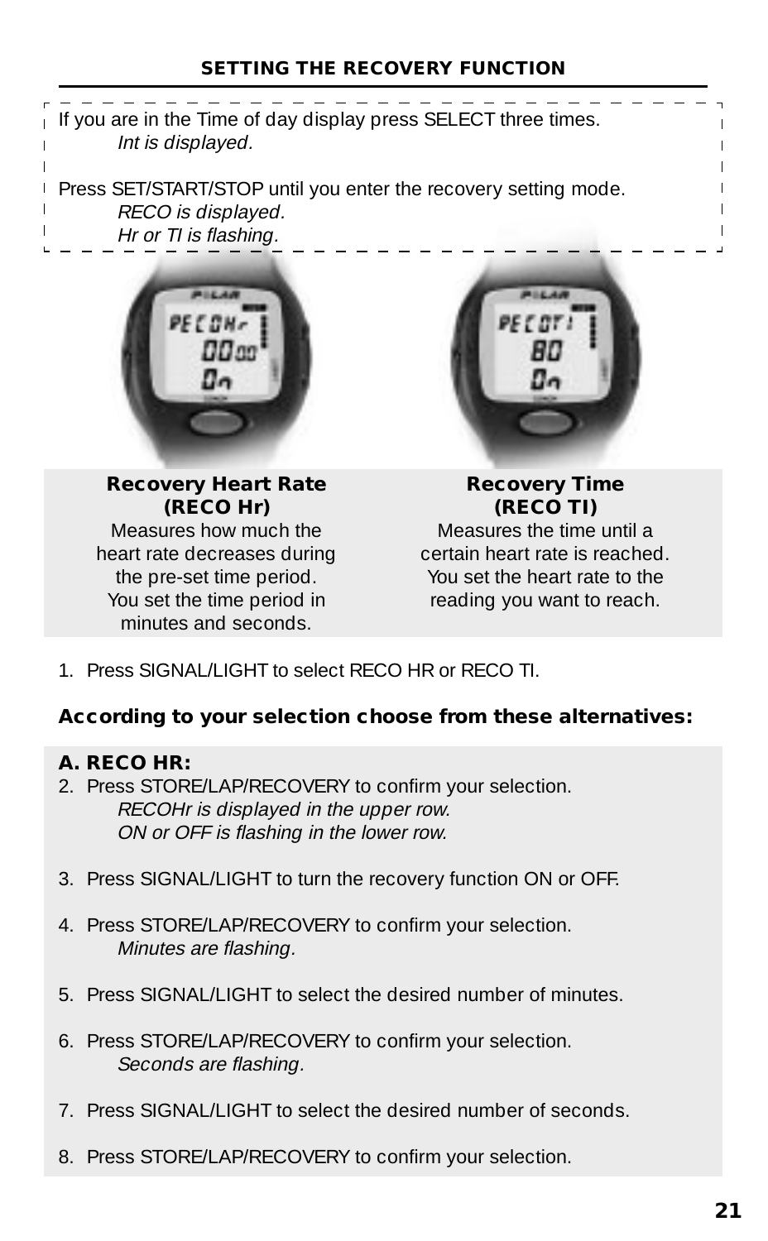#### **SETTING THE RECOVERY FUNCTION**



1. Press SIGNAL/LIGHT to select RECO HR or RECO TI.

#### **According to your selection choose from these alternatives:**

#### **A. RECO HR:**

- 2. Press STORE/LAP/RECOVERY to confirm your selection. RECOHr is displayed in the upper row. ON or OFF is flashing in the lower row.
- 3. Press SIGNAL/LIGHT to turn the recovery function ON or OFF.
- 4. Press STORE/LAP/RECOVERY to confirm your selection. Minutes are flashing.
- 5. Press SIGNAL/LIGHT to select the desired number of minutes.
- 6. Press STORE/LAP/RECOVERY to confirm your selection. Seconds are flashing.
- 7. Press SIGNAL/LIGHT to select the desired number of seconds.
- 8. Press STORE/LAP/RECOVERY to confirm your selection.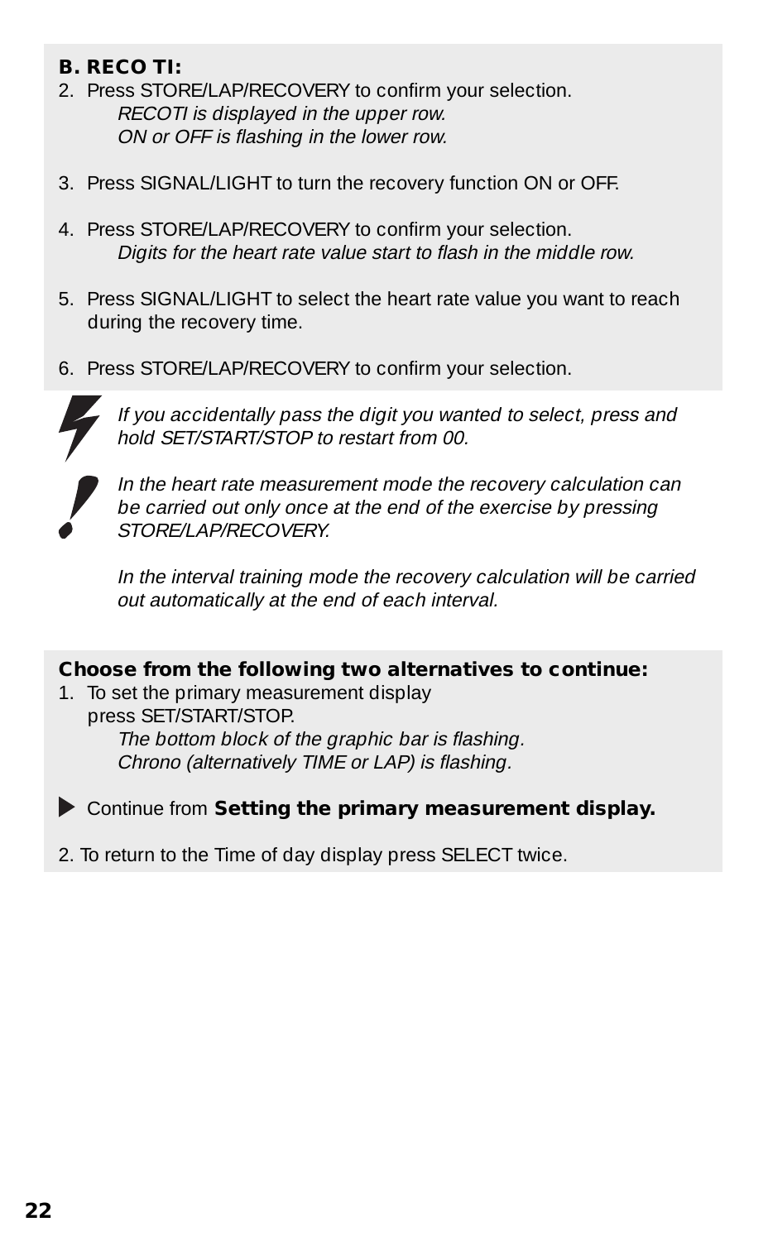#### **B. RECO TI:**

- 2. Press STORE/LAP/RECOVERY to confirm your selection. RECOTI is displayed in the upper row. ON or OFF is flashing in the lower row.
- 3. Press SIGNAL/LIGHT to turn the recovery function ON or OFF.
- 4. Press STORE/LAP/RECOVERY to confirm your selection. Digits for the heart rate value start to flash in the middle row.
- 5. Press SIGNAL/LIGHT to select the heart rate value you want to reach during the recovery time.
- 6. Press STORE/LAP/RECOVERY to confirm your selection.



If you accidentally pass the digit you wanted to select, press and hold SET/START/STOP to restart from 00.



In the heart rate measurement mode the recovery calculation can be carried out only once at the end of the exercise by pressing STORE/LAP/RECOVERY.

In the interval training mode the recovery calculation will be carried out automatically at the end of each interval.

#### **Choose from the following two alternatives to continue:**

1. To set the primary measurement display press SET/START/STOP. The bottom block of the graphic bar is flashing. Chrono (alternatively TIME or LAP) is flashing.

Continue from **Setting the primary measurement display.**

2. To return to the Time of day display press SELECT twice.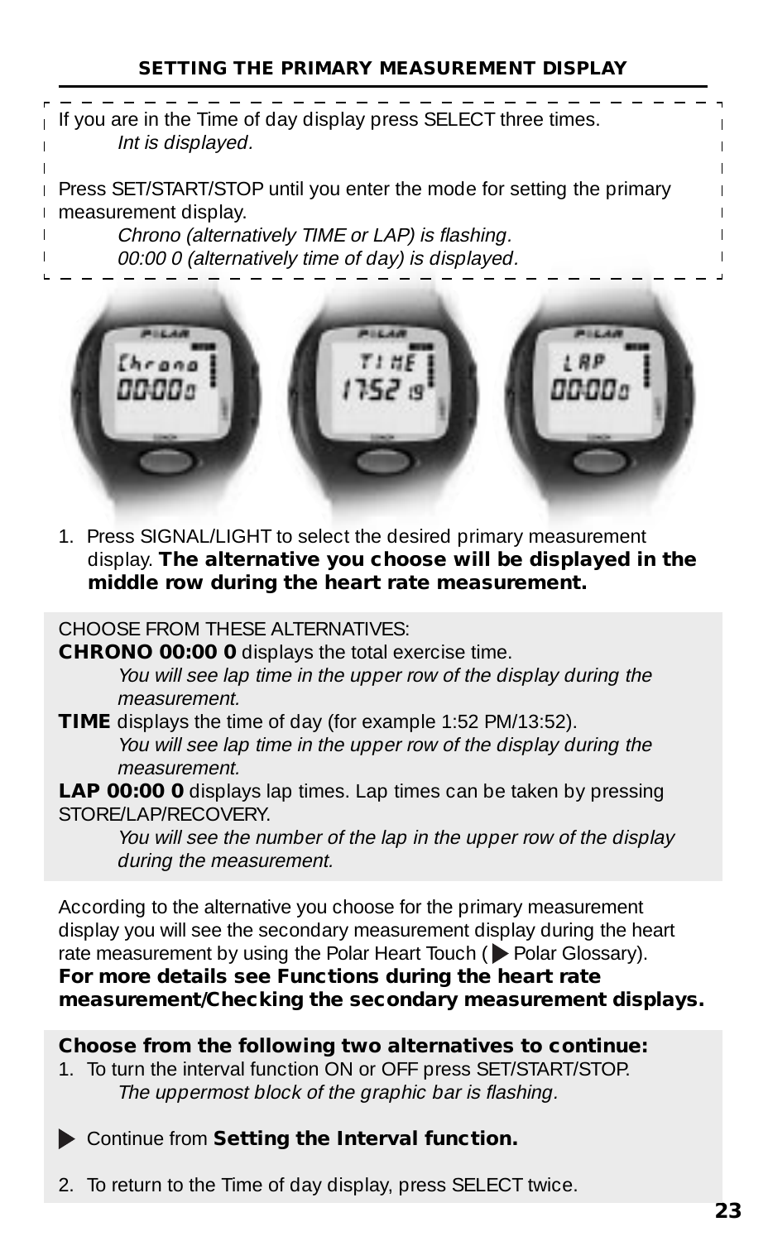#### **SETTING THE PRIMARY MEASUREMENT DISPLAY**





1. Press SIGNAL/LIGHT to select the desired primary measurement display. **The alternative you choose will be displayed in the middle row during the heart rate measurement.**

CHOOSE FROM THESE ALTERNATIVES:

**CHRONO 00:00 0** displays the total exercise time. You will see lap time in the upper row of the display during the measurement.

**TIME** displays the time of day (for example 1:52 PM/13:52). You will see lap time in the upper row of the display during the measurement.

**LAP 00:00 0** displays lap times. Lap times can be taken by pressing STORE/LAP/RECOVERY

You will see the number of the lap in the upper row of the display during the measurement.

According to the alternative you choose for the primary measurement display you will see the secondary measurement display during the heart rate measurement by using the Polar Heart Touch ( $\blacktriangleright$  Polar Glossary).

#### **For more details see Functions during the heart rate measurement/Checking the secondary measurement displays.**

#### **Choose from the following two alternatives to continue:**

- 1. To turn the interval function ON or OFF press SET/START/STOP. The uppermost block of the graphic bar is flashing.
- Continue from **Setting the Interval function.**
- 2. To return to the Time of day display, press SELECT twice.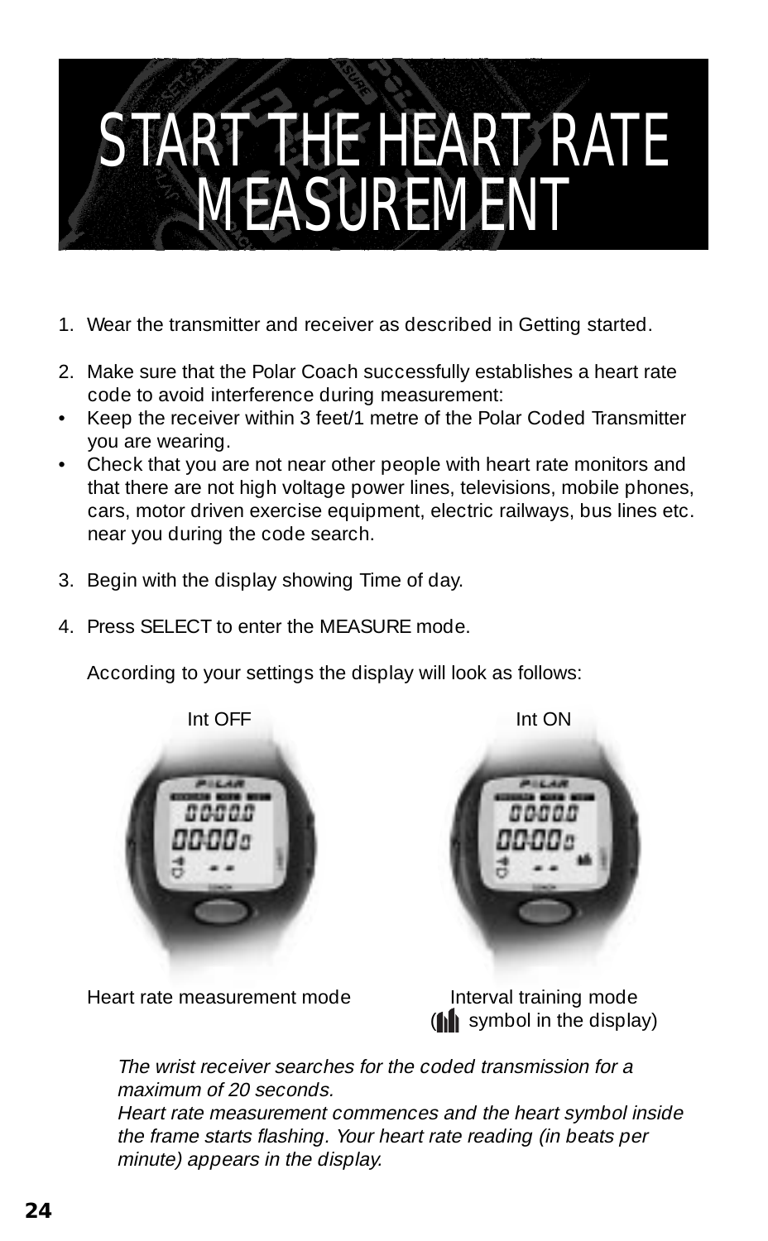### START THE HEART RATE MEASUREMENT

- 1. Wear the transmitter and receiver as described in Getting started.
- 2. Make sure that the Polar Coach successfully establishes a heart rate code to avoid interference during measurement:
- Keep the receiver within 3 feet/1 metre of the Polar Coded Transmitter you are wearing.
- Check that you are not near other people with heart rate monitors and that there are not high voltage power lines, televisions, mobile phones, cars, motor driven exercise equipment, electric railways, bus lines etc. near you during the code search.
- 3. Begin with the display showing Time of day.
- 4. Press SELECT to enter the MEASURE mode.

According to your settings the display will look as follows:



Heart rate measurement mode<br>
Interval training mode

 $(\| \cdot \|)$  symbol in the display)

The wrist receiver searches for the coded transmission for a maximum of 20 seconds.

Heart rate measurement commences and the heart symbol inside the frame starts flashing. Your heart rate reading (in beats per minute) appears in the display.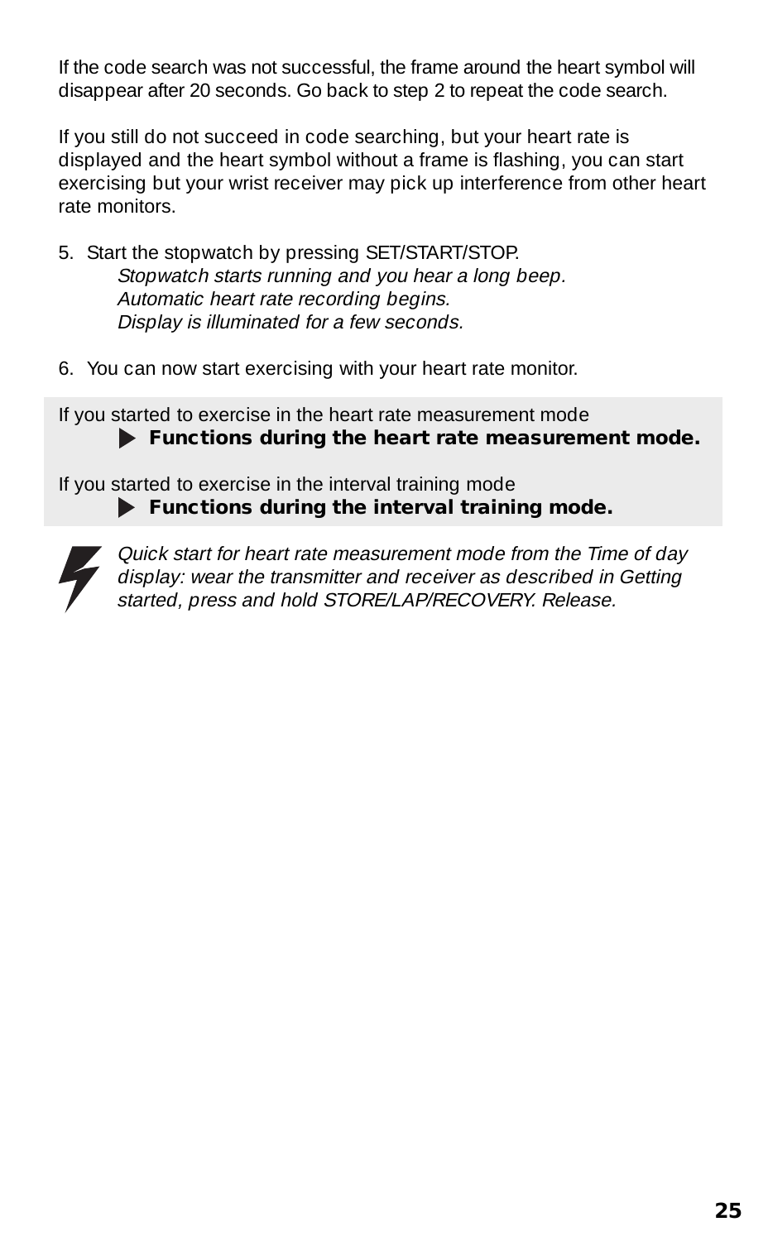If the code search was not successful, the frame around the heart symbol will disappear after 20 seconds. Go back to step 2 to repeat the code search.

If you still do not succeed in code searching, but your heart rate is displayed and the heart symbol without a frame is flashing, you can start exercising but your wrist receiver may pick up interference from other heart rate monitors.

- 5. Start the stopwatch by pressing SET/START/STOP. Stopwatch starts running and you hear a long beep. Automatic heart rate recording begins. Display is illuminated for a few seconds.
- 6. You can now start exercising with your heart rate monitor.

If you started to exercise in the heart rate measurement mode  **Functions during the heart rate measurement mode.**

If you started to exercise in the interval training mode  **Functions during the interval training mode.**



Quick start for heart rate measurement mode from the Time of day display: wear the transmitter and receiver as described in Getting started, press and hold STORE/LAP/RECOVERY. Release.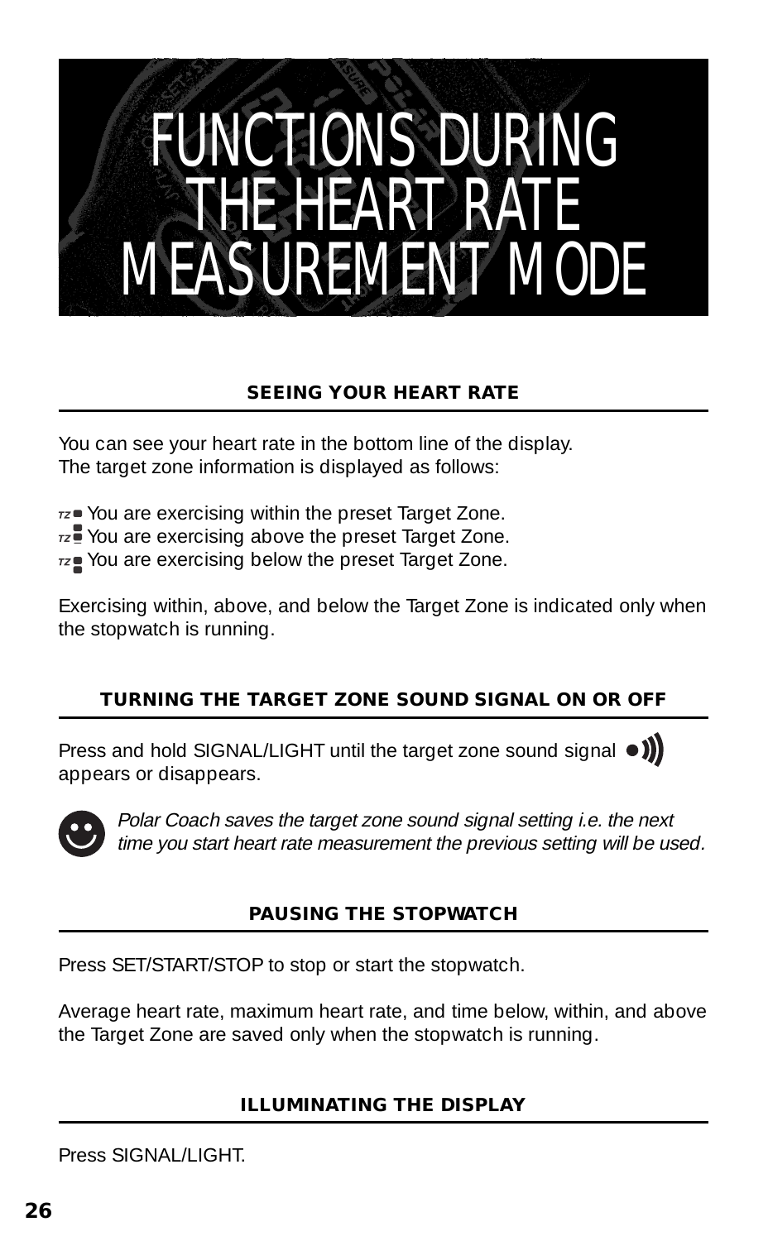### FUNCTIONS DURING THE HEART MEASUREMENT MODE

#### **SEEING YOUR HEART RATE**

You can see your heart rate in the bottom line of the display. The target zone information is displayed as follows:

 $rz$  You are exercising within the preset Target Zone.

 $7z$  You are exercising above the preset Target Zone.

 $rz$  You are exercising below the preset Target Zone.

Exercising within, above, and below the Target Zone is indicated only when the stopwatch is running.

#### **TURNING THE TARGET ZONE SOUND SIGNAL ON OR OFF**

Press and hold SIGNAL/LIGHT until the target zone sound signal  $\bullet$ ) appears or disappears.



Polar Coach saves the target zone sound signal setting i.e. the next time you start heart rate measurement the previous setting will be used.

#### **PAUSING THE STOPWATCH**

Press SET/START/STOP to stop or start the stopwatch.

Average heart rate, maximum heart rate, and time below, within, and above the Target Zone are saved only when the stopwatch is running.

#### **ILLUMINATING THE DISPLAY**

Press SIGNAL /LIGHT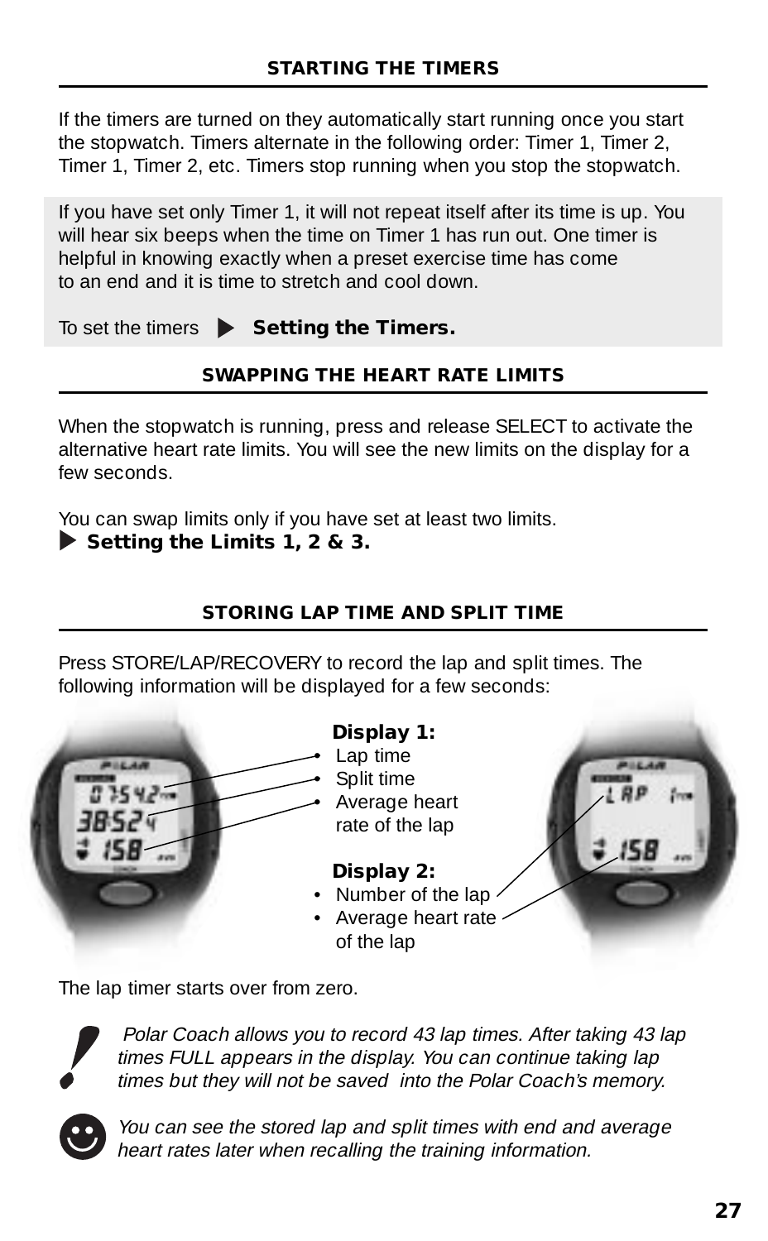If the timers are turned on they automatically start running once you start the stopwatch. Timers alternate in the following order: Timer 1, Timer 2, Timer 1, Timer 2, etc. Timers stop running when you stop the stopwatch.

If you have set only Timer 1, it will not repeat itself after its time is up. You will hear six beeps when the time on Timer 1 has run out. One timer is helpful in knowing exactly when a preset exercise time has come to an end and it is time to stretch and cool down.

To set the timers  $\triangleright$  **Setting the Timers.** 

#### **SWAPPING THE HEART RATE LIMITS**

When the stopwatch is running, press and release SELECT to activate the alternative heart rate limits. You will see the new limits on the display for a few seconds.

You can swap limits only if you have set at least two limits.

**Setting the Limits 1, 2 & 3.**

#### **STORING LAP TIME AND SPLIT TIME**

Press STORE/LAP/RECOVERY to record the lap and split times. The following information will be displayed for a few seconds:



The lap timer starts over from zero.



 Polar Coach allows you to record 43 lap times. After taking 43 lap times FULL appears in the display. You can continue taking lap times but they will not be saved into the Polar Coach's memory.



You can see the stored lap and split times with end and average heart rates later when recalling the training information.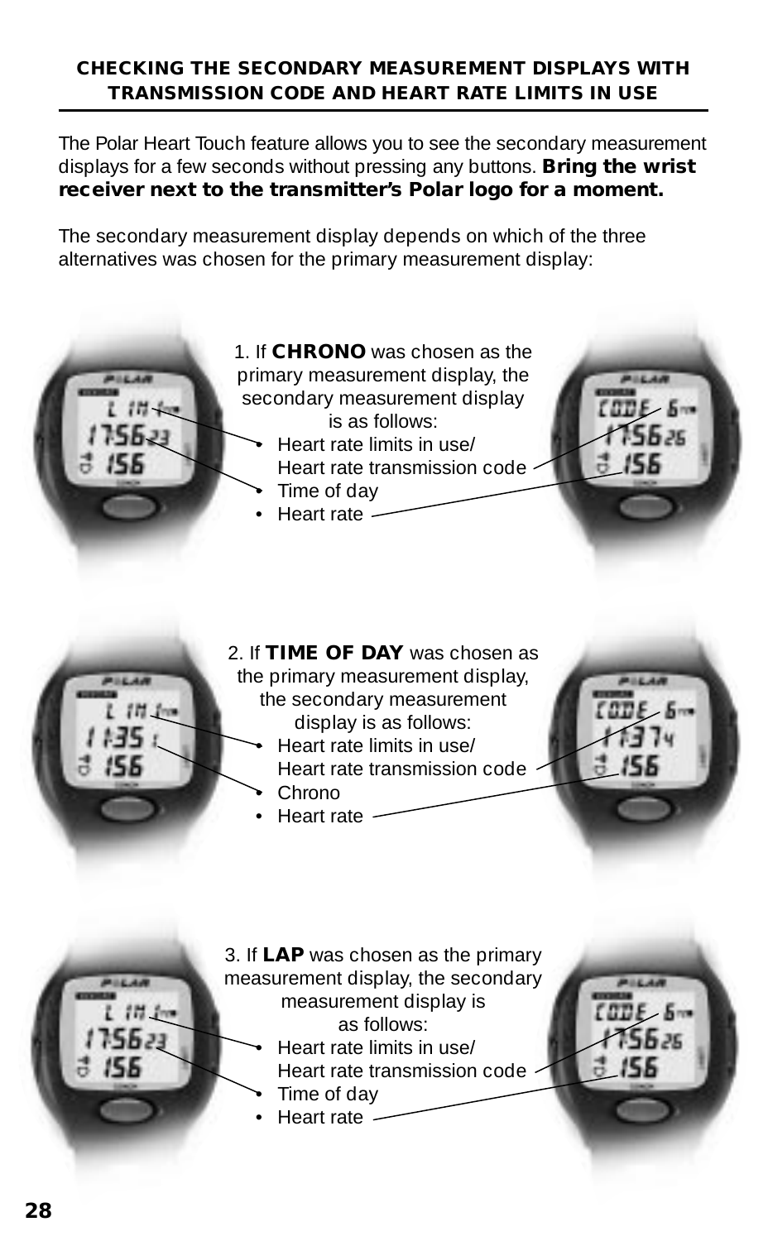#### **CHECKING THE SECONDARY MEASUREMENT DISPLAYS WITH TRANSMISSION CODE AND HEART RATE LIMITS IN USE**

The Polar Heart Touch feature allows you to see the secondary measurement displays for a few seconds without pressing any buttons. **Bring the wrist receiver next to the transmitter's Polar logo for a moment.**

The secondary measurement display depends on which of the three alternatives was chosen for the primary measurement display:



2. If **TIME OF DAY** was chosen as the primary measurement display, the secondary measurement display is as follows: • Heart rate limits in use/

- Heart rate transmission code • Chrono
- Heart rate

3. If **LAP** was chosen as the primary measurement display, the secondary measurement display is as follows:

• Heart rate limits in use/ Heart rate transmission code  $55.35$ 

- Time of day
- Heart rate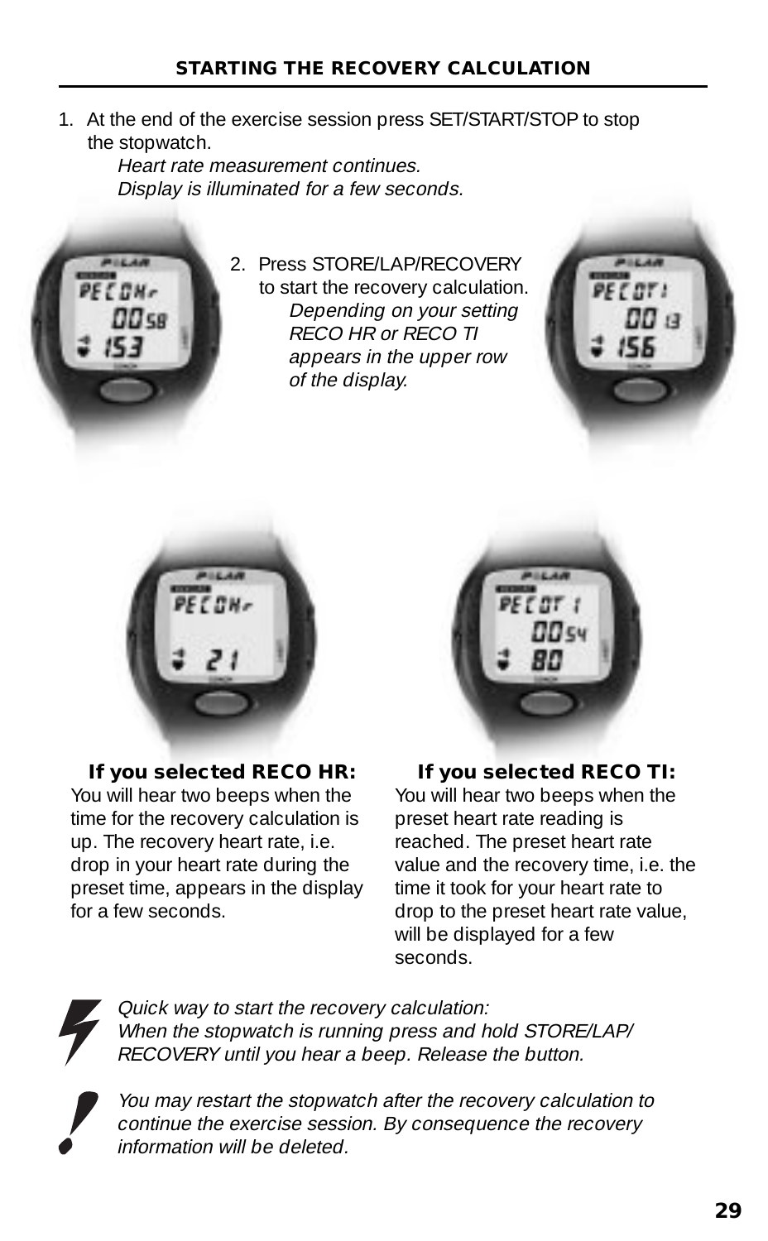1. At the end of the exercise session press SET/START/STOP to stop the stopwatch.

Heart rate measurement continues. Display is illuminated for a few seconds.



2. Press STORE/LAP/RECOVERY to start the recovery calculation. Depending on your setting RECO HR or RECO TI appears in the upper row of the display.





#### **If you selected RECO HR:**

You will hear two beeps when the time for the recovery calculation is up. The recovery heart rate, i.e. drop in your heart rate during the preset time, appears in the display for a few seconds.



#### **If you selected RECO TI:**

You will hear two beeps when the preset heart rate reading is reached. The preset heart rate value and the recovery time, i.e. the time it took for your heart rate to drop to the preset heart rate value, will be displayed for a few seconds.



Quick way to start the recovery calculation: When the stopwatch is running press and hold STORE/LAP/ RECOVERY until you hear a beep. Release the button.

You may restart the stopwatch after the recovery calculation to continue the exercise session. By consequence the recovery information will be deleted.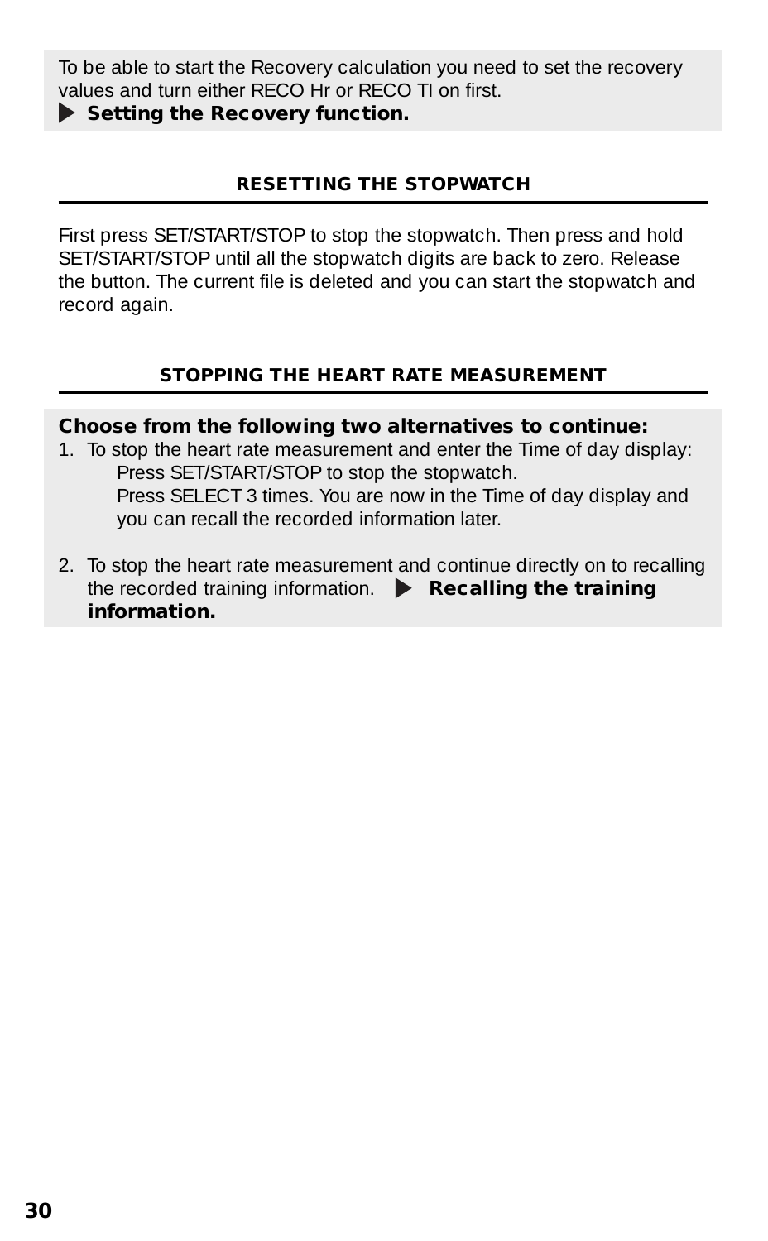To be able to start the Recovery calculation you need to set the recovery values and turn either RECO Hr or RECO TI on first.

**Setting the Recovery function.**

#### **RESETTING THE STOPWATCH**

First press SET/START/STOP to stop the stopwatch. Then press and hold SET/START/STOP until all the stopwatch digits are back to zero. Release the button. The current file is deleted and you can start the stopwatch and record again.

#### **STOPPING THE HEART RATE MEASUREMENT**

#### **Choose from the following two alternatives to continue:**

- 1. To stop the heart rate measurement and enter the Time of day display: Press SET/START/STOP to stop the stopwatch. Press SELECT 3 times. You are now in the Time of day display and you can recall the recorded information later.
- 2. To stop the heart rate measurement and continue directly on to recalling the recorded training information. **Recalling the training information.**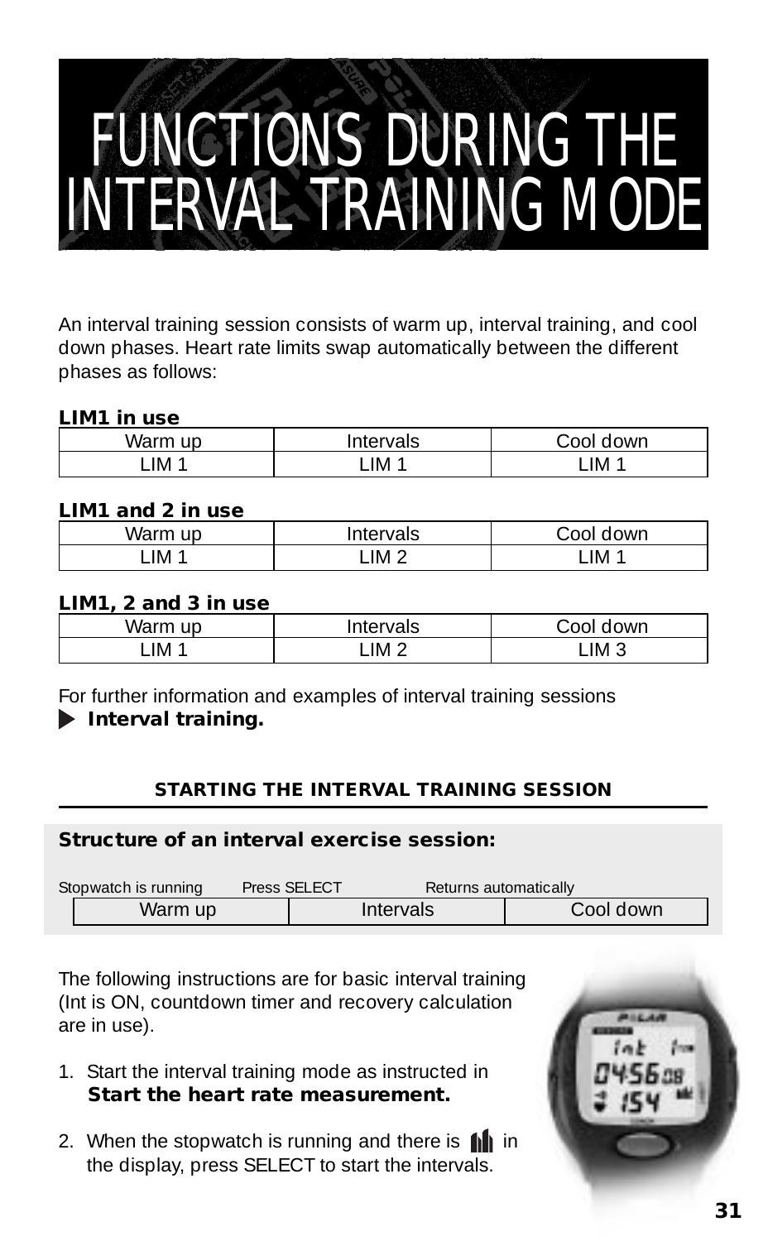### FUNCTIONS DURING THE INTERVAL TRAINING MODE

An interval training session consists of warm up, interval training, and cool down phases. Heart rate limits swap automatically between the different phases as follows:

#### **LIM1 in use**

| Wa<br>$\mathsf{I}$<br>◡ | <b>Section</b><br>'als<br>e. | own   |
|-------------------------|------------------------------|-------|
| IM                      | _IM                          | -IM 1 |

#### **LIM1 and 2 in use**

| vvar |        | own         |
|------|--------|-------------|
| IM   | . IM 2 | <b>IM</b> 1 |
|      |        |             |

#### **LIM1, 2 and 3 in use**

| War | <b>Section</b><br>'als<br>ιeι | วwn             |
|-----|-------------------------------|-----------------|
| IM  | IM 2                          | $LIM$ $\hat{ }$ |
|     |                               |                 |

For further information and examples of interval training sessions

#### **Interval training.**

#### **STARTING THE INTERVAL TRAINING SESSION**

#### **Structure of an interval exercise session:**

| Stopwatch is running | Returns automatically<br>Press SELECT |           |            |
|----------------------|---------------------------------------|-----------|------------|
| Warm up              |                                       | Intervals | Cool down: |

The following instructions are for basic interval training (Int is ON, countdown timer and recovery calculation are in use).

- 1. Start the interval training mode as instructed in **Start the heart rate measurement.**
- 2. When the stopwatch is running and there is  $\mathbf{f}$  in the display, press SELECT to start the intervals.

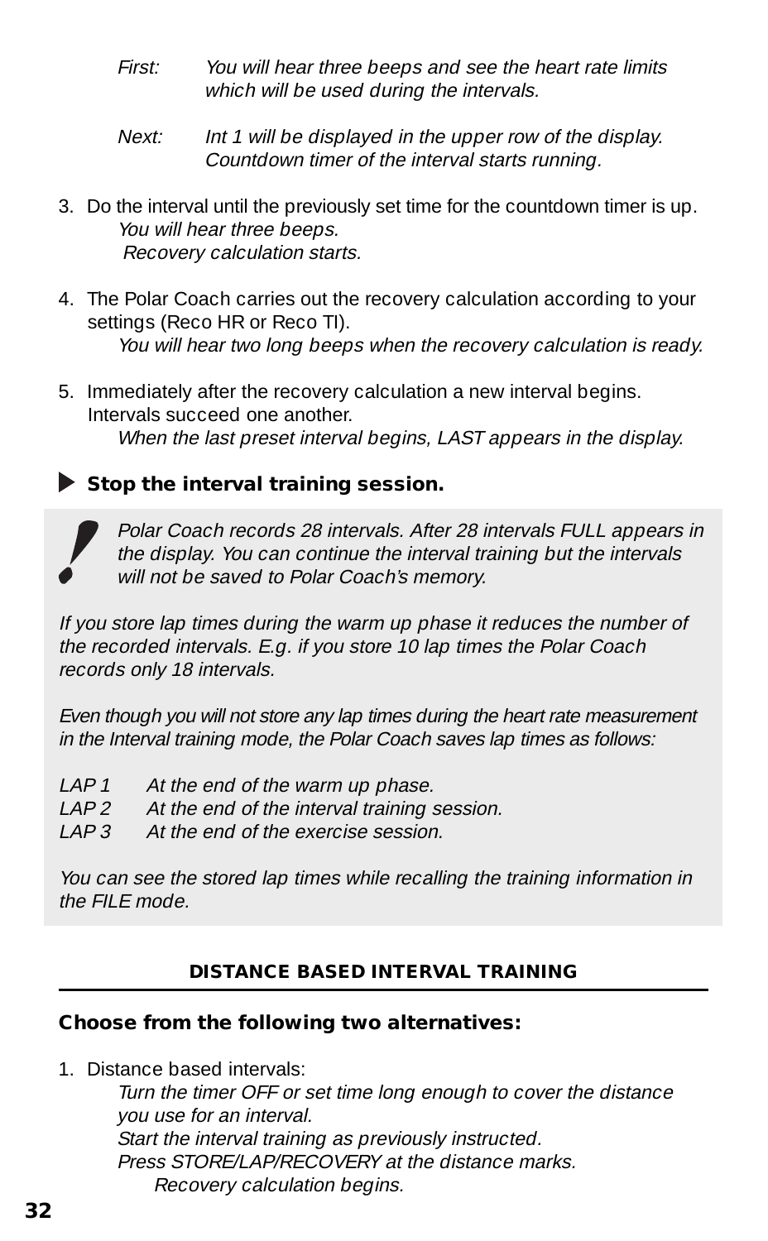- First: You will hear three beeps and see the heart rate limits which will be used during the intervals.
- Next: Int 1 will be displayed in the upper row of the display. Countdown timer of the interval starts running.
- 3. Do the interval until the previously set time for the countdown timer is up. You will hear three beeps. Recovery calculation starts.
- 4. The Polar Coach carries out the recovery calculation according to your settings (Reco HR or Reco TI). You will hear two long beeps when the recovery calculation is ready.
- 5. Immediately after the recovery calculation a new interval begins. Intervals succeed one another. When the last preset interval begins, LAST appears in the display.

#### **Stop the interval training session.**



Polar Coach records 28 intervals. After 28 intervals FULL appears in the display. You can continue the interval training but the intervals will not be saved to Polar Coach's memory.

If you store lap times during the warm up phase it reduces the number of the recorded intervals. E.g. if you store 10 lap times the Polar Coach records only 18 intervals.

Even though you will not store any lap times during the heart rate measurement in the Interval training mode, the Polar Coach saves lap times as follows:

- LAP 1 At the end of the warm up phase.
- LAP 2 At the end of the interval training session.
- LAP 3 At the end of the exercise session.

You can see the stored lap times while recalling the training information in the FILE mode.

#### **DISTANCE BASED INTERVAL TRAINING**

#### **Choose from the following two alternatives:**

1. Distance based intervals:

Turn the timer OFF or set time long enough to cover the distance you use for an interval. Start the interval training as previously instructed. Press STORE/LAP/RECOVERY at the distance marks. Recovery calculation begins.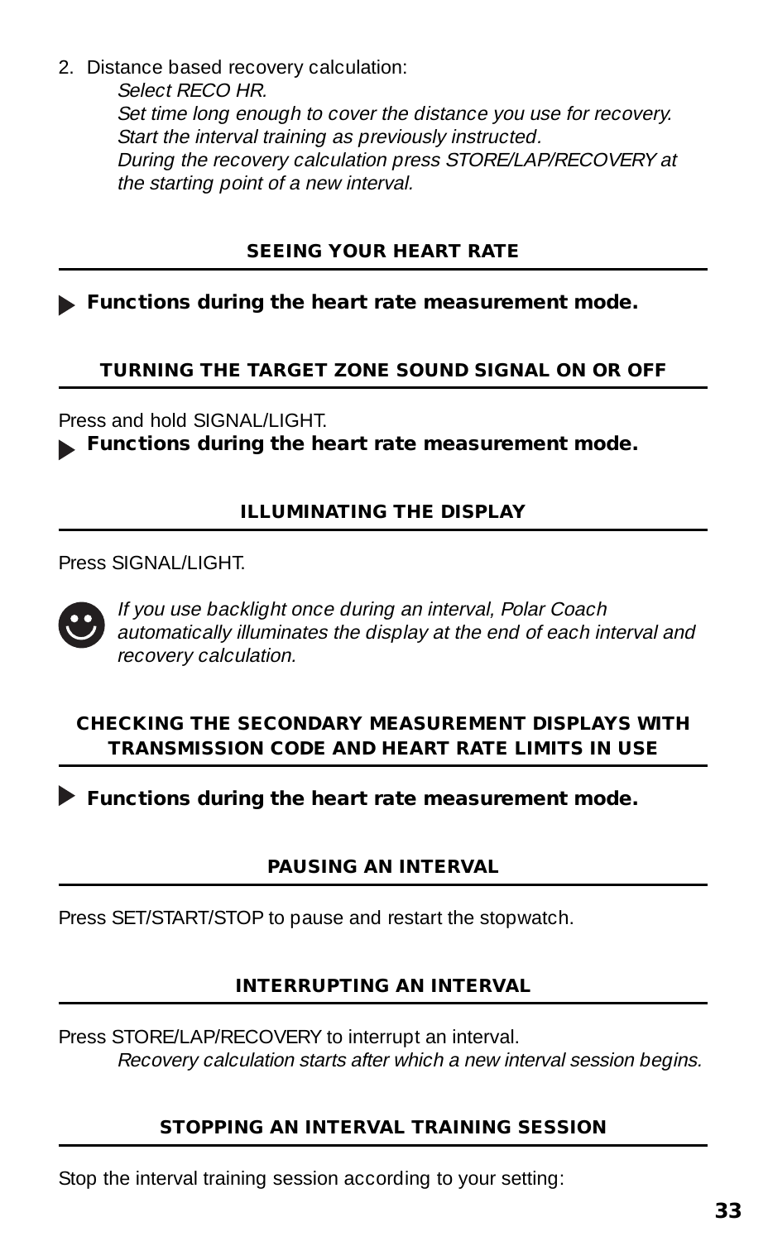2. Distance based recovery calculation: Select RECO HR. Set time long enough to cover the distance you use for recovery. Start the interval training as previously instructed. During the recovery calculation press STORE/LAP/RECOVERY at the starting point of a new interval.

#### **SEEING YOUR HEART RATE**

**Functions during the heart rate measurement mode.**

#### **TURNING THE TARGET ZONE SOUND SIGNAL ON OR OFF**

Press and hold SIGNAL/LIGHT.

**Functions during the heart rate measurement mode.**

#### **ILLUMINATING THE DISPLAY**

Press SIGNAL /LIGHT



If you use backlight once during an interval, Polar Coach automatically illuminates the display at the end of each interval and recovery calculation.

#### **CHECKING THE SECONDARY MEASUREMENT DISPLAYS WITH TRANSMISSION CODE AND HEART RATE LIMITS IN USE**

**Functions during the heart rate measurement mode.**

#### **PAUSING AN INTERVAL**

Press SET/START/STOP to pause and restart the stopwatch.

#### **INTERRUPTING AN INTERVAL**

Press STORE/LAP/RECOVERY to interrupt an interval. Recovery calculation starts after which a new interval session begins.

#### **STOPPING AN INTERVAL TRAINING SESSION**

Stop the interval training session according to your setting: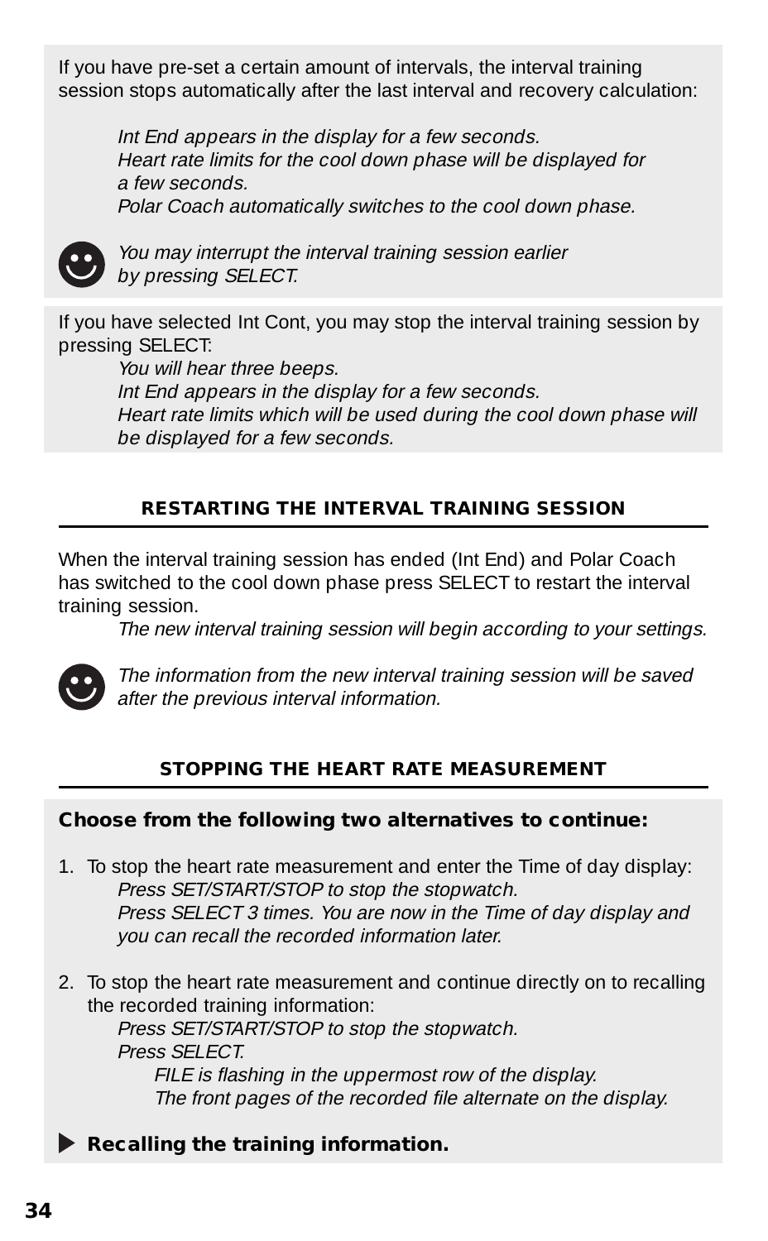If you have pre-set a certain amount of intervals, the interval training session stops automatically after the last interval and recovery calculation:

Int End appears in the display for a few seconds. Heart rate limits for the cool down phase will be displayed for a few seconds.

Polar Coach automatically switches to the cool down phase.



You may interrupt the interval training session earlier by pressing SELECT.

If you have selected Int Cont, you may stop the interval training session by pressing SELECT:

You will hear three beeps.

Int End appears in the display for a few seconds. Heart rate limits which will be used during the cool down phase will be displayed for a few seconds.

#### **RESTARTING THE INTERVAL TRAINING SESSION**

When the interval training session has ended (Int End) and Polar Coach has switched to the cool down phase press SELECT to restart the interval training session.

The new interval training session will begin according to your settings.



The information from the new interval training session will be saved after the previous interval information.

#### **STOPPING THE HEART RATE MEASUREMENT**

#### **Choose from the following two alternatives to continue:**

- 1. To stop the heart rate measurement and enter the Time of day display: Press SET/START/STOP to stop the stopwatch. Press SELECT 3 times. You are now in the Time of day display and you can recall the recorded information later.
- 2. To stop the heart rate measurement and continue directly on to recalling the recorded training information:

Press SET/START/STOP to stop the stopwatch. Press SFI FCT. FILE is flashing in the uppermost row of the display. The front pages of the recorded file alternate on the display.

**Recalling the training information.**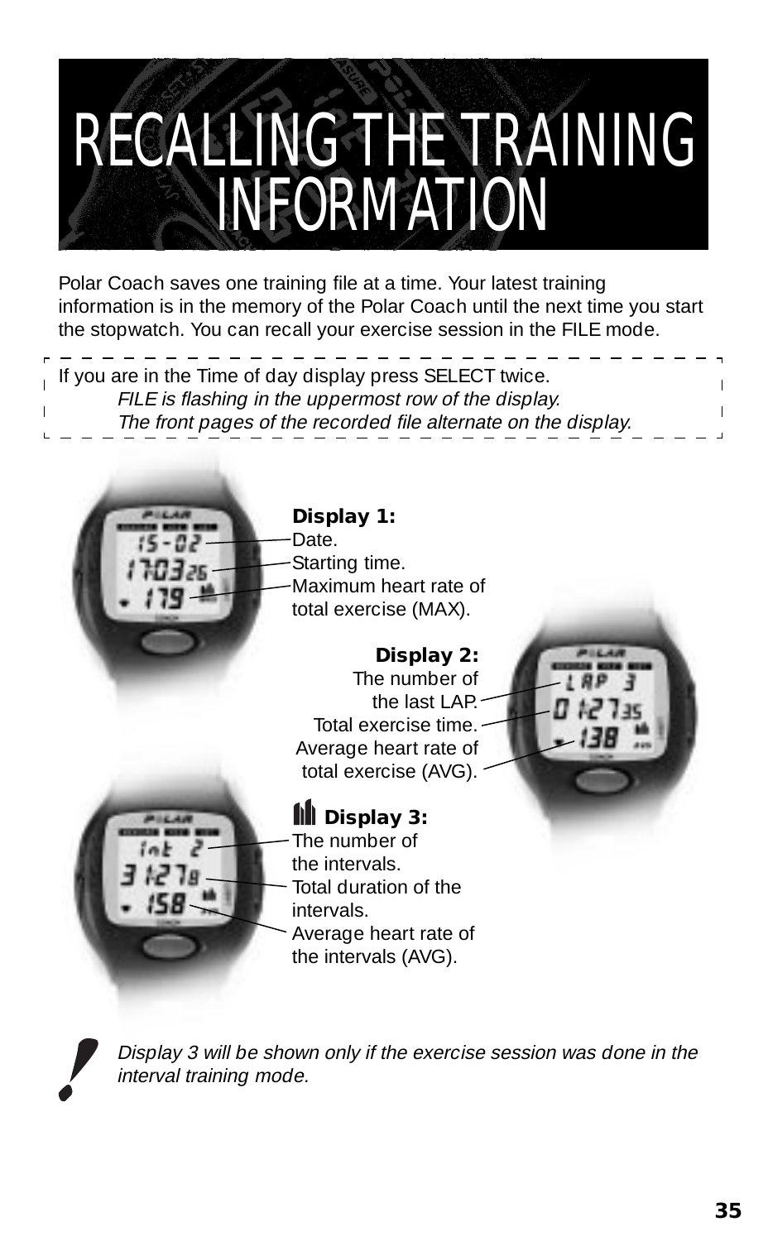### RECALLING THE TRAINING INFORMATION

Polar Coach saves one training file at a time. Your latest training information is in the memory of the Polar Coach until the next time you start the stopwatch. You can recall your exercise session in the FILE mode.

| , If you are in the Time of day display press SELECT twice.    |  |  |
|----------------------------------------------------------------|--|--|
| FILE is flashing in the uppermost row of the display.          |  |  |
| The front pages of the recorded file alternate on the display. |  |  |
|                                                                |  |  |



#### **Display 1:**

-Date. Starting time. Maximum heart rate of total exercise (MAX).

**Display 2:** The number of the last LAP. Total exercise time. Average heart rate of total exercise (AVG).



#### **Display 3:**

The number of the intervals. Total duration of the intervals. Average heart rate of the intervals (AVG).



Display 3 will be shown only if the exercise session was done in the interval training mode.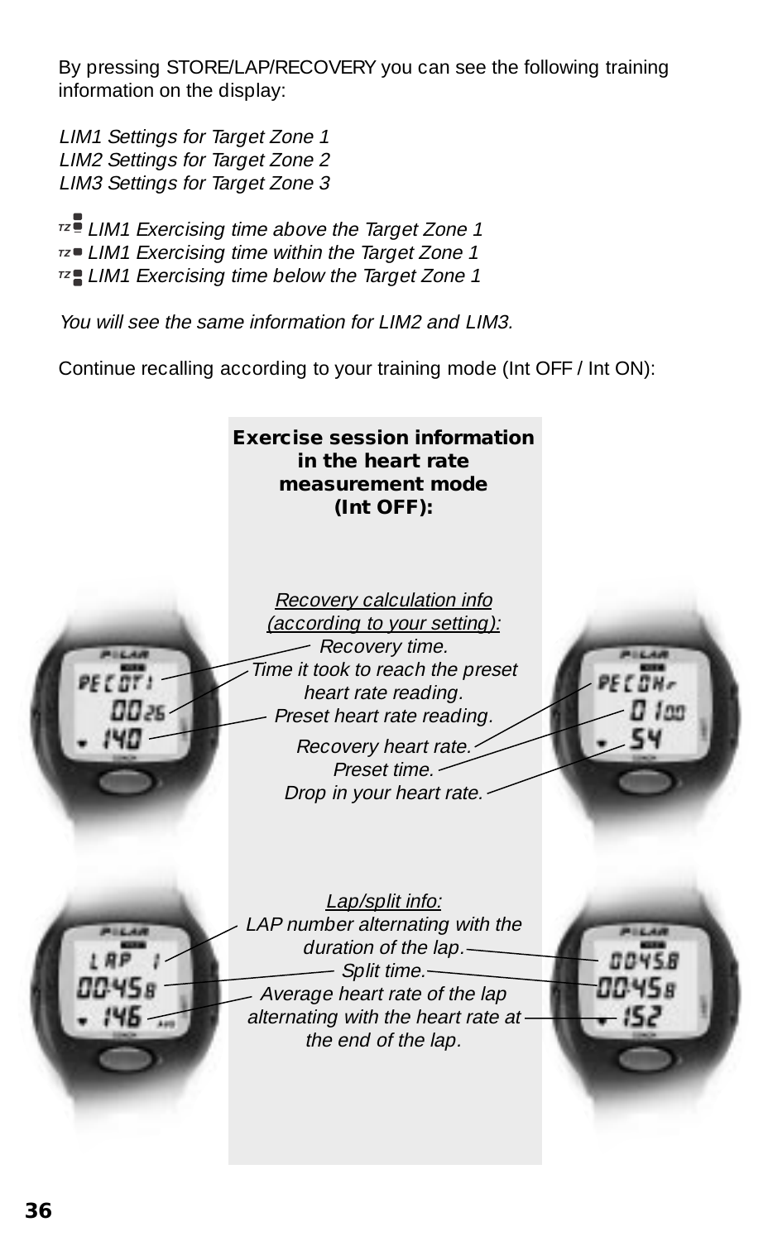By pressing STORE/LAP/RECOVERY you can see the following training information on the display:

LIM1 Settings for Target Zone 1 LIM2 Settings for Target Zone 2 LIM3 Settings for Target Zone 3

 $172$  I IM1 Exercising time above the Target Zone 1 LIM1 Exercising time within the Target Zone 1 LIM1 Exercising time below the Target Zone 1

You will see the same information for LIM2 and LIM3.

Continue recalling according to your training mode (Int OFF / Int ON):

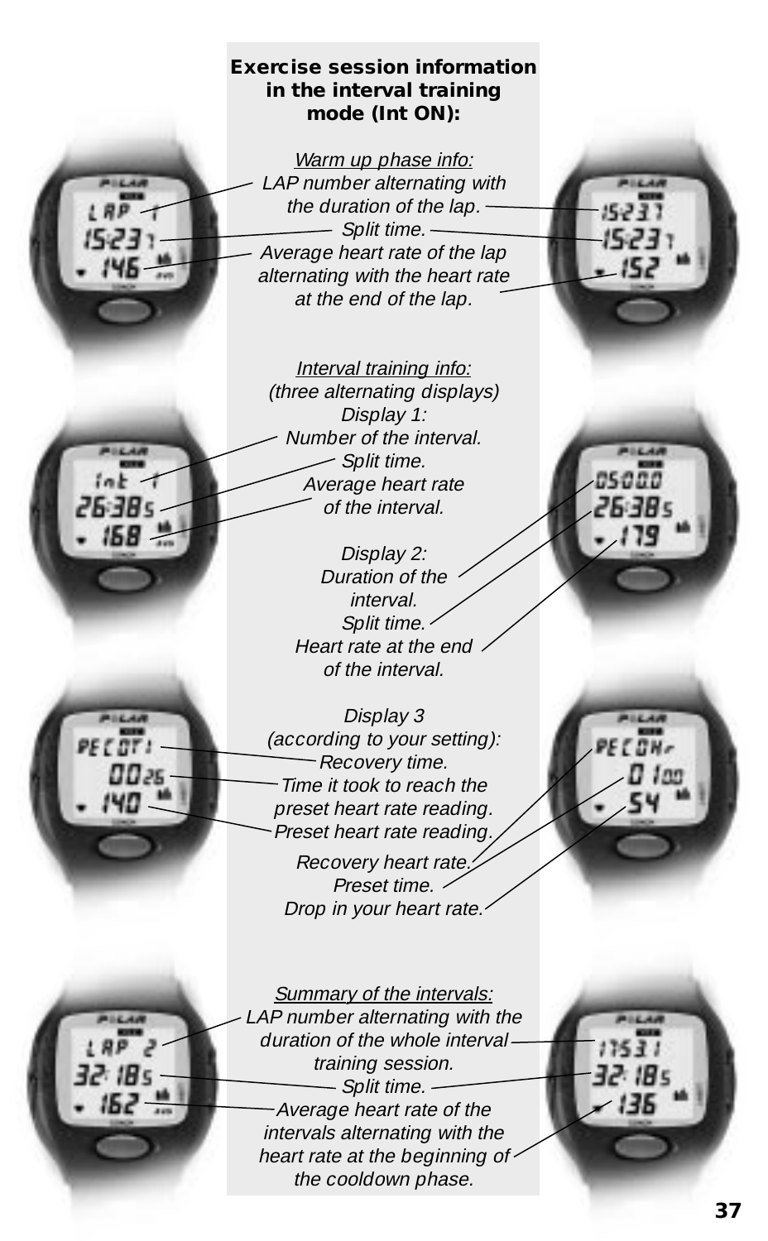#### **Exercise session information in the interval training mode (Int ON):**

Warm up phase info: LAP number alternating with the duration of the lap. --Split time. Average heart rate of the lap alternating with the heart rate at the end of the lap.

Interval training info: (three alternating displays) Display 1: Number of the interval. Split time. Average heart rate of the interval.

Display 2: Duration of the interval. Split time. Heart rate at the end of the interval.

Display 3 (according to your setting): -Recovery time. Time it took to reach the preset heart rate reading. Preset heart rate reading Recovery heart rate. Preset time. Drop in your heart rate.

 $0025$ 

Summary of the intervals: LAP number alternating with the duration of the whole interval training session. - Split time. -Average heart rate of the intervals alternating with the heart rate at the beginning of the cooldown phase.

32. IB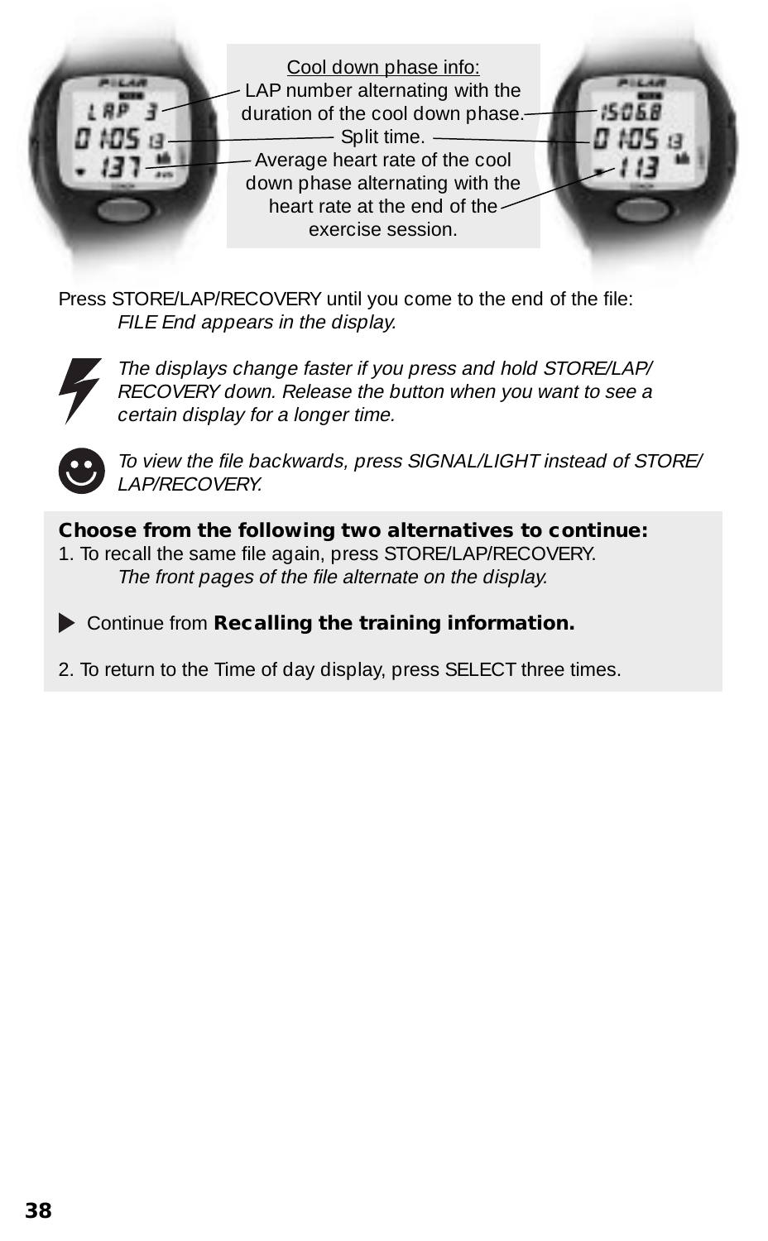

Press STORE/LAP/RECOVERY until you come to the end of the file: FILE End appears in the display.



The displays change faster if you press and hold STORE/LAP/ RECOVERY down. Release the button when you want to see a certain display for a longer time.



To view the file backwards, press SIGNAL/LIGHT instead of STORE/ LAP/RECOVERY.

#### **Choose from the following two alternatives to continue:**

1. To recall the same file again, press STORE/LAP/RECOVERY. The front pages of the file alternate on the display.

Continue from **Recalling the training information.**

2. To return to the Time of day display, press SELECT three times.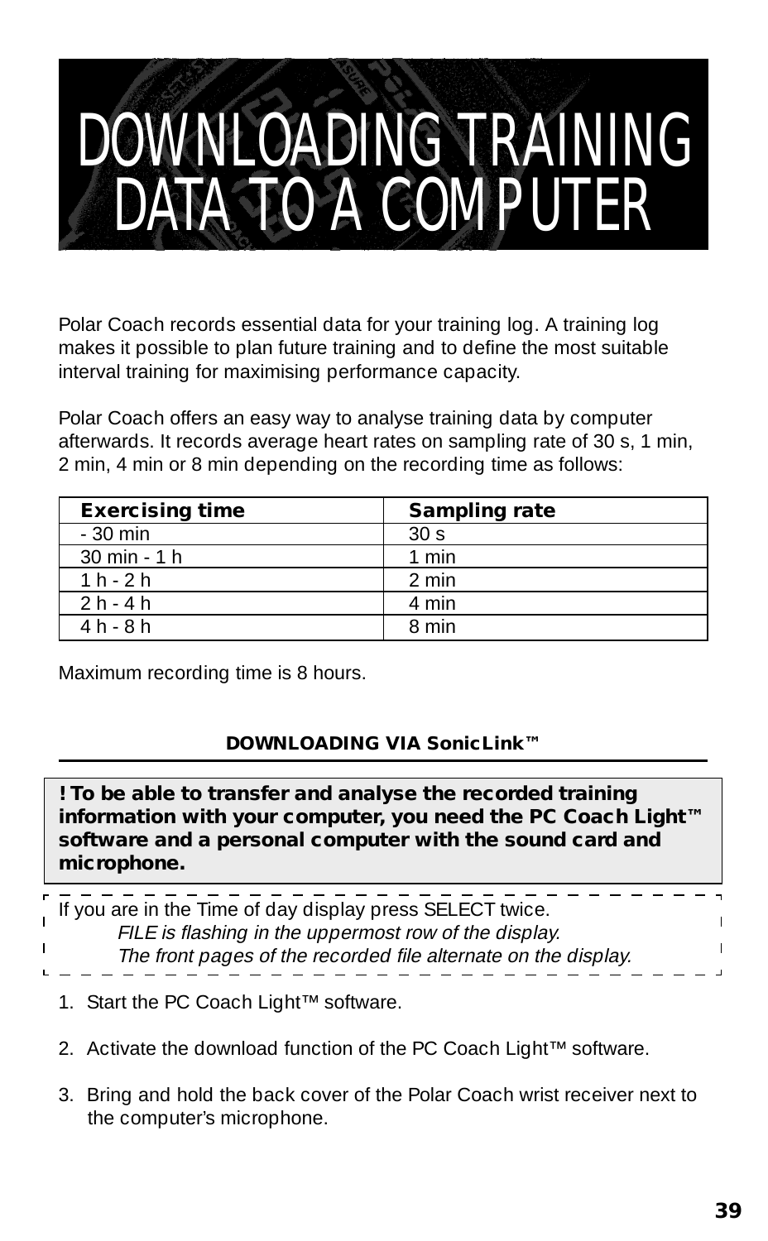### DOWNLOADING TRAINING DATA TO A COMPUTER

Polar Coach records essential data for your training log. A training log makes it possible to plan future training and to define the most suitable interval training for maximising performance capacity.

Polar Coach offers an easy way to analyse training data by computer afterwards. It records average heart rates on sampling rate of 30 s, 1 min, 2 min, 4 min or 8 min depending on the recording time as follows:

| <b>Exercising time</b>         | <b>Sampling rate</b> |
|--------------------------------|----------------------|
| $-30$ min                      | 30 <sub>s</sub>      |
| $30 \text{ min} - 1 \text{ h}$ | 1 min                |
| $1h-2h$                        | 2 min                |
| $2h - 4h$                      | 4 min                |
| $4h - 8h$                      | 8 min                |

Maximum recording time is 8 hours.

#### **DOWNLOADING VIA SonicLink™**

**! To be able to transfer and analyse the recorded training information with your computer, you need the PC Coach Light™ software and a personal computer with the sound card and microphone.**

| If you are in the Time of day display press SELECT twice.      |  |
|----------------------------------------------------------------|--|
| FILE is flashing in the uppermost row of the display.          |  |
| The front pages of the recorded file alternate on the display. |  |
|                                                                |  |

- 1. Start the PC Coach Light™ software.
- 2. Activate the download function of the PC Coach Light™ software.
- 3. Bring and hold the back cover of the Polar Coach wrist receiver next to the computer's microphone.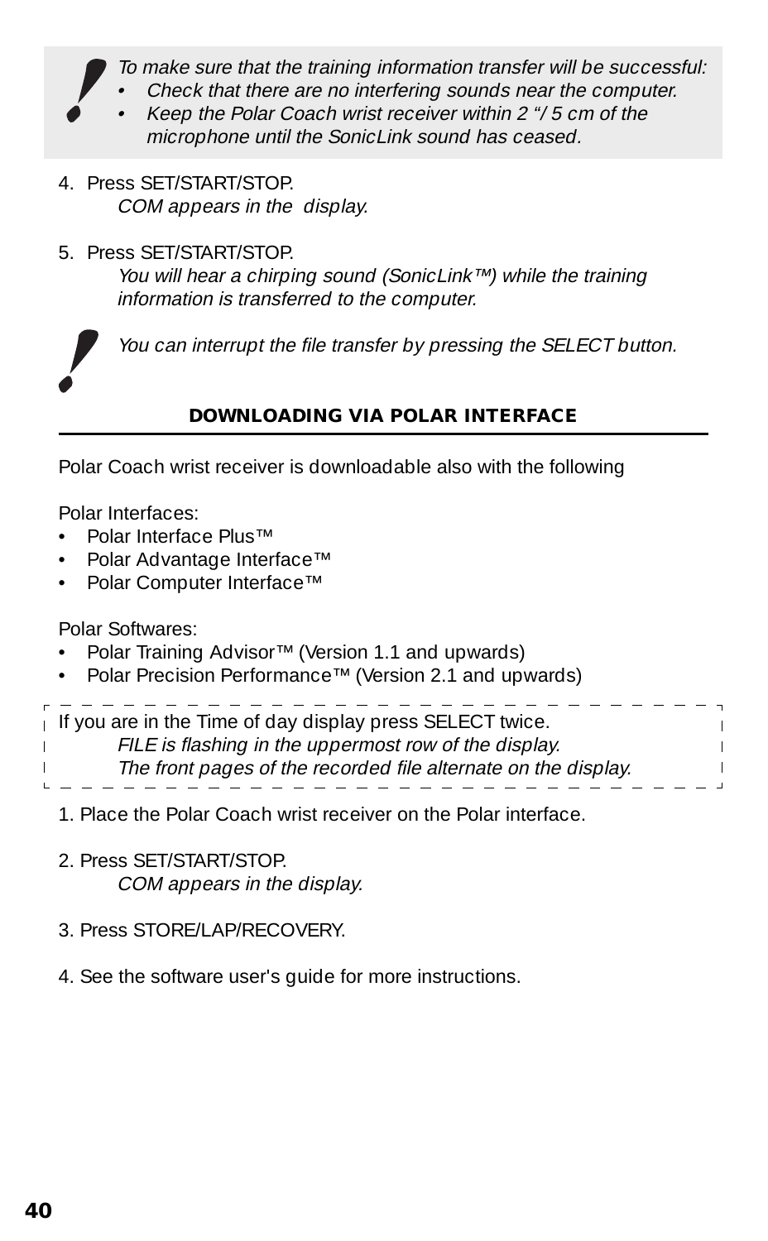To make sure that the training information transfer will be successful:

- Check that there are no interfering sounds near the computer.
- Keep the Polar Coach wrist receiver within 2 "/ 5 cm of the microphone until the SonicLink sound has ceased.
- 4. Press SET/START/STOP. COM appears in the display.
- 5. Press SET/START/STOP. You will hear a chirping sound (SonicLink™) while the training information is transferred to the computer.



You can interrupt the file transfer by pressing the SELECT button.

#### **DOWNLOADING VIA POLAR INTERFACE**

Polar Coach wrist receiver is downloadable also with the following

Polar Interfaces:

- Polar Interface Plus™
- Polar Advantage Interface™
- Polar Computer Interface™

Polar Softwares:

- Polar Training Advisor™ (Version 1.1 and upwards)
- Polar Precision Performance™ (Version 2.1 and upwards)

| If you are in the Time of day display press SELECT twice.      |  |
|----------------------------------------------------------------|--|
| FILE is flashing in the uppermost row of the display.          |  |
| The front pages of the recorded file alternate on the display. |  |
|                                                                |  |

- 1. Place the Polar Coach wrist receiver on the Polar interface.
- 2. Press SET/START/STOP. COM appears in the display.
- 3. Press STORE/LAP/RECOVERY
- 4. See the software user's guide for more instructions.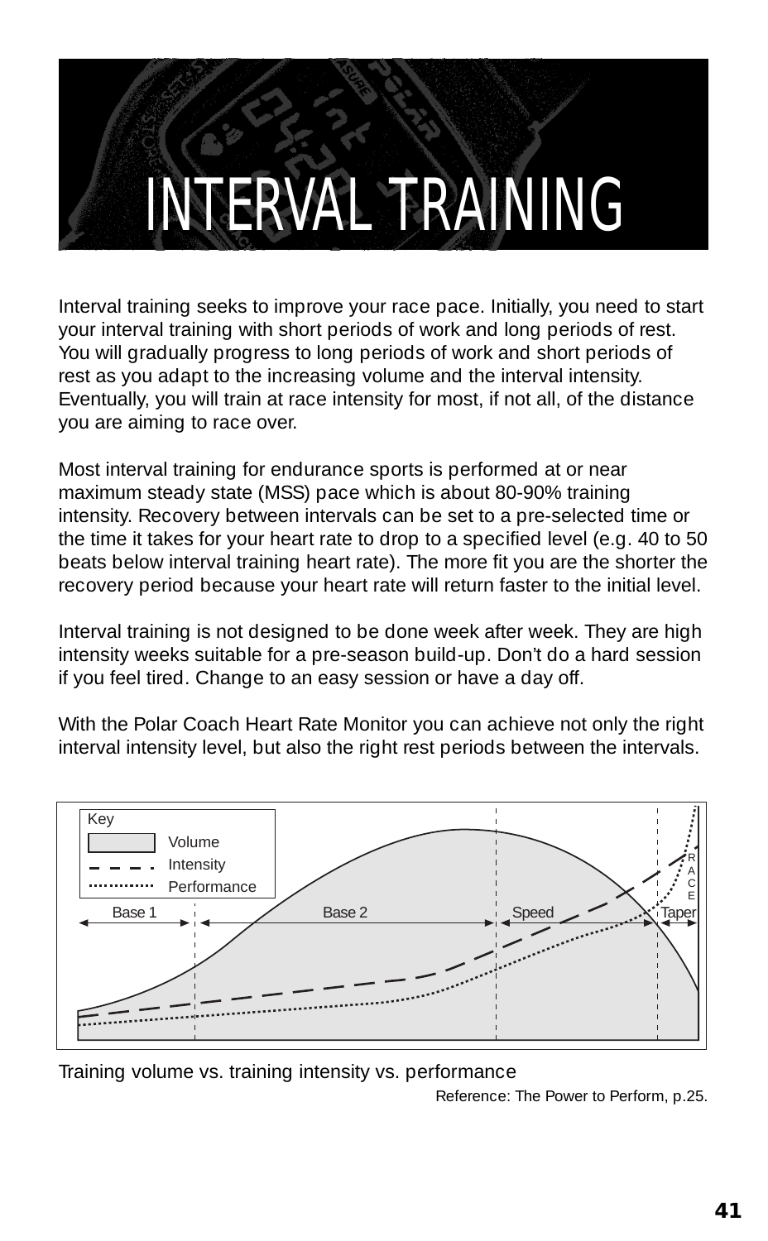### INTERVAL TRAINING

Interval training seeks to improve your race pace. Initially, you need to start your interval training with short periods of work and long periods of rest. You will gradually progress to long periods of work and short periods of rest as you adapt to the increasing volume and the interval intensity. Eventually, you will train at race intensity for most, if not all, of the distance you are aiming to race over.

Most interval training for endurance sports is performed at or near maximum steady state (MSS) pace which is about 80-90% training intensity. Recovery between intervals can be set to a pre-selected time or the time it takes for your heart rate to drop to a specified level (e.g. 40 to 50 beats below interval training heart rate). The more fit you are the shorter the recovery period because your heart rate will return faster to the initial level.

Interval training is not designed to be done week after week. They are high intensity weeks suitable for a pre-season build-up. Don't do a hard session if you feel tired. Change to an easy session or have a day off.

With the Polar Coach Heart Rate Monitor you can achieve not only the right interval intensity level, but also the right rest periods between the intervals.



Training volume vs. training intensity vs. performance

Reference: The Power to Perform, p.25.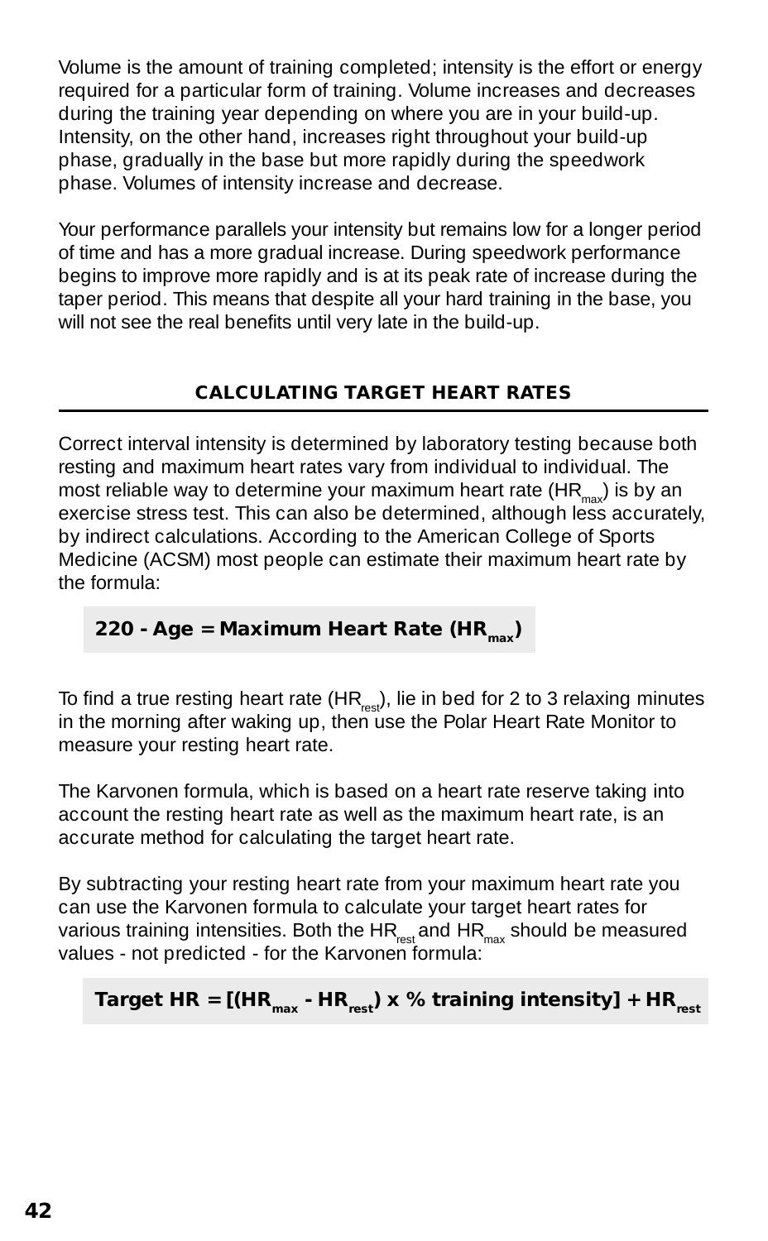Volume is the amount of training completed; intensity is the effort or energy required for a particular form of training. Volume increases and decreases during the training year depending on where you are in your build-up. Intensity, on the other hand, increases right throughout your build-up phase, gradually in the base but more rapidly during the speedwork phase. Volumes of intensity increase and decrease.

Your performance parallels your intensity but remains low for a longer period of time and has a more gradual increase. During speedwork performance begins to improve more rapidly and is at its peak rate of increase during the taper period. This means that despite all your hard training in the base, you will not see the real benefits until very late in the build-up.

#### **CALCULATING TARGET HEART RATES**

Correct interval intensity is determined by laboratory testing because both resting and maximum heart rates vary from individual to individual. The most reliable way to determine your maximum heart rate  $(HR_{\text{max}})$  is by an exercise stress test. This can also be determined, although less accurately, by indirect calculations. According to the American College of Sports Medicine (ACSM) most people can estimate their maximum heart rate by the formula:

#### **220 - Age = Maximum Heart Rate (HR....)**

To find a true resting heart rate (HR<sub>rest</sub>), lie in bed for 2 to 3 relaxing minutes in the morning after waking up, then use the Polar Heart Rate Monitor to measure your resting heart rate.

The Karvonen formula, which is based on a heart rate reserve taking into account the resting heart rate as well as the maximum heart rate, is an accurate method for calculating the target heart rate.

By subtracting your resting heart rate from your maximum heart rate you can use the Karvonen formula to calculate your target heart rates for various training intensities. Both the  $HR_{net}$  and  $HR_{max}$  should be measured values - not predicted - for the Karvonen formula:

#### **Target HR =**  $[(HR<sub>max</sub> - HR<sub>rest</sub>) \times % training intensity] + HR<sub>rest</sub>$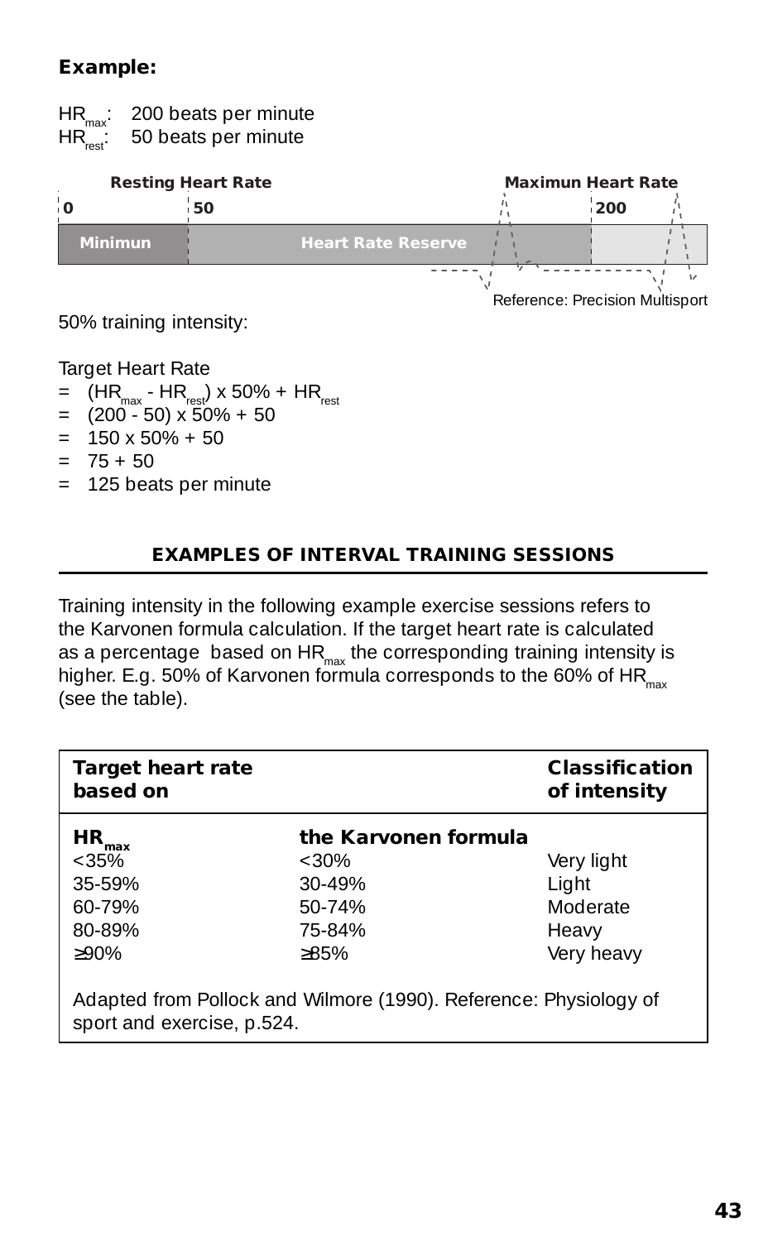#### **Example:**

HR<sub>max</sub>: 200 beats per minute  $HR_{\text{rest}}^{max}$ : 50 beats per minute

| <b>Resting Heart Rate</b> |                           |  | <b>Maximun Heart Rate</b> |  |
|---------------------------|---------------------------|--|---------------------------|--|
|                           | 50                        |  | 200                       |  |
| <b>Minimun</b>            | <b>Heart Rate Reserve</b> |  |                           |  |
|                           |                           |  |                           |  |

Reference: Precision Multisport

50% training intensity:

**Target Heart Rate** 

- $=$  (HR<sub>max</sub> HR<sub>rest</sub>) x 50% + HR<sub>rest</sub>
- $=$  (200 50) x 50% + 50
- $= 150 \times 50\% + 50$
- $= 75 + 50$
- = 125 beats per minute

#### **EXAMPLES OF INTERVAL TRAINING SESSIONS**

Training intensity in the following example exercise sessions refers to the Karvonen formula calculation. If the target heart rate is calculated as a percentage based on  $HR_{max}$  the corresponding training intensity is higher. E.g. 50% of Karvonen formula corresponds to the 60% of HR $_{\text{max}}$ (see the table).

| <b>Target heart rate</b><br>based on                               |                                                                             | <b>Classification</b><br>of intensity                  |
|--------------------------------------------------------------------|-----------------------------------------------------------------------------|--------------------------------------------------------|
| HR.<br>max<br>$<35\%$<br>35-59%<br>$60 - 79%$<br>80-89%<br>$>90\%$ | the Karvonen formula<br>$<30\%$<br>$30 - 49%$<br>$50-74%$<br>75-84%<br>>85% | Very light<br>Light<br>Moderate<br>Heavy<br>Very heavy |
| sport and exercise, p.524.                                         | Adapted from Pollock and Wilmore (1990). Reference: Physiology of           |                                                        |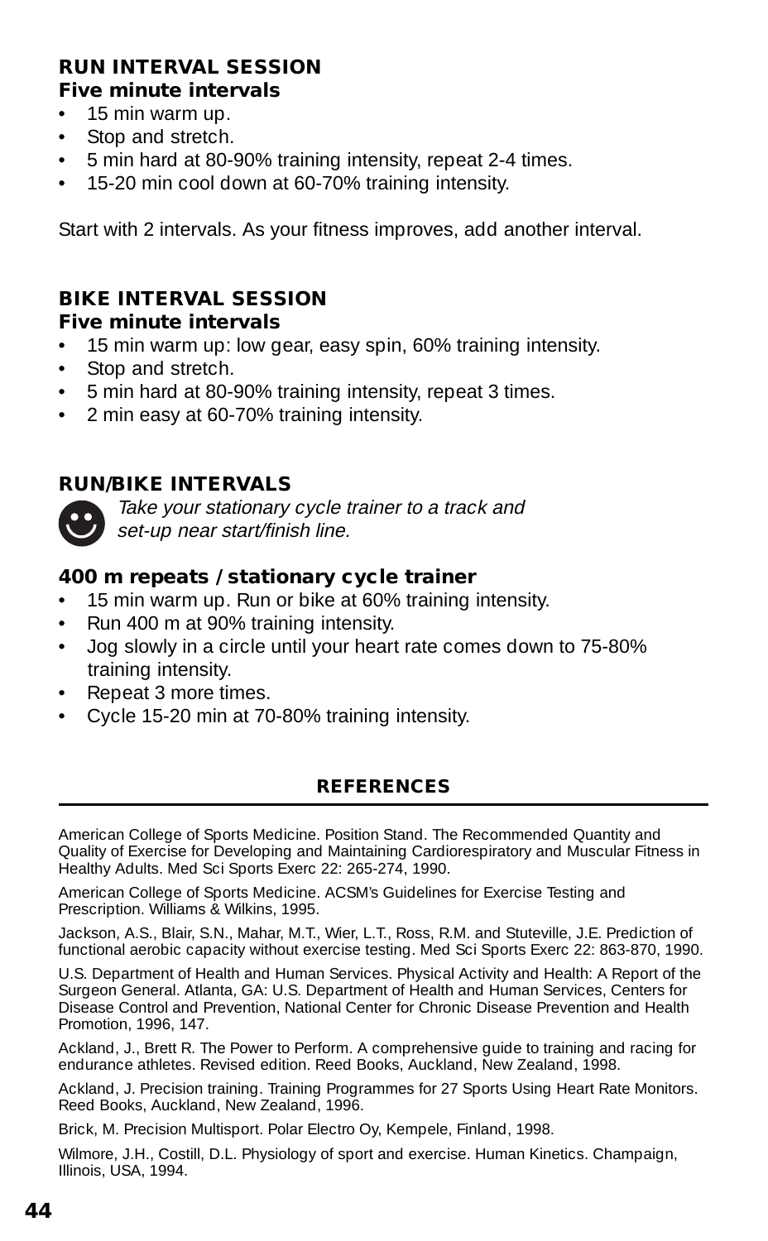#### **RUN INTERVAL SESSION Five minute intervals**

- 15 min warm up.
- Stop and stretch.
- 5 min hard at 80-90% training intensity, repeat 2-4 times.
- 15-20 min cool down at 60-70% training intensity.

Start with 2 intervals. As your fitness improves, add another interval.

#### **BIKE INTERVAL SESSION**

#### **Five minute intervals**

- 15 min warm up: low gear, easy spin, 60% training intensity.
- Stop and stretch.
- 5 min hard at 80-90% training intensity, repeat 3 times.
- 2 min easy at 60-70% training intensity.

#### **RUN/BIKE INTERVALS**



Take your stationary cycle trainer to a track and set-up near start/finish line.

#### **400 m repeats / stationary cycle trainer**

- 15 min warm up. Run or bike at 60% training intensity.
- Run 400 m at 90% training intensity.
- Jog slowly in a circle until your heart rate comes down to 75-80% training intensity.
- Repeat 3 more times.
- Cycle 15-20 min at 70-80% training intensity.

#### **REFERENCES**

American College of Sports Medicine. Position Stand. The Recommended Quantity and Quality of Exercise for Developing and Maintaining Cardiorespiratory and Muscular Fitness in Healthy Adults. Med Sci Sports Exerc 22: 265-274, 1990.

American College of Sports Medicine. ACSM's Guidelines for Exercise Testing and Prescription. Williams & Wilkins, 1995.

Jackson, A.S., Blair, S.N., Mahar, M.T., Wier, L.T., Ross, R.M. and Stuteville, J.E. Prediction of functional aerobic capacity without exercise testing. Med Sci Sports Exerc 22: 863-870, 1990.

U.S. Department of Health and Human Services. Physical Activity and Health: A Report of the Surgeon General. Atlanta, GA: U.S. Department of Health and Human Services, Centers for Disease Control and Prevention, National Center for Chronic Disease Prevention and Health Promotion, 1996, 147.

Ackland, J., Brett R. The Power to Perform. A comprehensive guide to training and racing for endurance athletes. Revised edition. Reed Books, Auckland, New Zealand, 1998.

Ackland, J. Precision training. Training Programmes for 27 Sports Using Heart Rate Monitors. Reed Books, Auckland, New Zealand, 1996.

Brick, M. Precision Multisport. Polar Electro Oy, Kempele, Finland, 1998.

Wilmore, J.H., Costill, D.L. Physiology of sport and exercise. Human Kinetics. Champaign, Illinois, USA, 1994.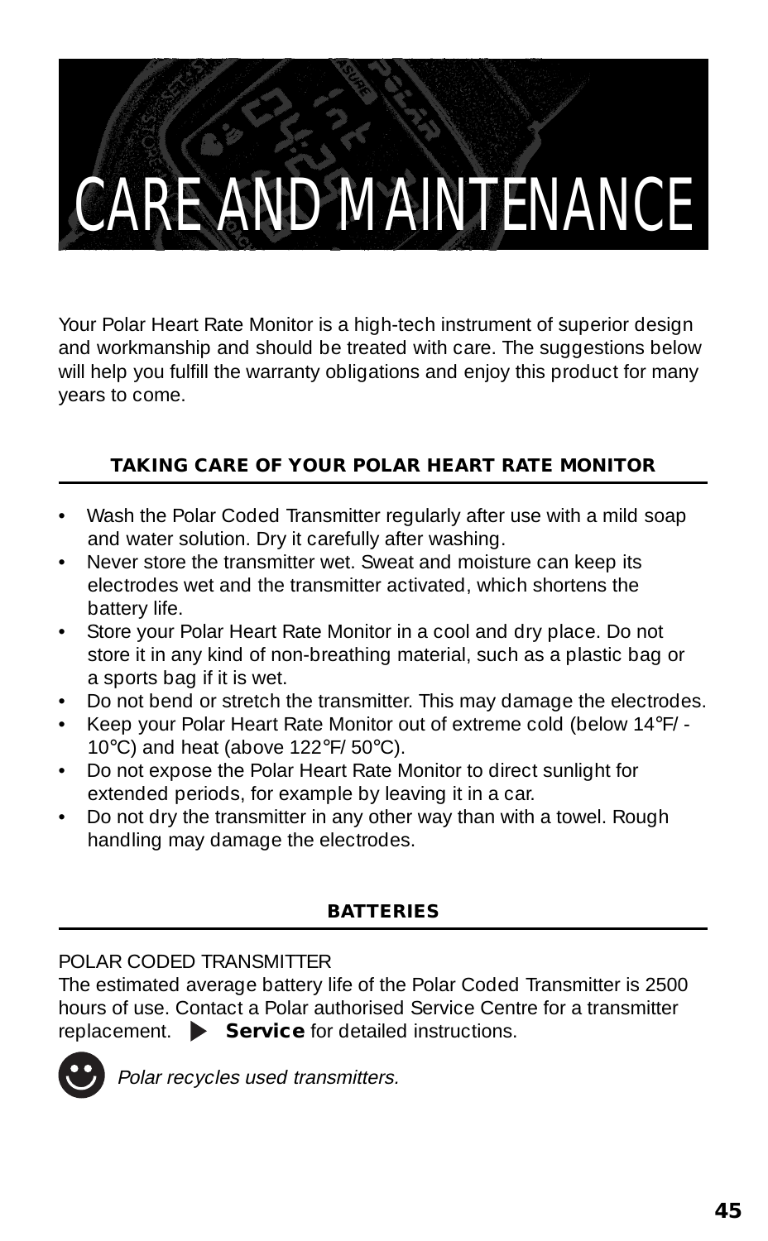### CARE AND MAINTENANCE

Your Polar Heart Rate Monitor is a high-tech instrument of superior design and workmanship and should be treated with care. The suggestions below will help you fulfill the warranty obligations and enjoy this product for many years to come.

#### **TAKING CARE OF YOUR POLAR HEART RATE MONITOR**

- Wash the Polar Coded Transmitter regularly after use with a mild soap and water solution. Dry it carefully after washing.
- Never store the transmitter wet. Sweat and moisture can keep its electrodes wet and the transmitter activated, which shortens the battery life.
- Store your Polar Heart Rate Monitor in a cool and dry place. Do not store it in any kind of non-breathing material, such as a plastic bag or a sports bag if it is wet.
- Do not bend or stretch the transmitter. This may damage the electrodes.
- Keep your Polar Heart Rate Monitor out of extreme cold (below 14°F/ 10°C) and heat (above 122°F/ 50°C).
- Do not expose the Polar Heart Rate Monitor to direct sunlight for extended periods, for example by leaving it in a car.
- Do not dry the transmitter in any other way than with a towel. Rough handling may damage the electrodes.

#### **BATTERIES**

POLAR CODED TRANSMITTER

The estimated average battery life of the Polar Coded Transmitter is 2500 hours of use. Contact a Polar authorised Service Centre for a transmitter replacement. **Service** for detailed instructions.



Polar recycles used transmitters.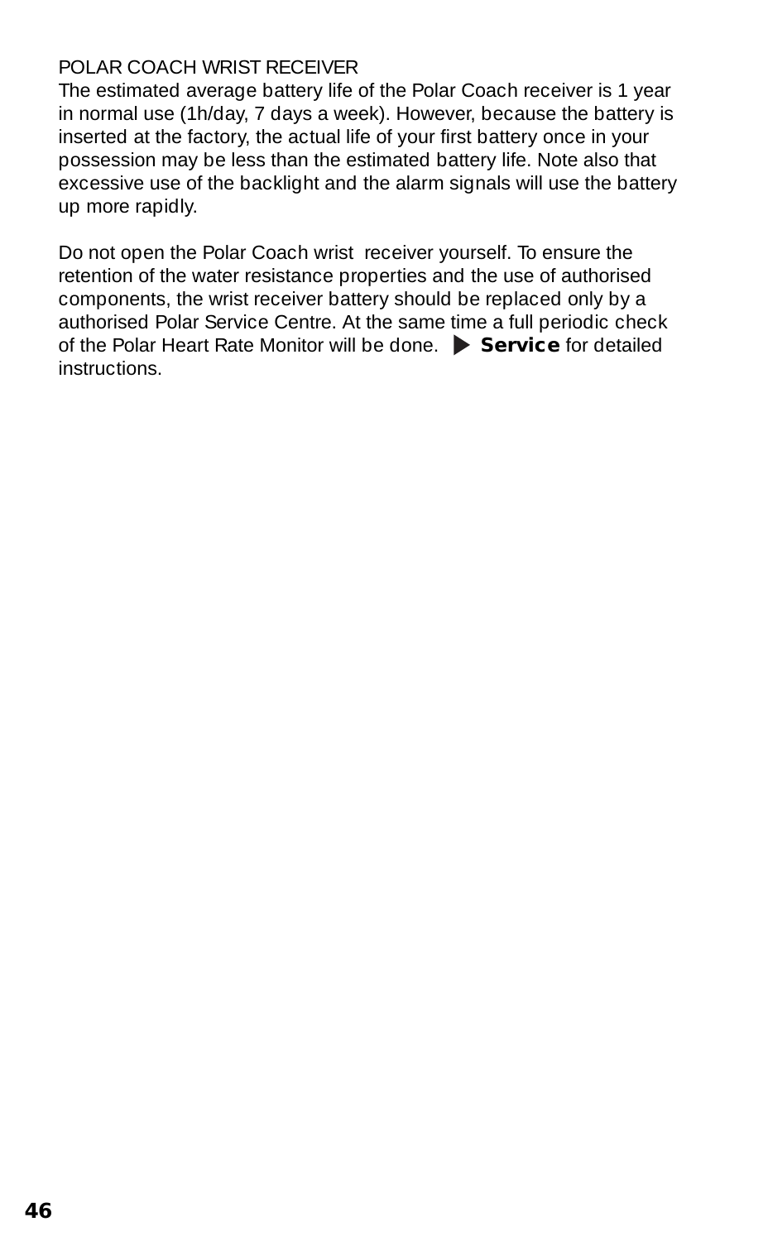#### POLAR COACH WRIST RECEIVER

The estimated average battery life of the Polar Coach receiver is 1 year in normal use (1h/day, 7 days a week). However, because the battery is inserted at the factory, the actual life of your first battery once in your possession may be less than the estimated battery life. Note also that excessive use of the backlight and the alarm signals will use the battery up more rapidly.

Do not open the Polar Coach wrist receiver yourself. To ensure the retention of the water resistance properties and the use of authorised components, the wrist receiver battery should be replaced only by a authorised Polar Service Centre. At the same time a full periodic check of the Polar Heart Rate Monitor will be done. **Service** for detailed instructions.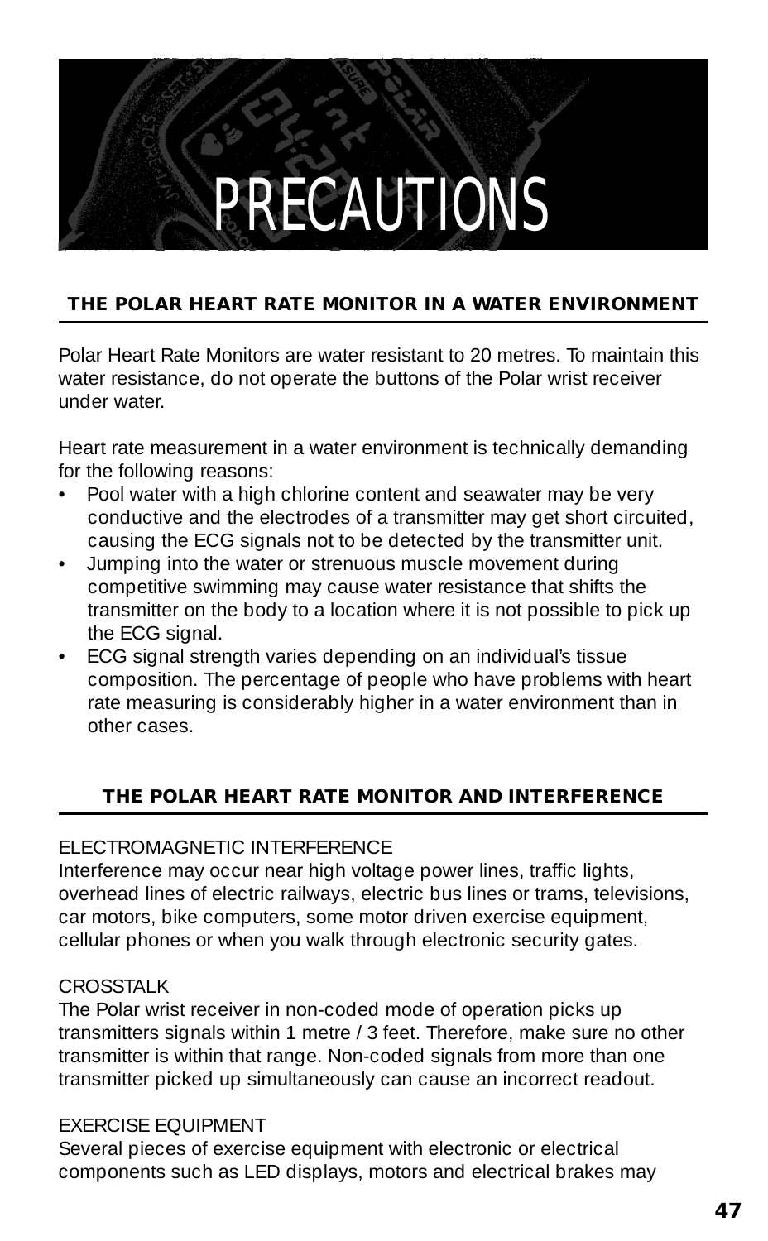### PRECAUTIONS

#### **THE POLAR HEART RATE MONITOR IN A WATER ENVIRONMENT**

Polar Heart Rate Monitors are water resistant to 20 metres. To maintain this water resistance, do not operate the buttons of the Polar wrist receiver under water.

Heart rate measurement in a water environment is technically demanding for the following reasons:

- Pool water with a high chlorine content and seawater may be very conductive and the electrodes of a transmitter may get short circuited, causing the ECG signals not to be detected by the transmitter unit.
- Jumping into the water or strenuous muscle movement during competitive swimming may cause water resistance that shifts the transmitter on the body to a location where it is not possible to pick up the ECG signal.
- ECG signal strength varies depending on an individual's tissue composition. The percentage of people who have problems with heart rate measuring is considerably higher in a water environment than in other cases.

#### **THE POLAR HEART RATE MONITOR AND INTERFERENCE**

#### ELECTROMAGNETIC INTERFERENCE

Interference may occur near high voltage power lines, traffic lights, overhead lines of electric railways, electric bus lines or trams, televisions, car motors, bike computers, some motor driven exercise equipment, cellular phones or when you walk through electronic security gates.

#### CROSSTALK

The Polar wrist receiver in non-coded mode of operation picks up transmitters signals within 1 metre / 3 feet. Therefore, make sure no other transmitter is within that range. Non-coded signals from more than one transmitter picked up simultaneously can cause an incorrect readout.

#### EXERCISE EQUIPMENT

Several pieces of exercise equipment with electronic or electrical components such as LED displays, motors and electrical brakes may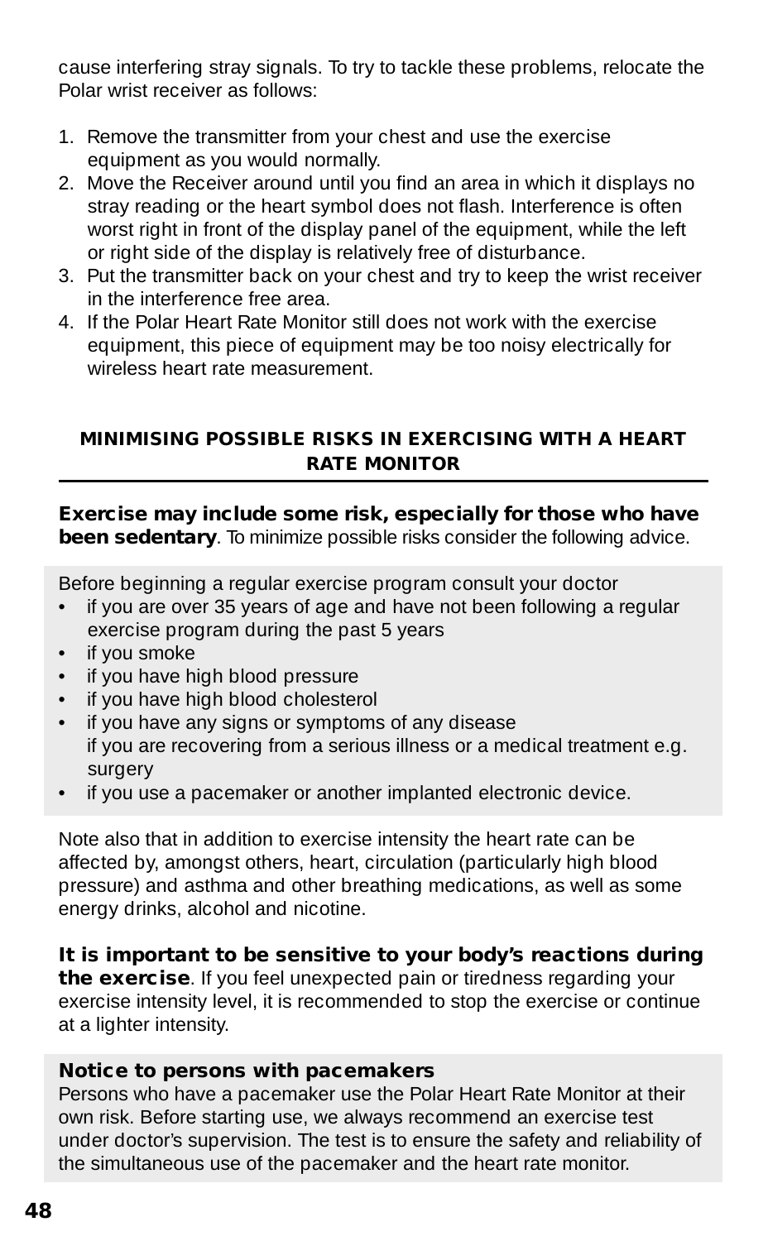cause interfering stray signals. To try to tackle these problems, relocate the Polar wrist receiver as follows:

- 1. Remove the transmitter from your chest and use the exercise equipment as you would normally.
- 2. Move the Receiver around until you find an area in which it displays no stray reading or the heart symbol does not flash. Interference is often worst right in front of the display panel of the equipment, while the left or right side of the display is relatively free of disturbance.
- 3. Put the transmitter back on your chest and try to keep the wrist receiver in the interference free area.
- 4. If the Polar Heart Rate Monitor still does not work with the exercise equipment, this piece of equipment may be too noisy electrically for wireless heart rate measurement.

#### **MINIMISING POSSIBLE RISKS IN EXERCISING WITH A HEART RATE MONITOR**

**Exercise may include some risk, especially for those who have been sedentary**. To minimize possible risks consider the following advice.

Before beginning a regular exercise program consult your doctor

- if you are over 35 years of age and have not been following a regular exercise program during the past 5 years
- if you smoke
- if you have high blood pressure
- if you have high blood cholesterol
- if you have any signs or symptoms of any disease if you are recovering from a serious illness or a medical treatment e.g. surgery
- if you use a pacemaker or another implanted electronic device.

Note also that in addition to exercise intensity the heart rate can be affected by, amongst others, heart, circulation (particularly high blood pressure) and asthma and other breathing medications, as well as some energy drinks, alcohol and nicotine.

#### **It is important to be sensitive to your body's reactions during**

**the exercise**. If you feel unexpected pain or tiredness regarding your exercise intensity level, it is recommended to stop the exercise or continue at a lighter intensity.

#### **Notice to persons with pacemakers**

Persons who have a pacemaker use the Polar Heart Rate Monitor at their own risk. Before starting use, we always recommend an exercise test under doctor's supervision. The test is to ensure the safety and reliability of the simultaneous use of the pacemaker and the heart rate monitor.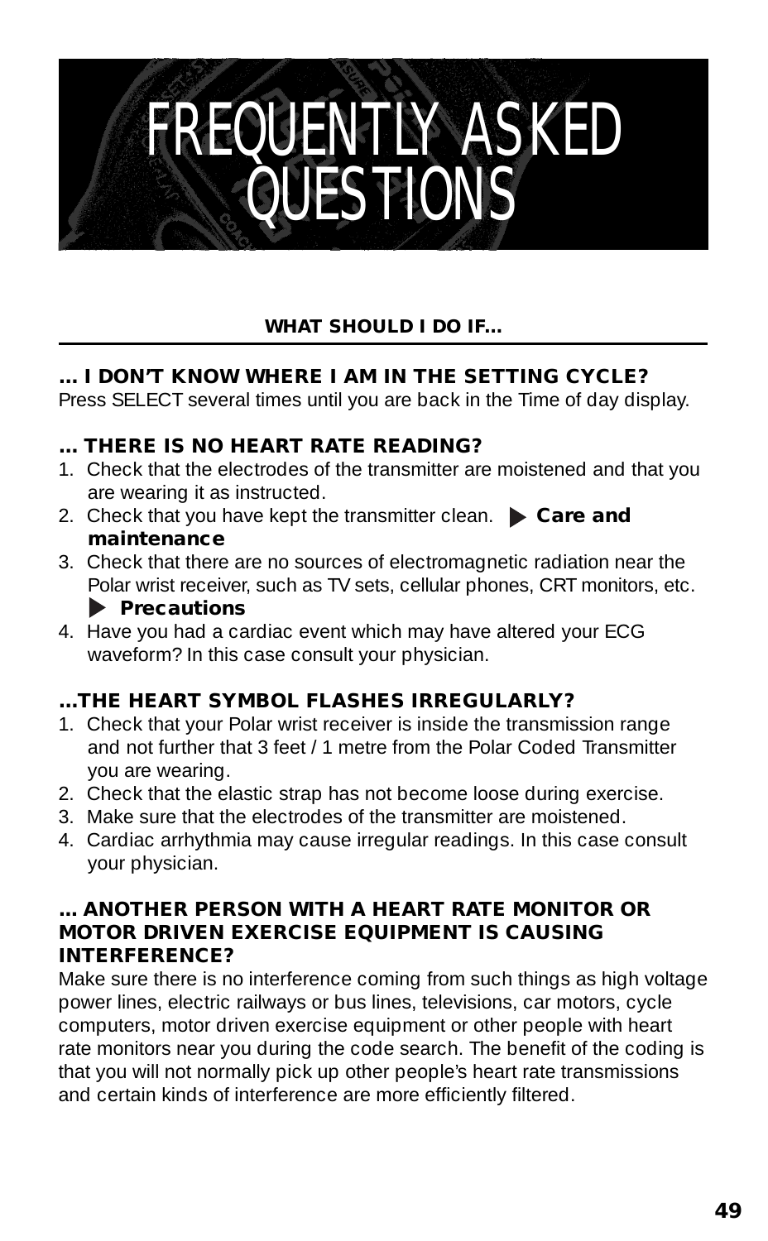### FREQUENTLY ASKED **QUESTIONS**

#### **WHAT SHOULD I DO IF...**

#### **... I DON'T KNOW WHERE I AM IN THE SETTING CYCLE?**

Press SELECT several times until you are back in the Time of day display.

#### **... THERE IS NO HEART RATE READING?**

- 1. Check that the electrodes of the transmitter are moistened and that you are wearing it as instructed.
- 2. Check that you have kept the transmitter clean. **Care and maintenance**
- 3. Check that there are no sources of electromagnetic radiation near the Polar wrist receiver, such as TV sets, cellular phones, CRT monitors, etc.

#### **Precautions**

4. Have you had a cardiac event which may have altered your ECG waveform? In this case consult your physician.

#### **...THE HEART SYMBOL FLASHES IRREGULARLY?**

- 1. Check that your Polar wrist receiver is inside the transmission range and not further that 3 feet / 1 metre from the Polar Coded Transmitter you are wearing.
- 2. Check that the elastic strap has not become loose during exercise.
- 3. Make sure that the electrodes of the transmitter are moistened.
- 4. Cardiac arrhythmia may cause irregular readings. In this case consult your physician.

#### **... ANOTHER PERSON WITH A HEART RATE MONITOR OR MOTOR DRIVEN EXERCISE EQUIPMENT IS CAUSING INTERFERENCE?**

Make sure there is no interference coming from such things as high voltage power lines, electric railways or bus lines, televisions, car motors, cycle computers, motor driven exercise equipment or other people with heart rate monitors near you during the code search. The benefit of the coding is that you will not normally pick up other people's heart rate transmissions and certain kinds of interference are more efficiently filtered.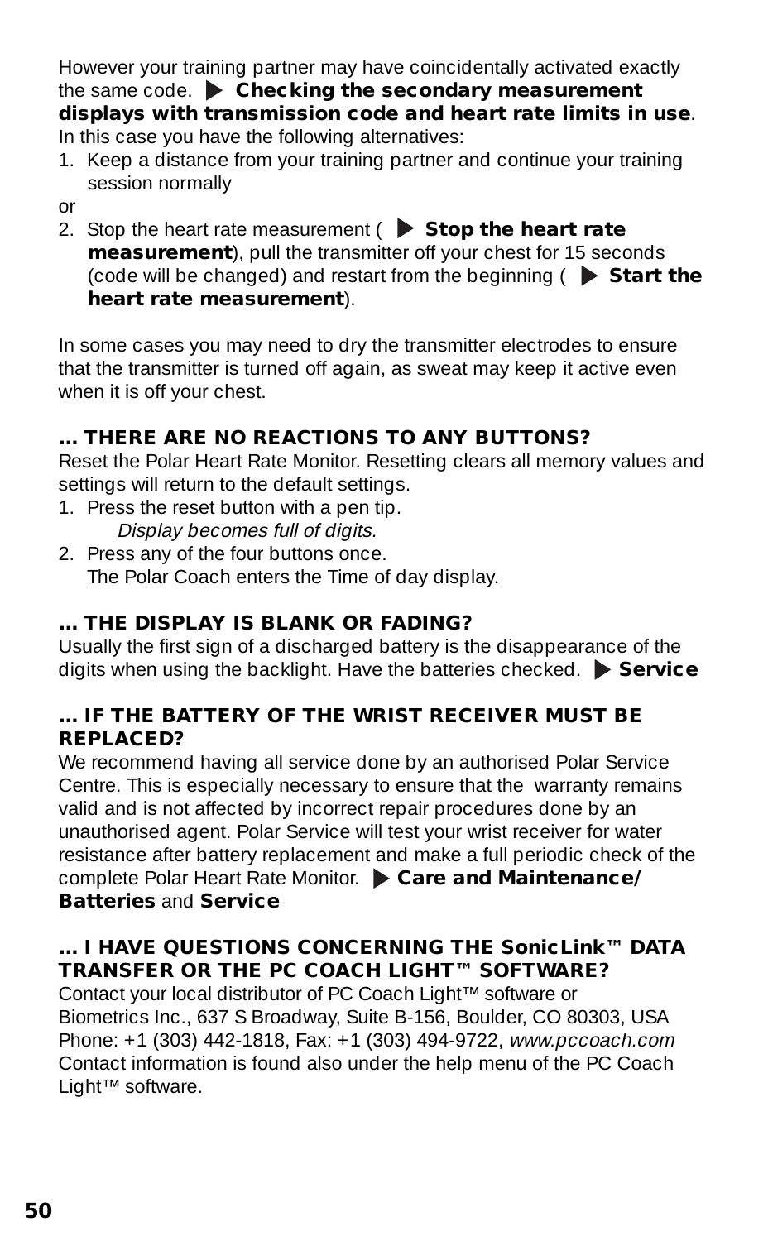However your training partner may have coincidentally activated exactly the same code.  $\triangleright$  **Checking the secondary measurement displays with transmission code and heart rate limits in use**. In this case you have the following alternatives:

1. Keep a distance from your training partner and continue your training session normally

or

2. Stop the heart rate measurement ( $\triangleright$  **Stop the heart rate measurement**), pull the transmitter off your chest for 15 seconds (code will be changed) and restart from the beginning ( **Start the heart rate measurement**).

In some cases you may need to dry the transmitter electrodes to ensure that the transmitter is turned off again, as sweat may keep it active even when it is off your chest.

#### **... THERE ARE NO REACTIONS TO ANY BUTTONS?**

Reset the Polar Heart Rate Monitor. Resetting clears all memory values and settings will return to the default settings.

1. Press the reset button with a pen tip.

Display becomes full of digits.

2. Press any of the four buttons once. The Polar Coach enters the Time of day display.

#### **... THE DISPLAY IS BLANK OR FADING?**

Usually the first sign of a discharged battery is the disappearance of the digits when using the backlight. Have the batteries checked. **Service**

#### **... IF THE BATTERY OF THE WRIST RECEIVER MUST BE REPLACED?**

We recommend having all service done by an authorised Polar Service Centre. This is especially necessary to ensure that the warranty remains valid and is not affected by incorrect repair procedures done by an unauthorised agent. Polar Service will test your wrist receiver for water resistance after battery replacement and make a full periodic check of the complete Polar Heart Rate Monitor.  $\triangleright$  Care and Maintenance/ **Batteries** and **Service**

#### **... I HAVE QUESTIONS CONCERNING THE SonicLink™ DATA TRANSFER OR THE PC COACH LIGHT™ SOFTWARE?**

Contact your local distributor of PC Coach Light™ software or Biometrics Inc., 637 S Broadway, Suite B-156, Boulder, CO 80303, USA Phone: +1 (303) 442-1818, Fax: +1 (303) 494-9722, www.pccoach.com Contact information is found also under the help menu of the PC Coach Light™ software.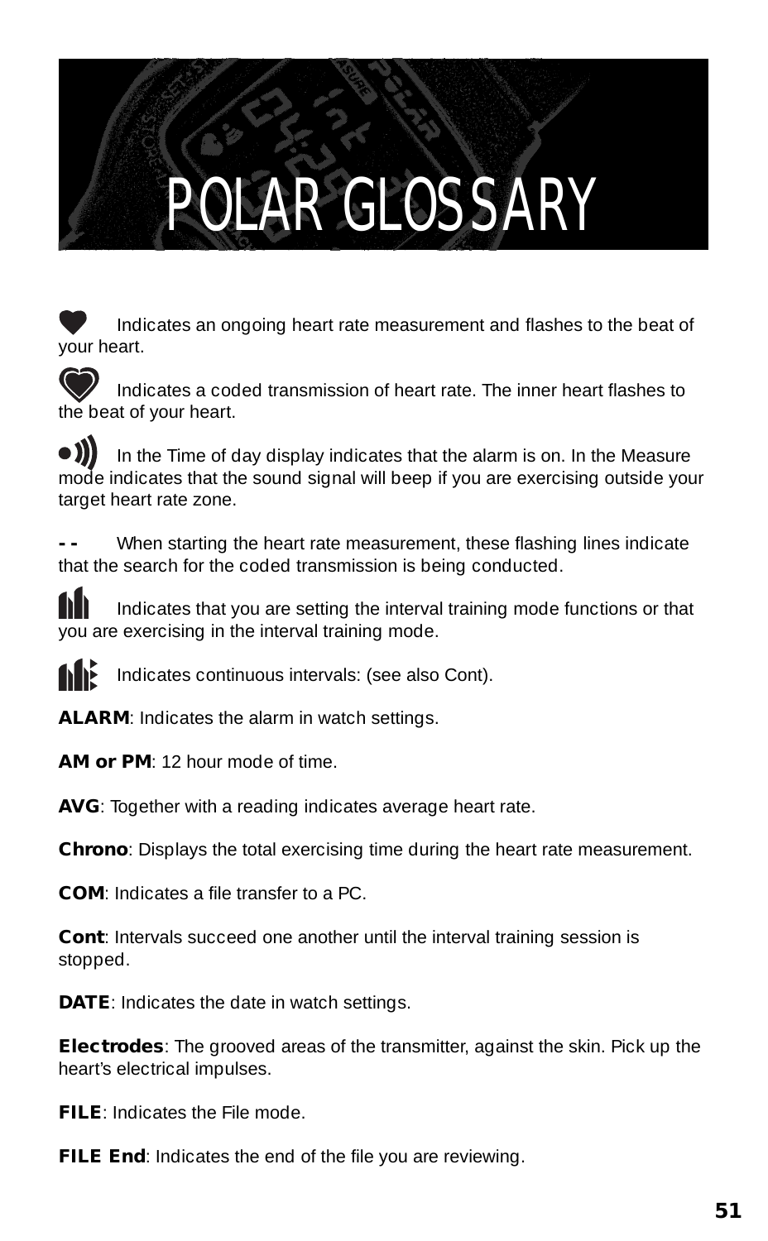### POLAR GLOSSARY

Indicates an ongoing heart rate measurement and flashes to the beat of your heart.

Indicates a coded transmission of heart rate. The inner heart flashes to the beat of your heart.

In the Time of day display indicates that the alarm is on. In the Measure mode indicates that the sound signal will beep if you are exercising outside your target heart rate zone.

When starting the heart rate measurement, these flashing lines indicate that the search for the coded transmission is being conducted.

Indicates that you are setting the interval training mode functions or that you are exercising in the interval training mode.

Indicates continuous intervals: (see also Cont).

**ALARM**: Indicates the alarm in watch settings.

**AM or PM**: 12 hour mode of time.

**AVG**: Together with a reading indicates average heart rate.

**Chrono**: Displays the total exercising time during the heart rate measurement.

**COM**: Indicates a file transfer to a PC.

**Cont**: Intervals succeed one another until the interval training session is stopped.

**DATE**: Indicates the date in watch settings.

**Electrodes**: The grooved areas of the transmitter, against the skin. Pick up the heart's electrical impulses.

**FILE**: Indicates the File mode.

**FILE End:** Indicates the end of the file you are reviewing.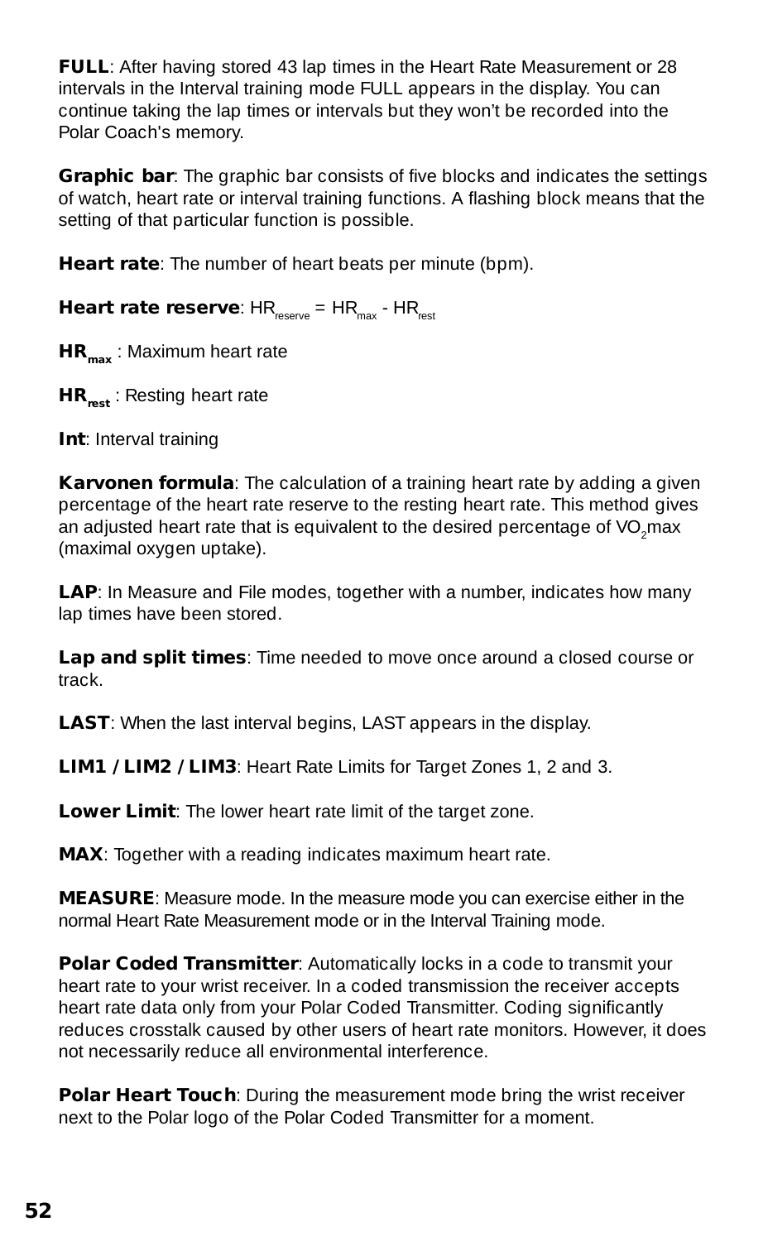**FULL**: After having stored 43 lap times in the Heart Rate Measurement or 28 intervals in the Interval training mode FULL appears in the display. You can continue taking the lap times or intervals but they won't be recorded into the Polar Coach's memory.

**Graphic bar**: The graphic bar consists of five blocks and indicates the settings of watch, heart rate or interval training functions. A flashing block means that the setting of that particular function is possible.

**Heart rate**: The number of heart beats per minute (bpm).

**Heart rate reserve**:  $HR_{mean} = HR_{max}$  -  $HR_{next}$ 

**HR<sub>max</sub>** : Maximum heart rate

**HR**<sub>ssa</sub>: Resting heart rate

**Int**: Interval training

**Karvonen formula**: The calculation of a training heart rate by adding a given percentage of the heart rate reserve to the resting heart rate. This method gives an adjusted heart rate that is equivalent to the desired percentage of VO<sub>2</sub>max (maximal oxygen uptake).

LAP: In Measure and File modes, together with a number, indicates how many lap times have been stored.

**Lap and split times**: Time needed to move once around a closed course or track.

**LAST**: When the last interval begins, LAST appears in the display.

**LIM1 / LIM2 / LIM3**: Heart Rate Limits for Target Zones 1, 2 and 3.

**Lower Limit**: The lower heart rate limit of the target zone.

**MAX**: Together with a reading indicates maximum heart rate.

**MEASURE**: Measure mode. In the measure mode you can exercise either in the normal Heart Rate Measurement mode or in the Interval Training mode.

**Polar Coded Transmitter:** Automatically locks in a code to transmit your heart rate to your wrist receiver. In a coded transmission the receiver accepts heart rate data only from your Polar Coded Transmitter. Coding significantly reduces crosstalk caused by other users of heart rate monitors. However, it does not necessarily reduce all environmental interference.

**Polar Heart Touch**: During the measurement mode bring the wrist receiver next to the Polar logo of the Polar Coded Transmitter for a moment.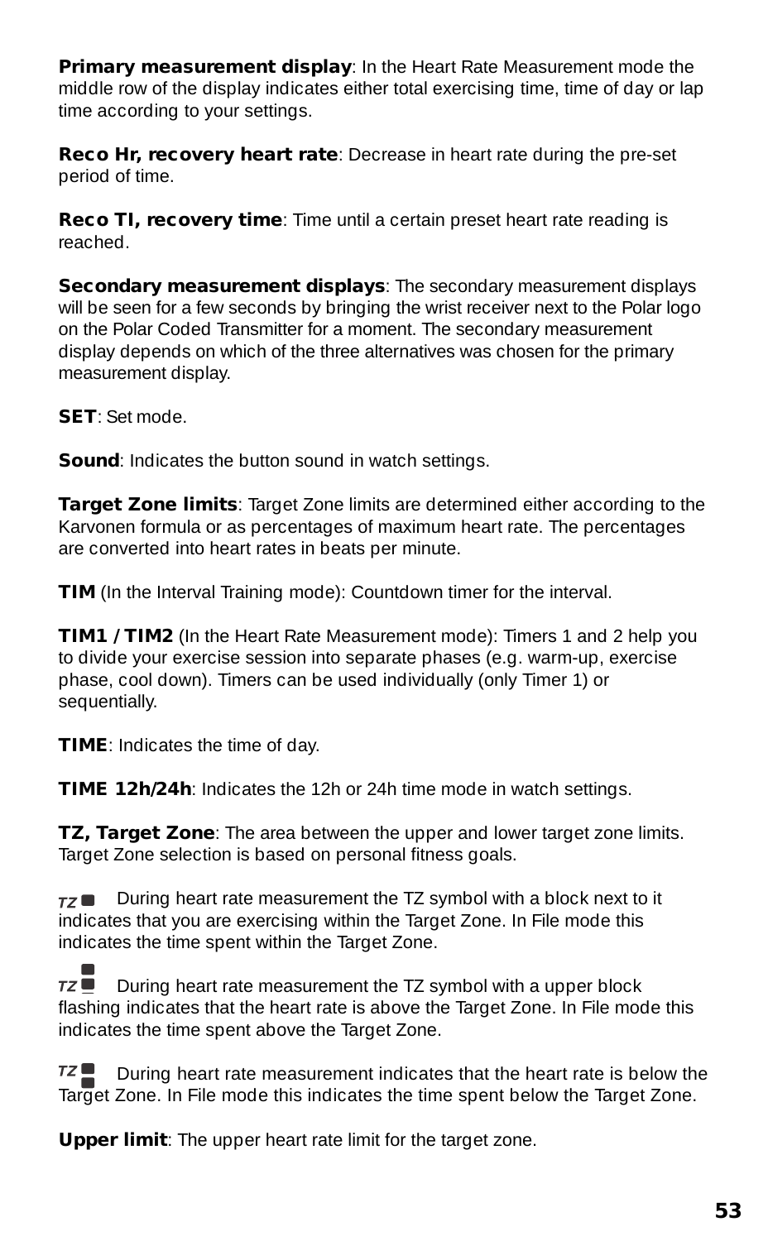**Primary measurement display: In the Heart Rate Measurement mode the** middle row of the display indicates either total exercising time, time of day or lap time according to your settings.

**Reco Hr, recovery heart rate**: Decrease in heart rate during the pre-set period of time.

**Reco TI, recovery time**: Time until a certain preset heart rate reading is reached.

**Secondary measurement displays:** The secondary measurement displays will be seen for a few seconds by bringing the wrist receiver next to the Polar logo on the Polar Coded Transmitter for a moment. The secondary measurement display depends on which of the three alternatives was chosen for the primary measurement display.

**SET**: Set mode.

**Sound:** Indicates the button sound in watch settings.

**Target Zone limits**: Target Zone limits are determined either according to the Karvonen formula or as percentages of maximum heart rate. The percentages are converted into heart rates in beats per minute.

**TIM** (In the Interval Training mode): Countdown timer for the interval.

**TIM1 / TIM2** (In the Heart Rate Measurement mode): Timers 1 and 2 help you to divide your exercise session into separate phases (e.g. warm-up, exercise phase, cool down). Timers can be used individually (only Timer 1) or sequentially.

**TIME**: Indicates the time of day.

**TIME 12h/24h**: Indicates the 12h or 24h time mode in watch settings.

**TZ, Target Zone**: The area between the upper and lower target zone limits. Target Zone selection is based on personal fitness goals.

 $\tau$  During heart rate measurement the TZ symbol with a block next to it indicates that you are exercising within the Target Zone. In File mode this indicates the time spent within the Target Zone.

 $7Z \blacksquare$ During heart rate measurement the TZ symbol with a upper block flashing indicates that the heart rate is above the Target Zone. In File mode this indicates the time spent above the Target Zone.

 $TZ \equiv$ During heart rate measurement indicates that the heart rate is below the Target Zone. In File mode this indicates the time spent below the Target Zone.

**Upper limit**: The upper heart rate limit for the target zone.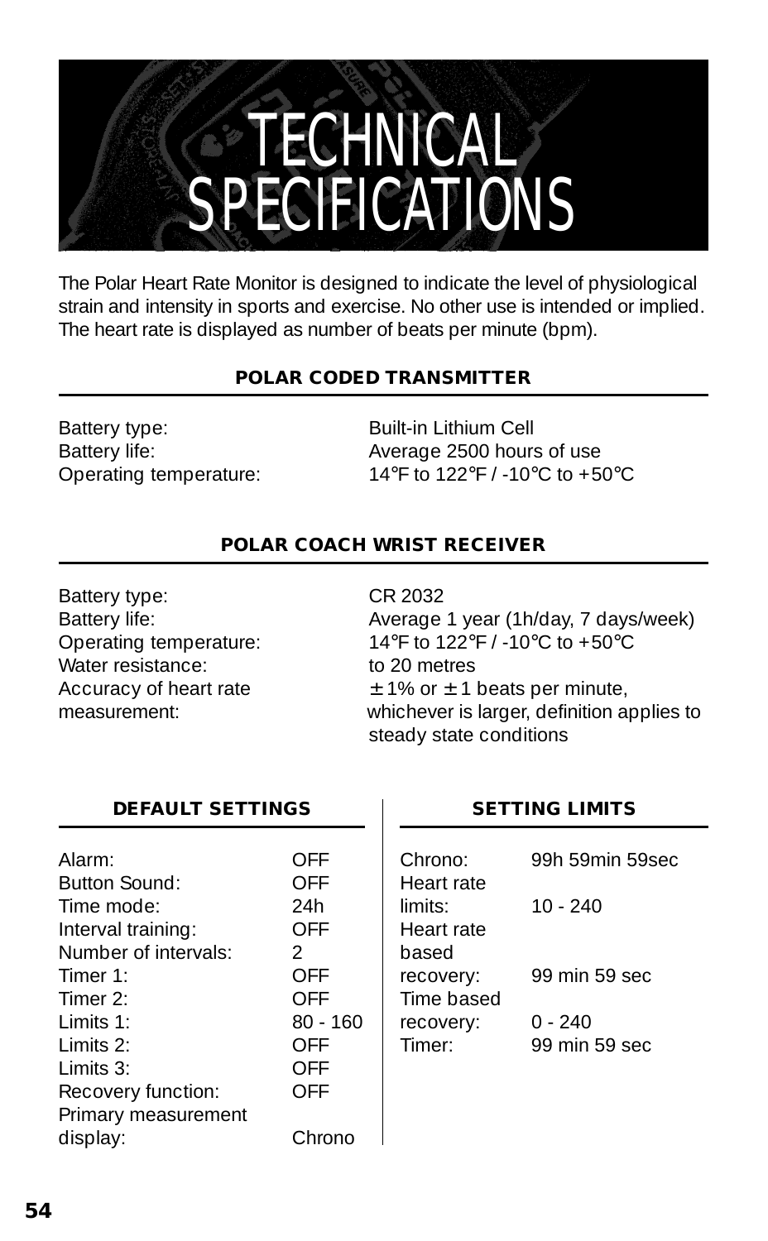### **TECHNICAL** SPECIFICATIONS

The Polar Heart Rate Monitor is designed to indicate the level of physiological strain and intensity in sports and exercise. No other use is intended or implied. The heart rate is displayed as number of beats per minute (bpm).

#### **POLAR CODED TRANSMITTER**

Battery type: Built-in Lithium Cell

Battery life: Battery life: Battery life: Operating temperature: 14°F to 122°F / -10°C to +50°C

#### **POLAR COACH WRIST RECEIVER**

Battery type: CR 2032 Water resistance: to 20 metres

Battery life: Battery life: Average 1 year (1h/day, 7 days/week) Operating temperature: 14°F to 122°F / -10°C to +50°C  $\frac{1}{2}$  Accuracy of heart rate  $\frac{1}{2}$  1% or  $\pm$  1 beats per minute, measurement whichever is larger, definition applies to steady state conditions

#### **DEFAULT SETTINGS**

| Alarm:               | OFF           |
|----------------------|---------------|
| <b>Button Sound:</b> | OFF           |
| Time mode:           | 24h           |
| Interval training:   | OFF           |
| Number of intervals: | $\mathcal{P}$ |
| Timer 1:             | OFF           |
| Timer $2$ :          | OFF           |
| $1$ imits 1:         | $80 - 160$    |
| $1$ imits $2$ :      | OFF           |
| Limits 3:            | OFF           |
| Recovery function:   | OFF           |
| Primary measurement  |               |
| display:             | Chrono        |

#### **SETTING LIMITS**

| 99h 59min 59sec |
|-----------------|
|                 |
|                 |
|                 |
|                 |
|                 |
|                 |
|                 |
|                 |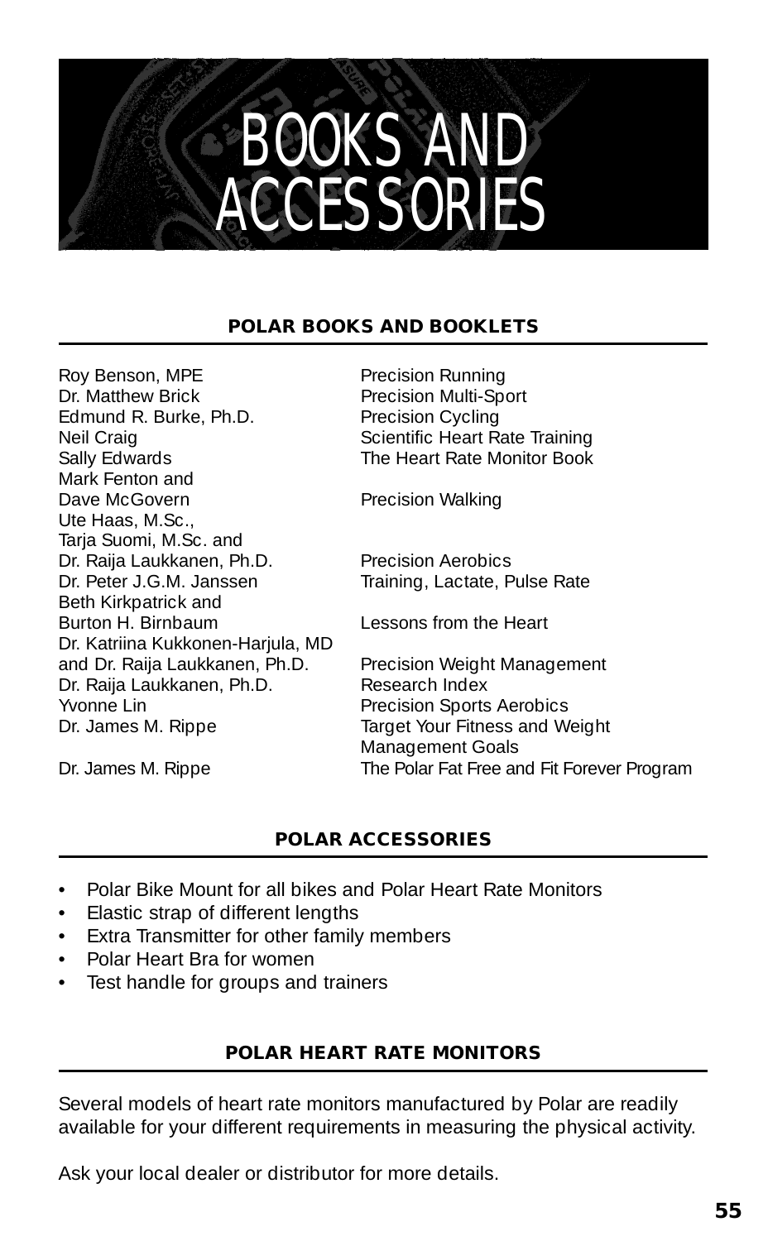

#### **POLAR BOOKS AND BOOKLETS**

Roy Benson, MPE<br>
Dr. Matthew Brick<br>
Precision Multi-Spo Edmund R. Burke, Ph.D. Precision Cycling<br>Neil Craig Scientific Heart Ra Neil Craig Craig Craining Sally Edwards<br>
Sally Edwards Craining Sally Edwards Craining Sally Edwards Mark Fenton and Dave McGovern Precision Walking Ute Haas, M.Sc., Taria Suomi, M.Sc. and Dr. Raija Laukkanen, Ph.D. Precision Aerobics<br>Dr. Peter J.G.M. Janssen Fraining. Lactate. P Beth Kirkpatrick and Burton H. Birnbaum Lessons from the Heart Dr. Katriina Kukkonen-Harjula, MD and Dr. Raija Laukkanen, Ph.D. Precision Weight Management<br>Dr. Raija Laukkanen, Ph.D. Research Index Dr. Raija Laukkanen, Ph.D.<br>Yvonne I in Dr. James M. Rippe Target Your Fitness and Weight

Precision Multi-Sport The Heart Rate Monitor Book

Training, Lactate, Pulse Rate

Precision Sports Aerobics Management Goals Dr. James M. Rippe The Polar Fat Free and Fit Forever Program

#### **POLAR ACCESSORIES**

- Polar Bike Mount for all bikes and Polar Heart Rate Monitors
- Elastic strap of different lengths
- Extra Transmitter for other family members
- Polar Heart Bra for women
- Test handle for groups and trainers

#### **POLAR HEART RATE MONITORS**

Several models of heart rate monitors manufactured by Polar are readily available for your different requirements in measuring the physical activity.

Ask your local dealer or distributor for more details.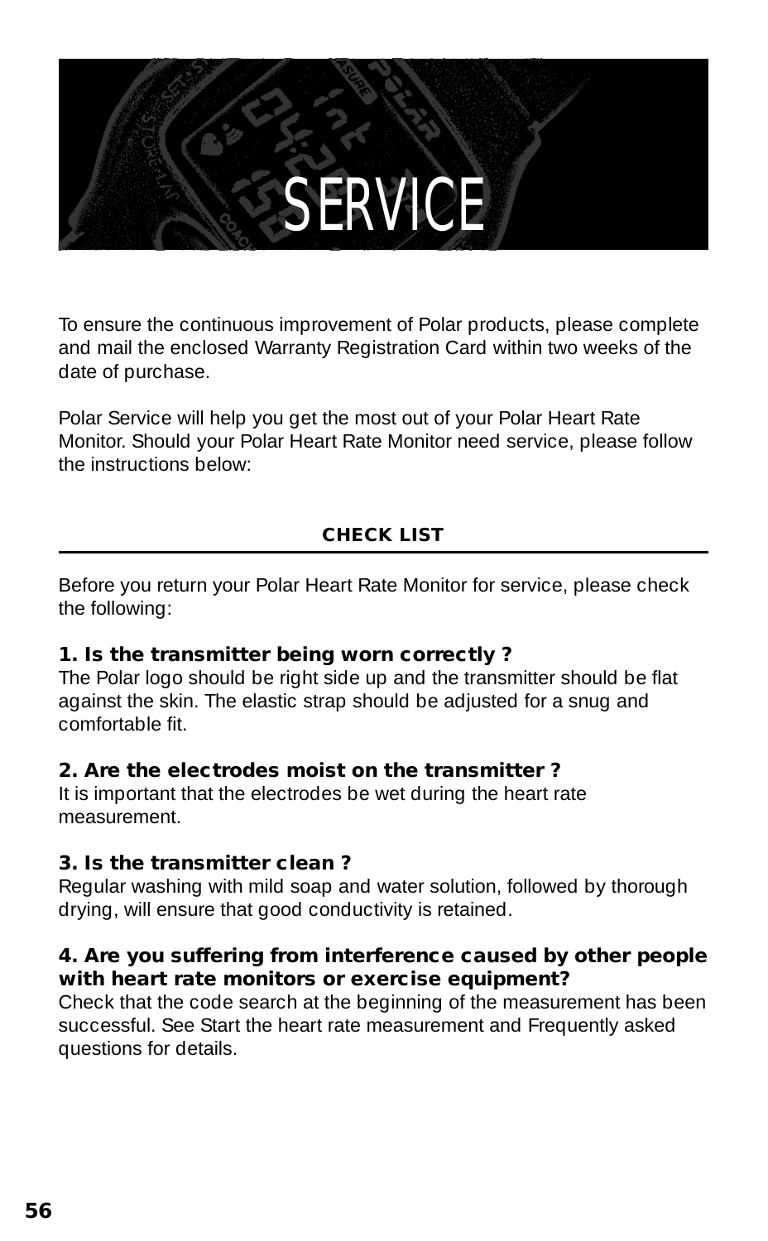### **SERVICE**

To ensure the continuous improvement of Polar products, please complete and mail the enclosed Warranty Registration Card within two weeks of the date of purchase.

Polar Service will help you get the most out of your Polar Heart Rate Monitor. Should your Polar Heart Rate Monitor need service, please follow the instructions below:

#### **CHECK LIST**

Before you return your Polar Heart Rate Monitor for service, please check the following:

#### **1. Is the transmitter being worn correctly ?**

The Polar logo should be right side up and the transmitter should be flat against the skin. The elastic strap should be adjusted for a snug and comfortable fit.

#### **2. Are the electrodes moist on the transmitter ?**

It is important that the electrodes be wet during the heart rate measurement.

#### **3. Is the transmitter clean ?**

Regular washing with mild soap and water solution, followed by thorough drying, will ensure that good conductivity is retained.

#### **4. Are you suffering from interference caused by other people with heart rate monitors or exercise equipment?**

Check that the code search at the beginning of the measurement has been successful. See Start the heart rate measurement and Frequently asked questions for details.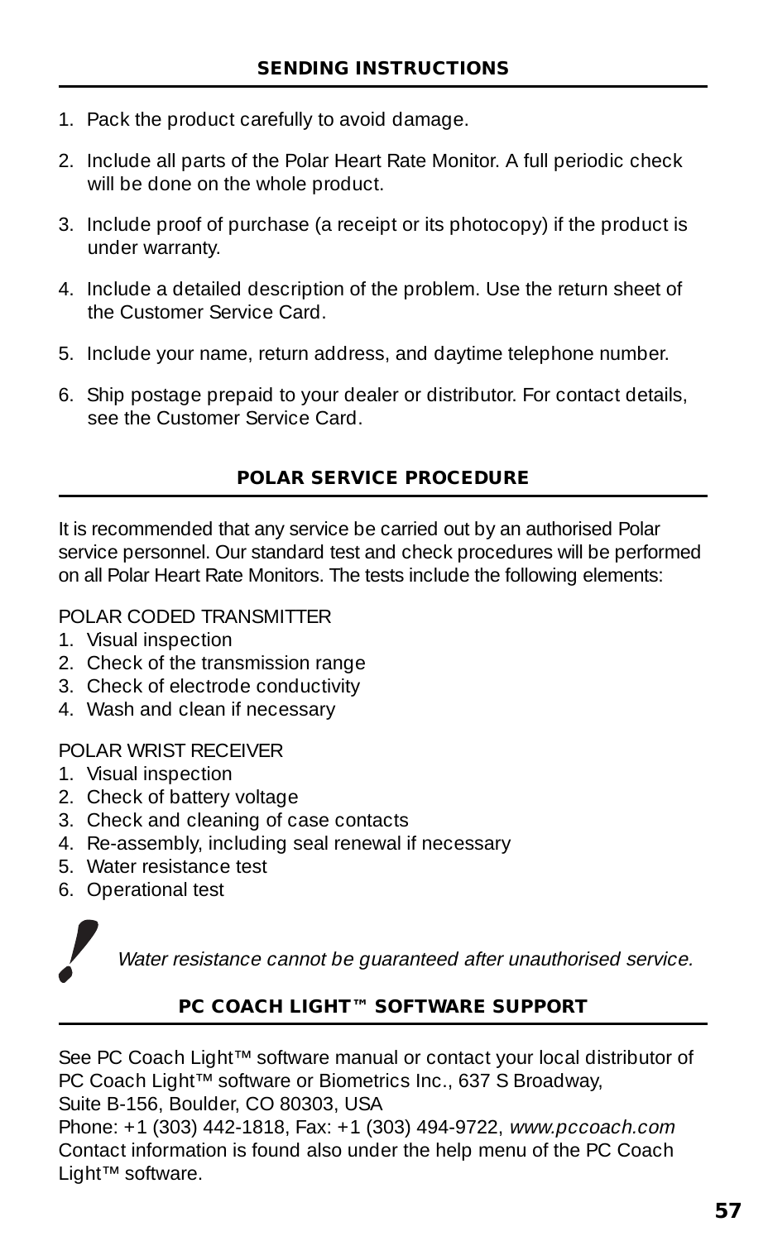- 1. Pack the product carefully to avoid damage.
- 2. Include all parts of the Polar Heart Rate Monitor. A full periodic check will be done on the whole product.
- 3. Include proof of purchase (a receipt or its photocopy) if the product is under warranty.
- 4. Include a detailed description of the problem. Use the return sheet of the Customer Service Card.
- 5. Include your name, return address, and daytime telephone number.
- 6. Ship postage prepaid to your dealer or distributor. For contact details, see the Customer Service Card.

#### **POLAR SERVICE PROCEDURE**

It is recommended that any service be carried out by an authorised Polar service personnel. Our standard test and check procedures will be performed on all Polar Heart Rate Monitors. The tests include the following elements:

POLAR CODED TRANSMITTER

- 1. Visual inspection
- 2. Check of the transmission range
- 3. Check of electrode conductivity
- 4. Wash and clean if necessary

POLAR WRIST RECEIVER

- 1. Visual inspection
- 2. Check of battery voltage
- 3. Check and cleaning of case contacts
- 4. Re-assembly, including seal renewal if necessary
- 5. Water resistance test
- 6. Operational test



Water resistance cannot be guaranteed after unauthorised service.

#### **PC COACH LIGHT™ SOFTWARE SUPPORT**

See PC Coach Light™ software manual or contact your local distributor of PC Coach Light™ software or Biometrics Inc., 637 S Broadway, Suite B-156, Boulder, CO 80303, USA

Phone: +1 (303) 442-1818, Fax: +1 (303) 494-9722, www.pccoach.com Contact information is found also under the help menu of the PC Coach Light™ software.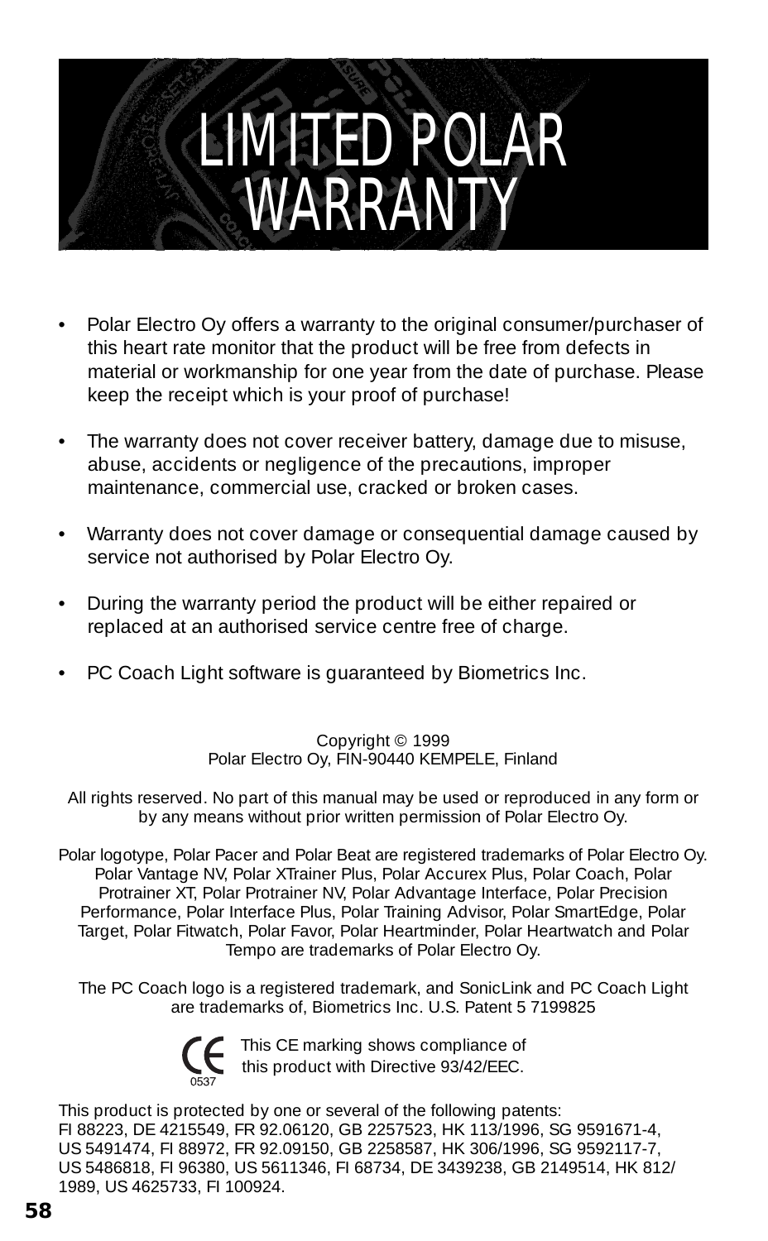

- Polar Electro Oy offers a warranty to the original consumer/purchaser of this heart rate monitor that the product will be free from defects in material or workmanship for one year from the date of purchase. Please keep the receipt which is your proof of purchase!
- The warranty does not cover receiver battery, damage due to misuse, abuse, accidents or negligence of the precautions, improper maintenance, commercial use, cracked or broken cases.
- Warranty does not cover damage or consequential damage caused by service not authorised by Polar Electro Oy.
- During the warranty period the product will be either repaired or replaced at an authorised service centre free of charge.
- PC Coach Light software is guaranteed by Biometrics Inc.

Copyright © 1999 Polar Electro Oy, FIN-90440 KEMPELE, Finland

All rights reserved. No part of this manual may be used or reproduced in any form or by any means without prior written permission of Polar Electro Oy.

Polar logotype, Polar Pacer and Polar Beat are registered trademarks of Polar Electro Oy. Polar Vantage NV, Polar XTrainer Plus, Polar Accurex Plus, Polar Coach, Polar Protrainer XT, Polar Protrainer NV, Polar Advantage Interface, Polar Precision Performance, Polar Interface Plus, Polar Training Advisor, Polar SmartEdge, Polar Target, Polar Fitwatch, Polar Favor, Polar Heartminder, Polar Heartwatch and Polar Tempo are trademarks of Polar Electro Oy.

The PC Coach logo is a registered trademark, and SonicLink and PC Coach Light are trademarks of, Biometrics Inc. U.S. Patent 5 7199825



This CE marking shows compliance of this product with Directive 93/42/EEC.

This product is protected by one or several of the following patents: FI 88223, DE 4215549, FR 92.06120, GB 2257523, HK 113/1996, SG 9591671-4, US 5491474, FI 88972, FR 92.09150, GB 2258587, HK 306/1996, SG 9592117-7, US 5486818, FI 96380, US 5611346, FI 68734, DE 3439238, GB 2149514, HK 812/ 1989, US 4625733, FI 100924.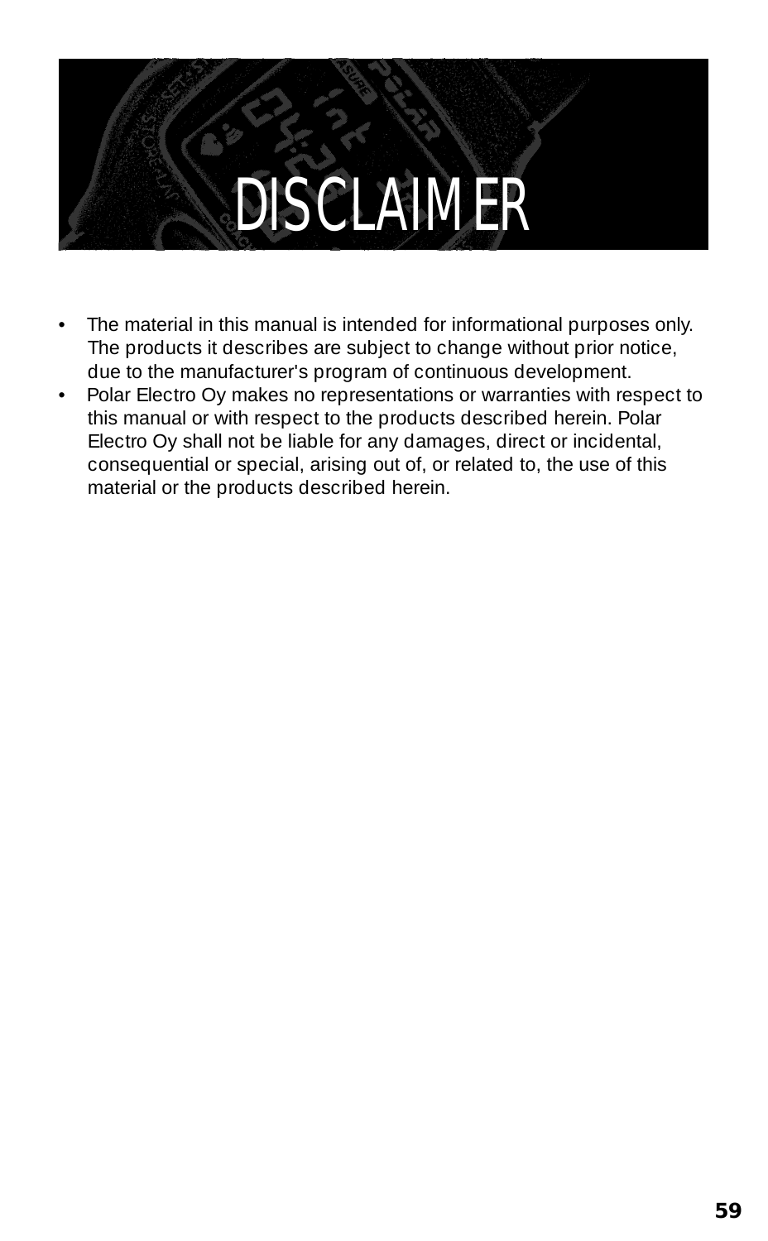### DISCLAIMER

- The material in this manual is intended for informational purposes only. The products it describes are subject to change without prior notice, due to the manufacturer's program of continuous development.
- Polar Electro Oy makes no representations or warranties with respect to this manual or with respect to the products described herein. Polar Electro Oy shall not be liable for any damages, direct or incidental, consequential or special, arising out of, or related to, the use of this material or the products described herein.